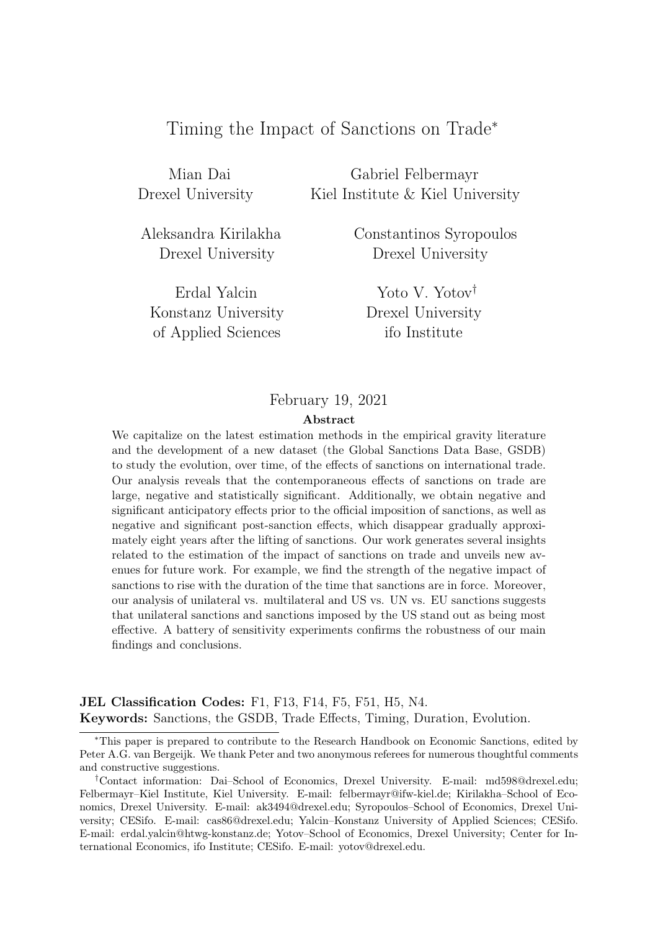# Timing the Impact of Sanctions on Trade<sup>∗</sup>

Mian Dai Gabriel Felbermayr Drexel University Kiel Institute & Kiel University

Konstanz University Drexel University of Applied Sciences ifo Institute

Aleksandra Kirilakha Constantinos Syropoulos Drexel University Drexel University

Erdal Yalcin Yoto V. Yotov†

### February 19, 2021

#### Abstract

We capitalize on the latest estimation methods in the empirical gravity literature and the development of a new dataset (the Global Sanctions Data Base, GSDB) to study the evolution, over time, of the effects of sanctions on international trade. Our analysis reveals that the contemporaneous effects of sanctions on trade are large, negative and statistically significant. Additionally, we obtain negative and significant anticipatory effects prior to the official imposition of sanctions, as well as negative and significant post-sanction effects, which disappear gradually approximately eight years after the lifting of sanctions. Our work generates several insights related to the estimation of the impact of sanctions on trade and unveils new avenues for future work. For example, we find the strength of the negative impact of sanctions to rise with the duration of the time that sanctions are in force. Moreover, our analysis of unilateral vs. multilateral and US vs. UN vs. EU sanctions suggests that unilateral sanctions and sanctions imposed by the US stand out as being most effective. A battery of sensitivity experiments confirms the robustness of our main findings and conclusions.

JEL Classification Codes: F1, F13, F14, F5, F51, H5, N4. Keywords: Sanctions, the GSDB, Trade Effects, Timing, Duration, Evolution.

<sup>∗</sup>This paper is prepared to contribute to the Research Handbook on Economic Sanctions, edited by Peter A.G. van Bergeijk. We thank Peter and two anonymous referees for numerous thoughtful comments and constructive suggestions.

<sup>†</sup>Contact information: Dai–School of Economics, Drexel University. E-mail: md598@drexel.edu; Felbermayr–Kiel Institute, Kiel University. E-mail: felbermayr@ifw-kiel.de; Kirilakha–School of Economics, Drexel University. E-mail: ak3494@drexel.edu; Syropoulos–School of Economics, Drexel University; CESifo. E-mail: cas86@drexel.edu; Yalcin–Konstanz University of Applied Sciences; CESifo. E-mail: erdal.yalcin@htwg-konstanz.de; Yotov–School of Economics, Drexel University; Center for International Economics, ifo Institute; CESifo. E-mail: yotov@drexel.edu.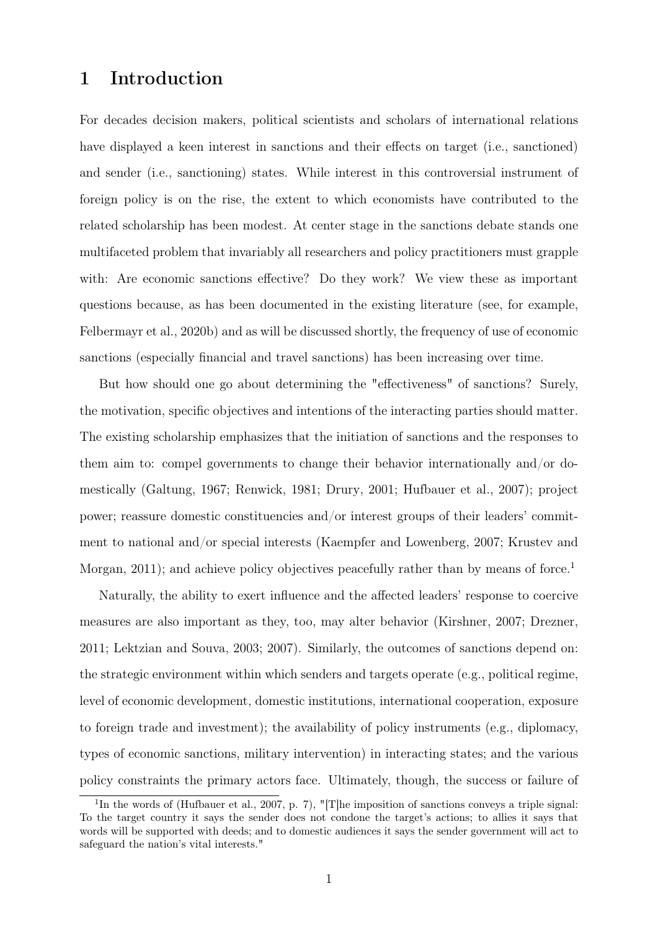### 1 Introduction

For decades decision makers, political scientists and scholars of international relations have displayed a keen interest in sanctions and their effects on target (i.e., sanctioned) and sender (i.e., sanctioning) states. While interest in this controversial instrument of foreign policy is on the rise, the extent to which economists have contributed to the related scholarship has been modest. At center stage in the sanctions debate stands one multifaceted problem that invariably all researchers and policy practitioners must grapple with: Are economic sanctions effective? Do they work? We view these as important questions because, as has been documented in the existing literature (see, for example, [Felbermayr et al., 2020b\)](#page-37-0) and as will be discussed shortly, the frequency of use of economic sanctions (especially financial and travel sanctions) has been increasing over time.

But how should one go about determining the "effectiveness" of sanctions? Surely, the motivation, specific objectives and intentions of the interacting parties should matter. The existing scholarship emphasizes that the initiation of sanctions and the responses to them aim to: compel governments to change their behavior internationally and/or domestically [\(Galtung, 1967;](#page-37-1) [Renwick, 1981;](#page-38-0) [Drury, 2001;](#page-36-0) [Hufbauer et al., 2007\)](#page-37-2); project power; reassure domestic constituencies and/or interest groups of their leaders' commitment to national and/or special interests [\(Kaempfer and Lowenberg, 2007;](#page-37-3) [Krustev and](#page-38-1) [Morgan, 2011\)](#page-38-1); and achieve policy objectives peacefully rather than by means of force.<sup>[1](#page-1-0)</sup>

Naturally, the ability to exert influence and the affected leaders' response to coercive measures are also important as they, too, may alter behavior [\(Kirshner, 2007;](#page-37-4) [Drezner,](#page-36-1) [2011;](#page-36-1) [Lektzian and Souva, 2003;](#page-38-2) [2007\)](#page-38-3). Similarly, the outcomes of sanctions depend on: the strategic environment within which senders and targets operate (e.g., political regime, level of economic development, domestic institutions, international cooperation, exposure to foreign trade and investment); the availability of policy instruments (e.g., diplomacy, types of economic sanctions, military intervention) in interacting states; and the various policy constraints the primary actors face. Ultimately, though, the success or failure of

<span id="page-1-0"></span><sup>&</sup>lt;sup>1</sup>In the words of [\(Hufbauer et al., 2007,](#page-37-2) p. 7), "[T]he imposition of sanctions conveys a triple signal: To the target country it says the sender does not condone the target's actions; to allies it says that words will be supported with deeds; and to domestic audiences it says the sender government will act to safeguard the nation's vital interests."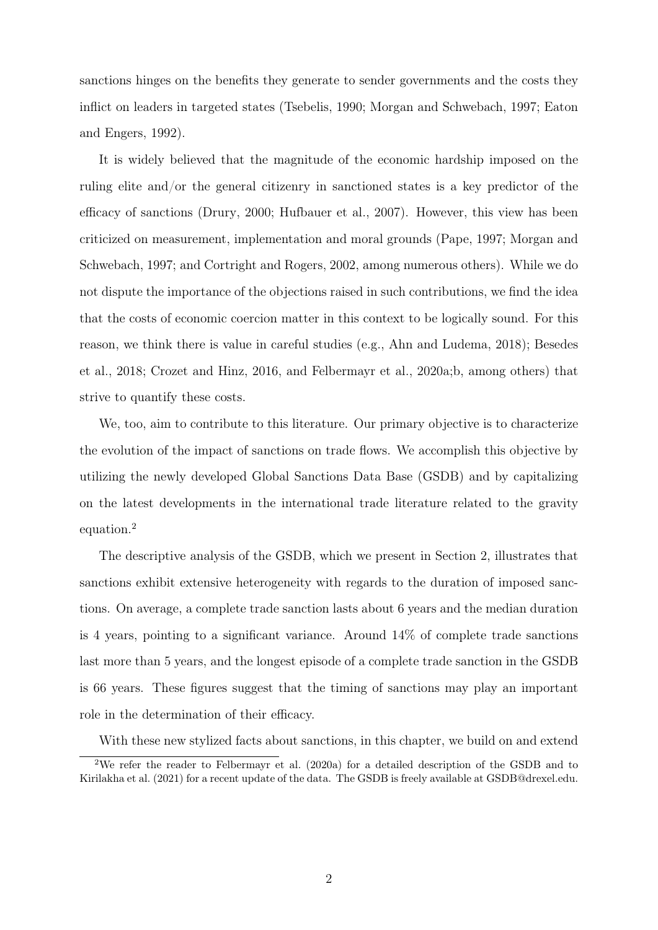sanctions hinges on the benefits they generate to sender governments and the costs they inflict on leaders in targeted states [\(Tsebelis, 1990;](#page-39-0) [Morgan and Schwebach, 1997;](#page-38-4) [Eaton](#page-36-2) [and Engers, 1992\)](#page-36-2).

It is widely believed that the magnitude of the economic hardship imposed on the ruling elite and/or the general citizenry in sanctioned states is a key predictor of the efficacy of sanctions [\(Drury, 2000;](#page-36-3) [Hufbauer et al., 2007\)](#page-37-2). However, this view has been criticized on measurement, implementation and moral grounds [\(Pape, 1997;](#page-38-5) [Morgan and](#page-38-4) [Schwebach, 1997;](#page-38-4) and [Cortright and Rogers, 2002,](#page-36-4) among numerous others). While we do not dispute the importance of the objections raised in such contributions, we find the idea that the costs of economic coercion matter in this context to be logically sound. For this reason, we think there is value in careful studies (e.g., [Ahn and Ludema, 2018\)](#page-35-0); [Besedes](#page-35-1) [et al., 2018;](#page-35-1) [Crozet and Hinz, 2016,](#page-36-5) and [Felbermayr et al., 2020a;](#page-37-5)[b,](#page-37-0) among others) that strive to quantify these costs.

We, too, aim to contribute to this literature. Our primary objective is to characterize the evolution of the impact of sanctions on trade flows. We accomplish this objective by utilizing the newly developed Global Sanctions Data Base (GSDB) and by capitalizing on the latest developments in the international trade literature related to the gravity equation.[2](#page-2-0)

The descriptive analysis of the GSDB, which we present in Section [2,](#page-6-0) illustrates that sanctions exhibit extensive heterogeneity with regards to the duration of imposed sanctions. On average, a complete trade sanction lasts about 6 years and the median duration is 4 years, pointing to a significant variance. Around 14% of complete trade sanctions last more than 5 years, and the longest episode of a complete trade sanction in the GSDB is 66 years. These figures suggest that the timing of sanctions may play an important role in the determination of their efficacy.

<span id="page-2-0"></span>With these new stylized facts about sanctions, in this chapter, we build on and extend

<sup>2</sup>We refer the reader to [Felbermayr et al.](#page-37-5) [\(2020a\)](#page-37-5) for a detailed description of the GSDB and to [Kirilakha et al.](#page-37-6) [\(2021\)](#page-37-6) for a recent update of the data. The GSDB is freely available at GSDB@drexel.edu.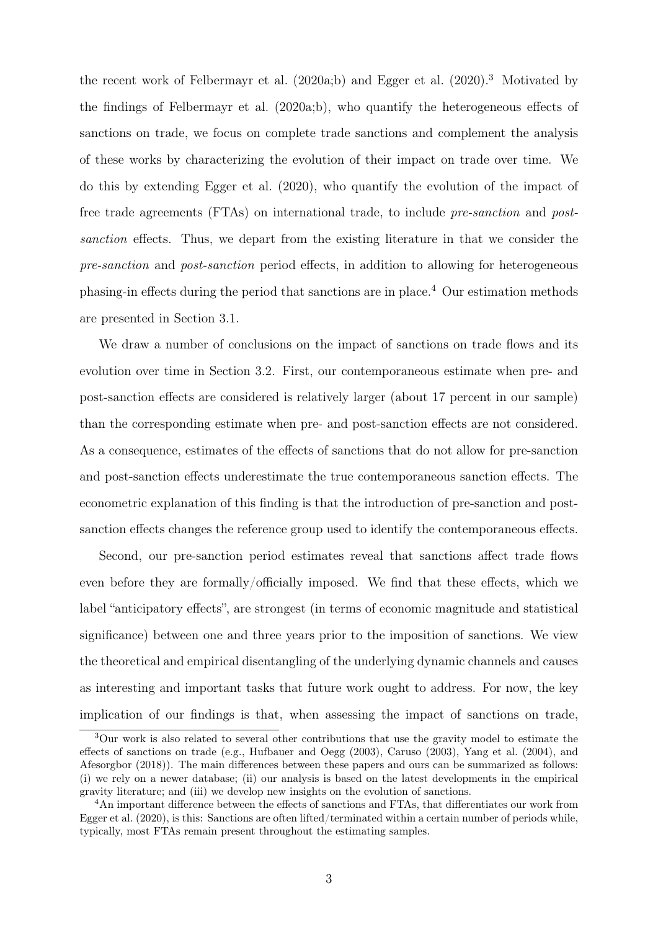the recent work of [Felbermayr et al.](#page-37-5)  $(2020a:b)$  $(2020a:b)$  and [Egger et al.](#page-37-7)  $(2020).<sup>3</sup>$  $(2020).<sup>3</sup>$  $(2020).<sup>3</sup>$  $(2020).<sup>3</sup>$  Motivated by the findings of [Felbermayr et al.](#page-37-5) [\(2020a](#page-37-5)[;b\)](#page-37-0), who quantify the heterogeneous effects of sanctions on trade, we focus on complete trade sanctions and complement the analysis of these works by characterizing the evolution of their impact on trade over time. We do this by extending [Egger et al.](#page-37-7) [\(2020\)](#page-37-7), who quantify the evolution of the impact of free trade agreements (FTAs) on international trade, to include pre-sanction and postsanction effects. Thus, we depart from the existing literature in that we consider the pre-sanction and post-sanction period effects, in addition to allowing for heterogeneous phasing-in effects during the period that sanctions are in place.[4](#page-3-1) Our estimation methods are presented in Section [3.1.](#page-13-0)

We draw a number of conclusions on the impact of sanctions on trade flows and its evolution over time in Section [3.2.](#page-18-0) First, our contemporaneous estimate when pre- and post-sanction effects are considered is relatively larger (about 17 percent in our sample) than the corresponding estimate when pre- and post-sanction effects are not considered. As a consequence, estimates of the effects of sanctions that do not allow for pre-sanction and post-sanction effects underestimate the true contemporaneous sanction effects. The econometric explanation of this finding is that the introduction of pre-sanction and postsanction effects changes the reference group used to identify the contemporaneous effects.

Second, our pre-sanction period estimates reveal that sanctions affect trade flows even before they are formally/officially imposed. We find that these effects, which we label "anticipatory effects", are strongest (in terms of economic magnitude and statistical significance) between one and three years prior to the imposition of sanctions. We view the theoretical and empirical disentangling of the underlying dynamic channels and causes as interesting and important tasks that future work ought to address. For now, the key implication of our findings is that, when assessing the impact of sanctions on trade,

<span id="page-3-0"></span><sup>&</sup>lt;sup>3</sup>Our work is also related to several other contributions that use the gravity model to estimate the effects of sanctions on trade (e.g., [Hufbauer and Oegg](#page-37-8) [\(2003\)](#page-37-8), [Caruso](#page-36-6) [\(2003\)](#page-36-6), [Yang et al.](#page-39-1) [\(2004\)](#page-39-1), and [Afesorgbor](#page-35-2) [\(2018\)](#page-35-2)). The main differences between these papers and ours can be summarized as follows: (i) we rely on a newer database; (ii) our analysis is based on the latest developments in the empirical gravity literature; and (iii) we develop new insights on the evolution of sanctions.

<span id="page-3-1"></span><sup>4</sup>An important difference between the effects of sanctions and FTAs, that differentiates our work from [Egger et al.](#page-37-7) [\(2020\)](#page-37-7), is this: Sanctions are often lifted/terminated within a certain number of periods while, typically, most FTAs remain present throughout the estimating samples.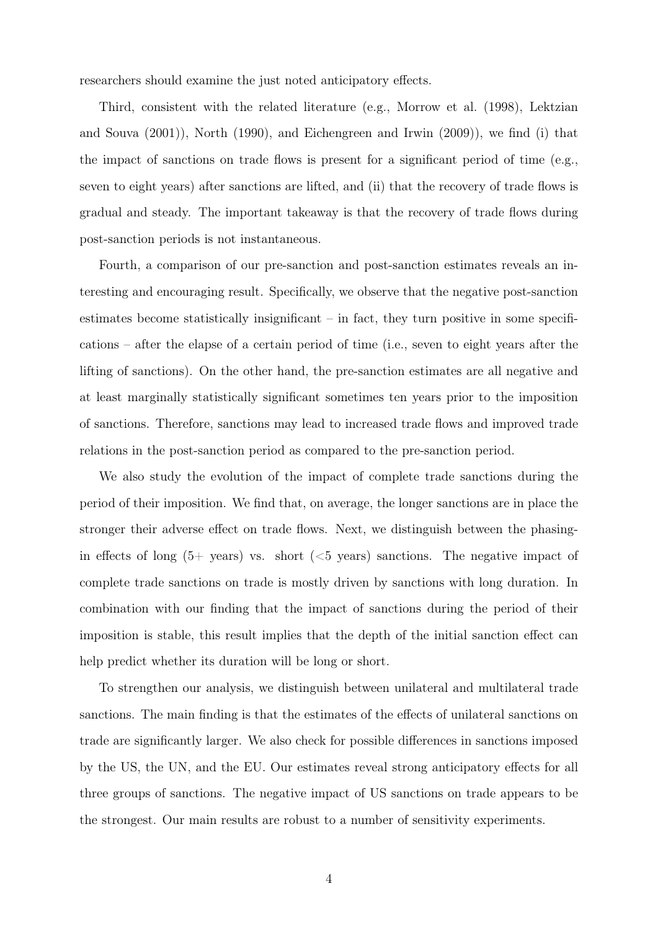researchers should examine the just noted anticipatory effects.

Third, consistent with the related literature (e.g., [Morrow et al.](#page-38-6) [\(1998\)](#page-38-6), [Lektzian](#page-38-7) [and Souva](#page-38-7) [\(2001\)](#page-38-7)), [North](#page-38-8) [\(1990\)](#page-38-8), and [Eichengreen and Irwin](#page-37-9) [\(2009\)](#page-37-9)), we find (i) that the impact of sanctions on trade flows is present for a significant period of time (e.g., seven to eight years) after sanctions are lifted, and (ii) that the recovery of trade flows is gradual and steady. The important takeaway is that the recovery of trade flows during post-sanction periods is not instantaneous.

Fourth, a comparison of our pre-sanction and post-sanction estimates reveals an interesting and encouraging result. Specifically, we observe that the negative post-sanction estimates become statistically insignificant – in fact, they turn positive in some specifications – after the elapse of a certain period of time (i.e., seven to eight years after the lifting of sanctions). On the other hand, the pre-sanction estimates are all negative and at least marginally statistically significant sometimes ten years prior to the imposition of sanctions. Therefore, sanctions may lead to increased trade flows and improved trade relations in the post-sanction period as compared to the pre-sanction period.

We also study the evolution of the impact of complete trade sanctions during the period of their imposition. We find that, on average, the longer sanctions are in place the stronger their adverse effect on trade flows. Next, we distinguish between the phasingin effects of long  $(5+$  years) vs. short  $(<5$  years) sanctions. The negative impact of complete trade sanctions on trade is mostly driven by sanctions with long duration. In combination with our finding that the impact of sanctions during the period of their imposition is stable, this result implies that the depth of the initial sanction effect can help predict whether its duration will be long or short.

To strengthen our analysis, we distinguish between unilateral and multilateral trade sanctions. The main finding is that the estimates of the effects of unilateral sanctions on trade are significantly larger. We also check for possible differences in sanctions imposed by the US, the UN, and the EU. Our estimates reveal strong anticipatory effects for all three groups of sanctions. The negative impact of US sanctions on trade appears to be the strongest. Our main results are robust to a number of sensitivity experiments.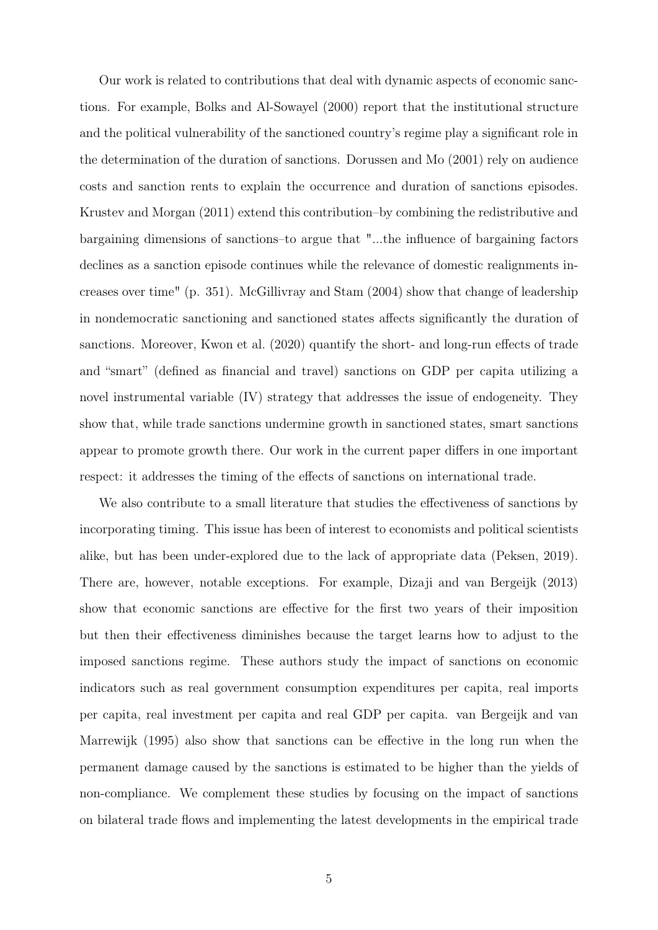Our work is related to contributions that deal with dynamic aspects of economic sanctions. For example, [Bolks and Al-Sowayel](#page-35-3) [\(2000\)](#page-35-3) report that the institutional structure and the political vulnerability of the sanctioned country's regime play a significant role in the determination of the duration of sanctions. [Dorussen and Mo](#page-36-7) [\(2001\)](#page-36-7) rely on audience costs and sanction rents to explain the occurrence and duration of sanctions episodes. [Krustev and Morgan](#page-38-1) [\(2011\)](#page-38-1) extend this contribution–by combining the redistributive and bargaining dimensions of sanctions–to argue that "...the influence of bargaining factors declines as a sanction episode continues while the relevance of domestic realignments increases over time" (p. 351). [McGillivray and Stam](#page-38-9) [\(2004\)](#page-38-9) show that change of leadership in nondemocratic sanctioning and sanctioned states affects significantly the duration of sanctions. Moreover, [Kwon et al.](#page-38-10) [\(2020\)](#page-38-10) quantify the short- and long-run effects of trade and "smart" (defined as financial and travel) sanctions on GDP per capita utilizing a novel instrumental variable (IV) strategy that addresses the issue of endogeneity. They show that, while trade sanctions undermine growth in sanctioned states, smart sanctions appear to promote growth there. Our work in the current paper differs in one important respect: it addresses the timing of the effects of sanctions on international trade.

We also contribute to a small literature that studies the effectiveness of sanctions by incorporating timing. This issue has been of interest to economists and political scientists alike, but has been under-explored due to the lack of appropriate data [\(Peksen, 2019\)](#page-38-11). There are, however, notable exceptions. For example, [Dizaji and van Bergeijk](#page-36-8) [\(2013\)](#page-36-8) show that economic sanctions are effective for the first two years of their imposition but then their effectiveness diminishes because the target learns how to adjust to the imposed sanctions regime. These authors study the impact of sanctions on economic indicators such as real government consumption expenditures per capita, real imports per capita, real investment per capita and real GDP per capita. [van Bergeijk and van](#page-39-2) [Marrewijk](#page-39-2) [\(1995\)](#page-39-2) also show that sanctions can be effective in the long run when the permanent damage caused by the sanctions is estimated to be higher than the yields of non-compliance. We complement these studies by focusing on the impact of sanctions on bilateral trade flows and implementing the latest developments in the empirical trade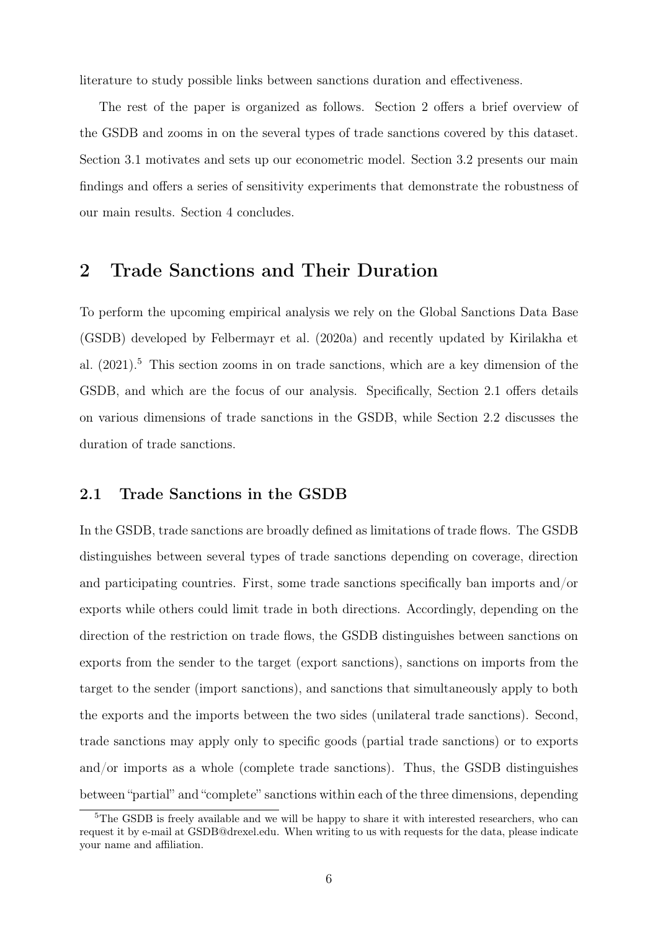literature to study possible links between sanctions duration and effectiveness.

The rest of the paper is organized as follows. Section [2](#page-6-0) offers a brief overview of the GSDB and zooms in on the several types of trade sanctions covered by this dataset. Section [3.1](#page-13-0) motivates and sets up our econometric model. Section [3.2](#page-18-0) presents our main findings and offers a series of sensitivity experiments that demonstrate the robustness of our main results. Section [4](#page-34-0) concludes.

# <span id="page-6-0"></span>2 Trade Sanctions and Their Duration

To perform the upcoming empirical analysis we rely on the Global Sanctions Data Base (GSDB) developed by [Felbermayr et al.](#page-37-5) [\(2020a\)](#page-37-5) and recently updated by [Kirilakha et](#page-37-6) [al.](#page-37-6) [\(2021\)](#page-37-6).[5](#page-6-1) This section zooms in on trade sanctions, which are a key dimension of the GSDB, and which are the focus of our analysis. Specifically, Section [2.1](#page-6-2) offers details on various dimensions of trade sanctions in the GSDB, while Section [2.2](#page-10-0) discusses the duration of trade sanctions.

### <span id="page-6-2"></span>2.1 Trade Sanctions in the GSDB

In the GSDB, trade sanctions are broadly defined as limitations of trade flows. The GSDB distinguishes between several types of trade sanctions depending on coverage, direction and participating countries. First, some trade sanctions specifically ban imports and/or exports while others could limit trade in both directions. Accordingly, depending on the direction of the restriction on trade flows, the GSDB distinguishes between sanctions on exports from the sender to the target (export sanctions), sanctions on imports from the target to the sender (import sanctions), and sanctions that simultaneously apply to both the exports and the imports between the two sides (unilateral trade sanctions). Second, trade sanctions may apply only to specific goods (partial trade sanctions) or to exports and/or imports as a whole (complete trade sanctions). Thus, the GSDB distinguishes between "partial" and "complete" sanctions within each of the three dimensions, depending

<span id="page-6-1"></span><sup>&</sup>lt;sup>5</sup>The GSDB is freely available and we will be happy to share it with interested researchers, who can request it by e-mail at GSDB@drexel.edu. When writing to us with requests for the data, please indicate your name and affiliation.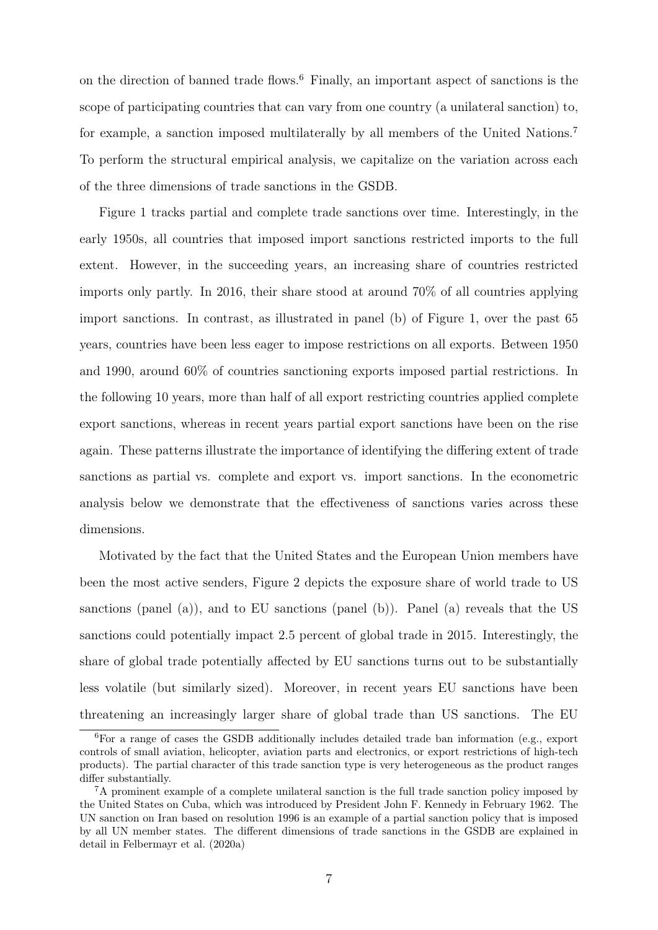on the direction of banned trade flows.[6](#page-7-0) Finally, an important aspect of sanctions is the scope of participating countries that can vary from one country (a unilateral sanction) to, for example, a sanction imposed multilaterally by all members of the United Nations.[7](#page-7-1) To perform the structural empirical analysis, we capitalize on the variation across each of the three dimensions of trade sanctions in the GSDB.

Figure [1](#page-8-0) tracks partial and complete trade sanctions over time. Interestingly, in the early 1950s, all countries that imposed import sanctions restricted imports to the full extent. However, in the succeeding years, an increasing share of countries restricted imports only partly. In 2016, their share stood at around 70% of all countries applying import sanctions. In contrast, as illustrated in panel (b) of Figure [1,](#page-8-0) over the past 65 years, countries have been less eager to impose restrictions on all exports. Between 1950 and 1990, around 60% of countries sanctioning exports imposed partial restrictions. In the following 10 years, more than half of all export restricting countries applied complete export sanctions, whereas in recent years partial export sanctions have been on the rise again. These patterns illustrate the importance of identifying the differing extent of trade sanctions as partial vs. complete and export vs. import sanctions. In the econometric analysis below we demonstrate that the effectiveness of sanctions varies across these dimensions.

Motivated by the fact that the United States and the European Union members have been the most active senders, Figure [2](#page-8-1) depicts the exposure share of world trade to US sanctions (panel (a)), and to EU sanctions (panel (b)). Panel (a) reveals that the US sanctions could potentially impact 2.5 percent of global trade in 2015. Interestingly, the share of global trade potentially affected by EU sanctions turns out to be substantially less volatile (but similarly sized). Moreover, in recent years EU sanctions have been threatening an increasingly larger share of global trade than US sanctions. The EU

<span id="page-7-0"></span><sup>6</sup>For a range of cases the GSDB additionally includes detailed trade ban information (e.g., export controls of small aviation, helicopter, aviation parts and electronics, or export restrictions of high-tech products). The partial character of this trade sanction type is very heterogeneous as the product ranges differ substantially.

<span id="page-7-1"></span><sup>7</sup>A prominent example of a complete unilateral sanction is the full trade sanction policy imposed by the United States on Cuba, which was introduced by President John F. Kennedy in February 1962. The UN sanction on Iran based on resolution 1996 is an example of a partial sanction policy that is imposed by all UN member states. The different dimensions of trade sanctions in the GSDB are explained in detail in [Felbermayr et al.](#page-37-5) [\(2020a\)](#page-37-5)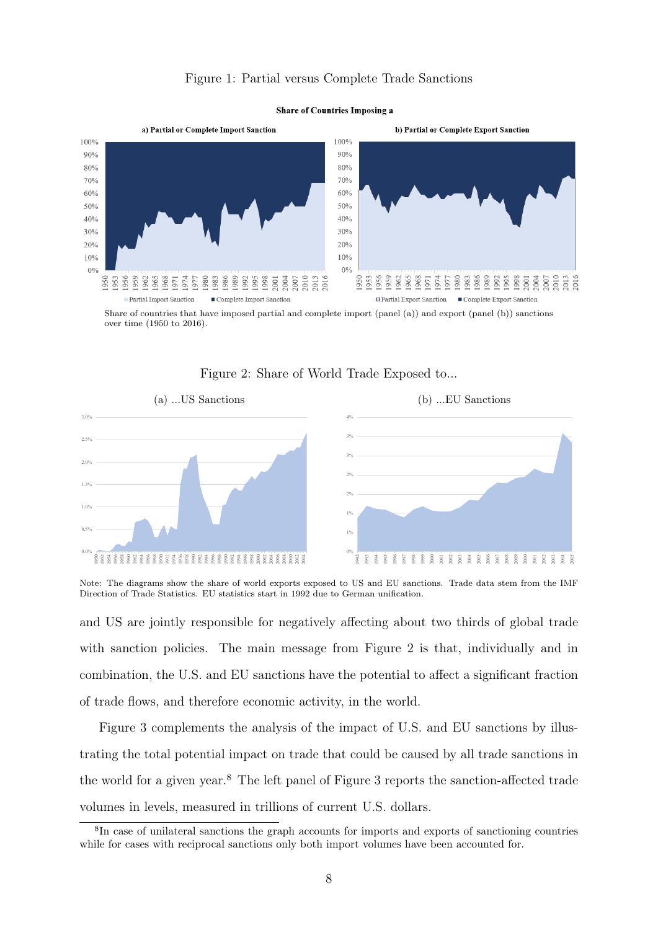### Figure 1: Partial versus Complete Trade Sanctions

<span id="page-8-0"></span>

Share of countries that have imposed partial and complete import (panel (a)) and export (panel (b)) sanctions over time (1950 to 2016).

<span id="page-8-1"></span>



Note: The diagrams show the share of world exports exposed to US and EU sanctions. Trade data stem from the IMF Direction of Trade Statistics. EU statistics start in 1992 due to German unification.

and US are jointly responsible for negatively affecting about two thirds of global trade with sanction policies. The main message from Figure [2](#page-8-1) is that, individually and in combination, the U.S. and EU sanctions have the potential to affect a significant fraction of trade flows, and therefore economic activity, in the world.

Figure [3](#page-9-0) complements the analysis of the impact of U.S. and EU sanctions by illustrating the total potential impact on trade that could be caused by all trade sanctions in the world for a given year.[8](#page-8-2) The left panel of Figure [3](#page-9-0) reports the sanction-affected trade volumes in levels, measured in trillions of current U.S. dollars.

<span id="page-8-2"></span><sup>8</sup> In case of unilateral sanctions the graph accounts for imports and exports of sanctioning countries while for cases with reciprocal sanctions only both import volumes have been accounted for.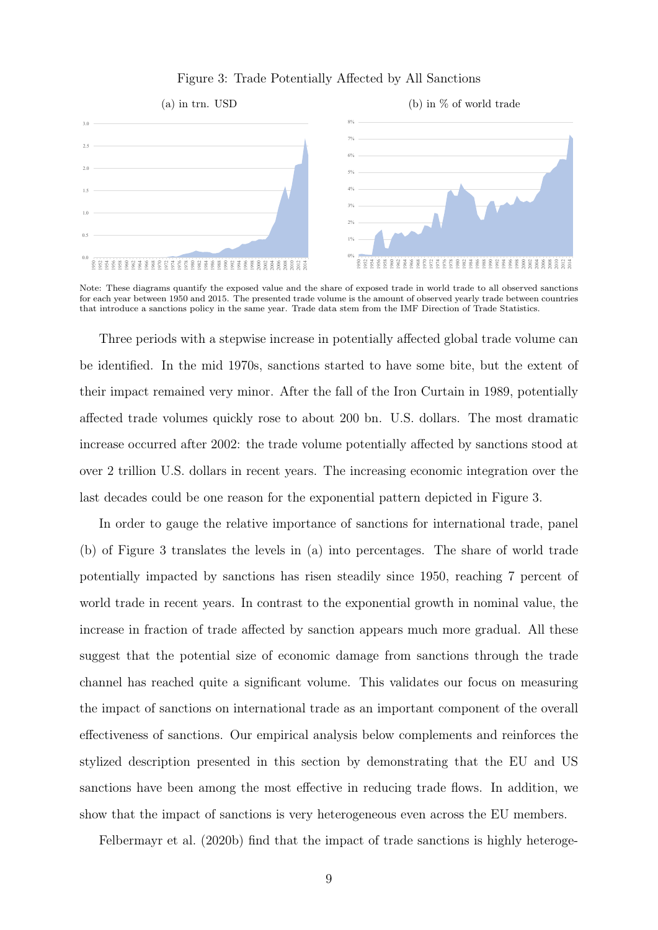

### <span id="page-9-0"></span>Figure 3: Trade Potentially Affected by All Sanctions

that introduce a sanctions policy in the same year. Trade data stem from the IMF Direction of Trade Statistics. for each year between 1950 and 2015. The presented trade volume is the amount of observed yearly trade between countries Note: These diagrams quantify the exposed value and the share of exposed trade in world trade to all observed sanctions

affected trade volumes quickly rose to about 200 bn. U.S. dollars. The most dramatic their impact remained very minor. After the fall of the Iron Curtain in 1989, potentially be identified. In the mid 1970s, sanctions started to have some bite, but the extent of increase occurred after 2002: the trade volume potentially affected by sanctions stood at Three periods with a stepwise increase in potentially affected global trade volume can over 2 trillion U.S. dollars in recent years. The increasing economic integration over the last decades could be one reason for the exponential pattern depicted in Figure [3.](#page-9-0)

In order to gauge the relative importance of sanctions for international trade, panel (b) of Figure [3](#page-9-0) translates the levels in (a) into percentages. The share of world trade potentially impacted by sanctions has risen steadily since 1950, reaching 7 percent of world trade in recent years. In contrast to the exponential growth in nominal value, the increase in fraction of trade affected by sanction appears much more gradual. All these suggest that the potential size of economic damage from sanctions through the trade channel has reached quite a significant volume. This validates our focus on measuring the impact of sanctions on international trade as an important component of the overall effectiveness of sanctions. Our empirical analysis below complements and reinforces the stylized description presented in this section by demonstrating that the EU and US sanctions have been among the most effective in reducing trade flows. In addition, we show that the impact of sanctions is very heterogeneous even across the EU members.

[Felbermayr et al.](#page-37-0) [\(2020b\)](#page-37-0) find that the impact of trade sanctions is highly heteroge-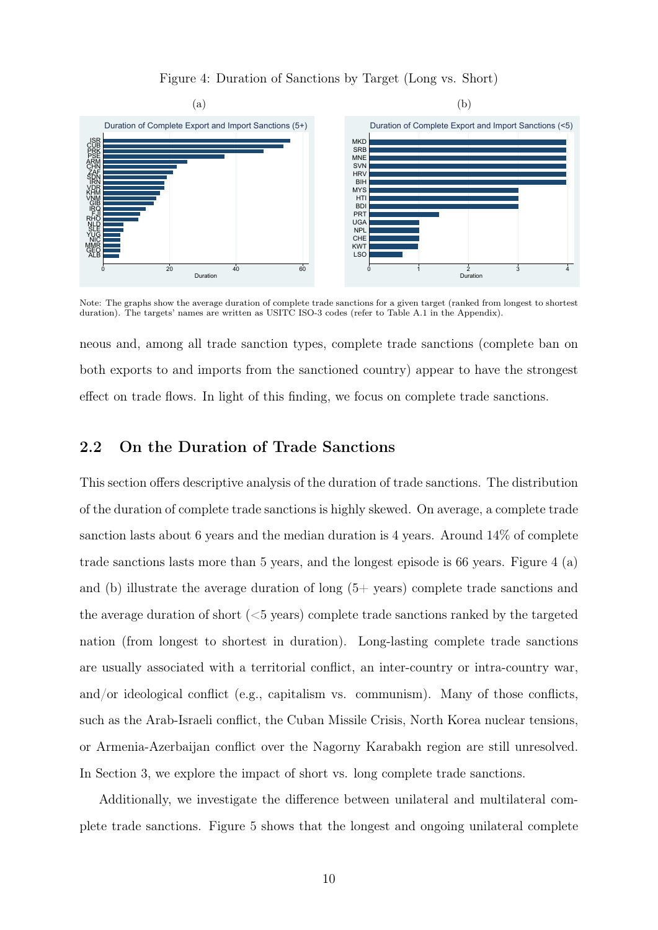### <span id="page-10-1"></span>Figure 4: Duration of Sanctions by Target (Long vs. Short)



Note: The graphs show the average duration of complete trade sanctions for a given target (ranked from longest to shortest duration). The targets' names are written as USITC ISO-3 codes (refer to Table [A.1](#page-41-0) in the Appendix).

neous and, among all trade sanction types, complete trade sanctions (complete ban on both exports to and imports from the sanctioned country) appear to have the strongest effect on trade flows. In light of this finding, we focus on complete trade sanctions.

### <span id="page-10-0"></span>2.2 On the Duration of Trade Sanctions

This section offers descriptive analysis of the duration of trade sanctions. The distribution of the duration of complete trade sanctions is highly skewed. On average, a complete trade sanction lasts about 6 years and the median duration is 4 years. Around 14% of complete trade sanctions lasts more than 5 years, and the longest episode is 66 years. Figure [4](#page-10-1) (a) and (b) illustrate the average duration of long  $(5+$  years) complete trade sanctions and the average duration of short  $(<5$  years) complete trade sanctions ranked by the targeted nation (from longest to shortest in duration). Long-lasting complete trade sanctions are usually associated with a territorial conflict, an inter-country or intra-country war, and/or ideological conflict (e.g., capitalism vs. communism). Many of those conflicts, such as the Arab-Israeli conflict, the Cuban Missile Crisis, North Korea nuclear tensions, or Armenia-Azerbaijan conflict over the Nagorny Karabakh region are still unresolved. In Section [3,](#page-13-1) we explore the impact of short vs. long complete trade sanctions.

Additionally, we investigate the difference between unilateral and multilateral complete trade sanctions. Figure [5](#page-11-0) shows that the longest and ongoing unilateral complete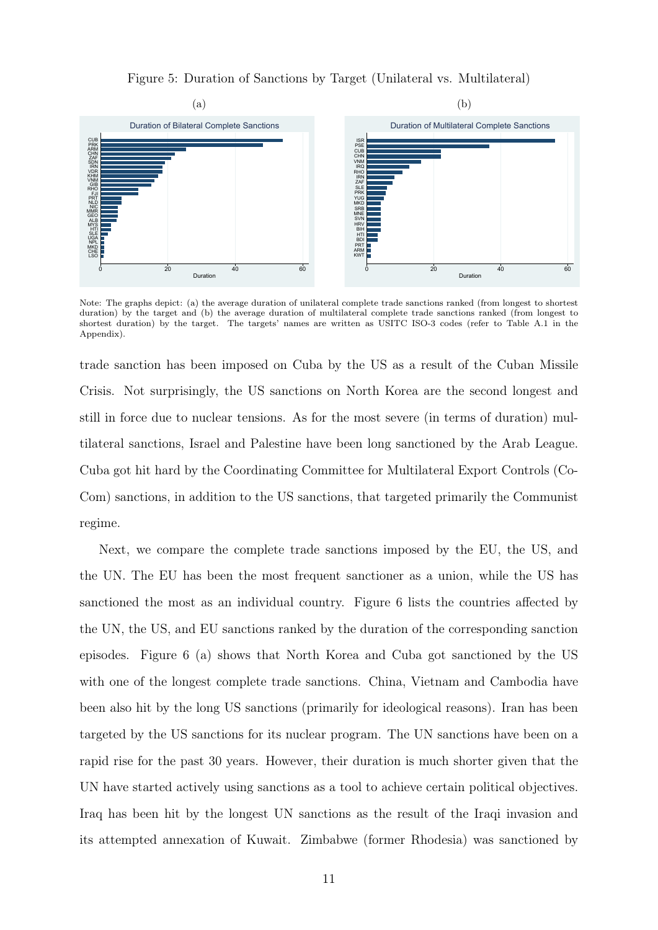### <span id="page-11-0"></span>Figure 5: Duration of Sanctions by Target (Unilateral vs. Multilateral)



Note: The graphs depict: (a) the average duration of unilateral complete trade sanctions ranked (from longest to shortest duration) by the target and (b) the average duration of multilateral complete trade sanctions ranked (from longest to shortest duration) by the target. The targets' names are written as USITC ISO-3 codes (refer to Table [A.1](#page-41-0) in the Appendix).

trade sanction has been imposed on Cuba by the US as a result of the Cuban Missile Crisis. Not surprisingly, the US sanctions on North Korea are the second longest and still in force due to nuclear tensions. As for the most severe (in terms of duration) multilateral sanctions, Israel and Palestine have been long sanctioned by the Arab League. Cuba got hit hard by the Coordinating Committee for Multilateral Export Controls (Co-Com) sanctions, in addition to the US sanctions, that targeted primarily the Communist regime.

Next, we compare the complete trade sanctions imposed by the EU, the US, and the UN. The EU has been the most frequent sanctioner as a union, while the US has sanctioned the most as an individual country. Figure [6](#page-12-0) lists the countries affected by the UN, the US, and EU sanctions ranked by the duration of the corresponding sanction episodes. Figure [6](#page-12-0) (a) shows that North Korea and Cuba got sanctioned by the US with one of the longest complete trade sanctions. China, Vietnam and Cambodia have been also hit by the long US sanctions (primarily for ideological reasons). Iran has been targeted by the US sanctions for its nuclear program. The UN sanctions have been on a rapid rise for the past 30 years. However, their duration is much shorter given that the UN have started actively using sanctions as a tool to achieve certain political objectives. Iraq has been hit by the longest UN sanctions as the result of the Iraqi invasion and its attempted annexation of Kuwait. Zimbabwe (former Rhodesia) was sanctioned by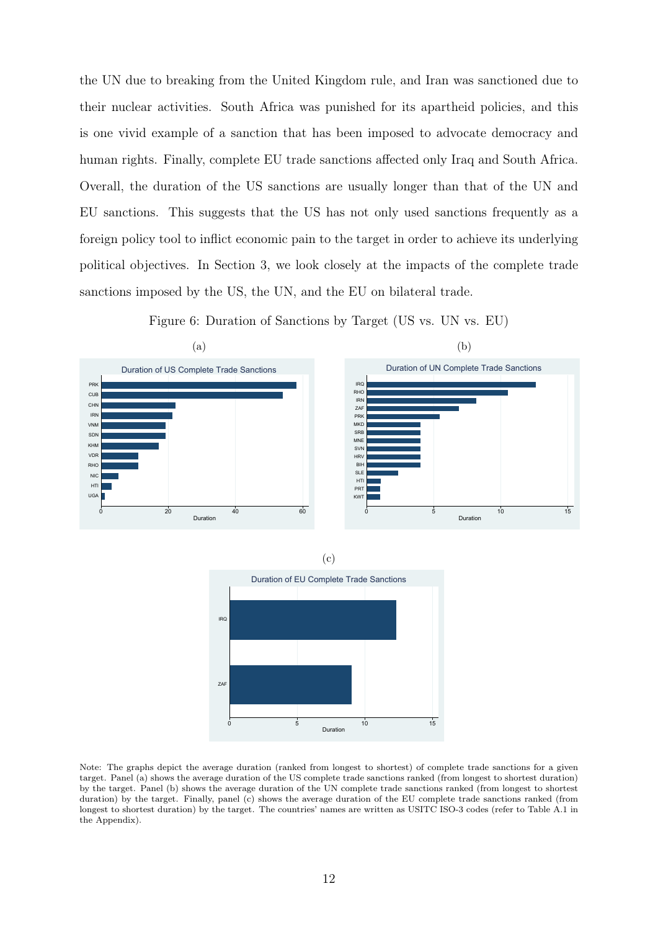the UN due to breaking from the United Kingdom rule, and Iran was sanctioned due to their nuclear activities. South Africa was punished for its apartheid policies, and this is one vivid example of a sanction that has been imposed to advocate democracy and human rights. Finally, complete EU trade sanctions affected only Iraq and South Africa. Overall, the duration of the US sanctions are usually longer than that of the UN and EU sanctions. This suggests that the US has not only used sanctions frequently as a foreign policy tool to inflict economic pain to the target in order to achieve its underlying political objectives. In Section [3,](#page-13-1) we look closely at the impacts of the complete trade sanctions imposed by the US, the UN, and the EU on bilateral trade.







<span id="page-12-0"></span>

Note: The graphs depict the average duration (ranked from longest to shortest) of complete trade sanctions for a given target. Panel (a) shows the average duration of the US complete trade sanctions ranked (from longest to shortest duration) by the target. Panel (b) shows the average duration of the UN complete trade sanctions ranked (from longest to shortest duration) by the target. Finally, panel (c) shows the average duration of the EU complete trade sanctions ranked (from longest to shortest duration) by the target. The countries' names are written as USITC ISO-3 codes (refer to Table [A.1](#page-41-0) in the Appendix).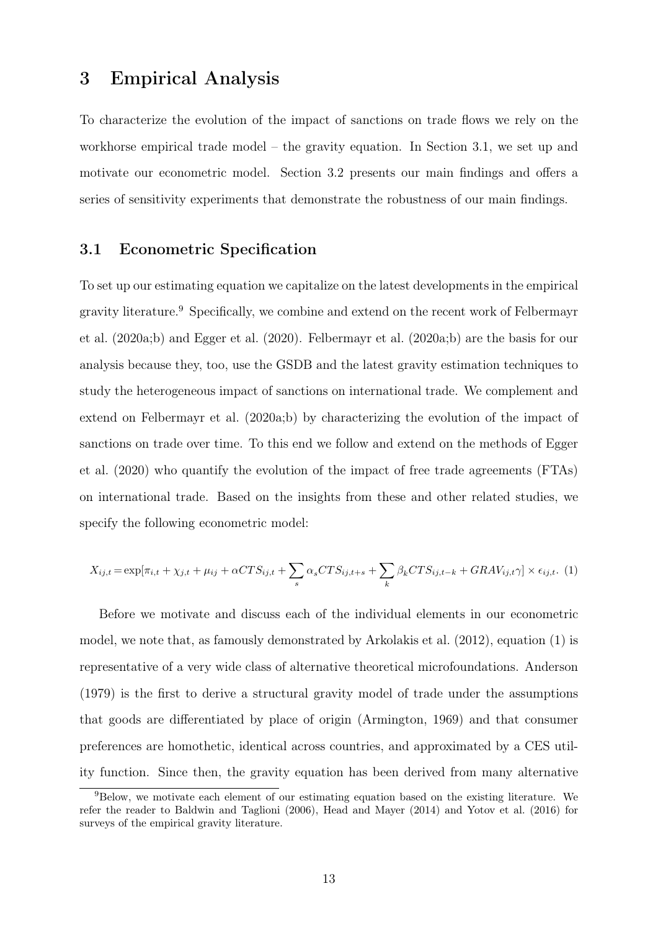## <span id="page-13-1"></span>3 Empirical Analysis

To characterize the evolution of the impact of sanctions on trade flows we rely on the workhorse empirical trade model – the gravity equation. In Section [3.1,](#page-13-0) we set up and motivate our econometric model. Section [3.2](#page-18-0) presents our main findings and offers a series of sensitivity experiments that demonstrate the robustness of our main findings.

### <span id="page-13-0"></span>3.1 Econometric Specification

To set up our estimating equation we capitalize on the latest developments in the empirical gravity literature.[9](#page-13-2) Specifically, we combine and extend on the recent work of [Felbermayr](#page-37-5) [et al.](#page-37-5) [\(2020a](#page-37-5)[;b\)](#page-37-0) and [Egger et al.](#page-37-7) [\(2020\)](#page-37-7). [Felbermayr et al.](#page-37-5) [\(2020a;](#page-37-5)[b\)](#page-37-0) are the basis for our analysis because they, too, use the GSDB and the latest gravity estimation techniques to study the heterogeneous impact of sanctions on international trade. We complement and extend on [Felbermayr et al.](#page-37-5) [\(2020a](#page-37-5)[;b\)](#page-37-0) by characterizing the evolution of the impact of sanctions on trade over time. To this end we follow and extend on the methods of [Egger](#page-37-7) [et al.](#page-37-7) [\(2020\)](#page-37-7) who quantify the evolution of the impact of free trade agreements (FTAs) on international trade. Based on the insights from these and other related studies, we specify the following econometric model:

<span id="page-13-3"></span>
$$
X_{ij,t} = \exp[\pi_{i,t} + \chi_{j,t} + \mu_{ij} + \alpha CTS_{ij,t} + \sum_s \alpha_s CTS_{ij,t+s} + \sum_k \beta_k CTS_{ij,t-k} + GRAV_{ij,t} \gamma] \times \epsilon_{ij,t}.
$$
 (1)

Before we motivate and discuss each of the individual elements in our econometric model, we note that, as famously demonstrated by [Arkolakis et al.](#page-35-4) [\(2012\)](#page-35-4), equation [\(1\)](#page-13-3) is representative of a very wide class of alternative theoretical microfoundations. [Anderson](#page-35-5) [\(1979\)](#page-35-5) is the first to derive a structural gravity model of trade under the assumptions that goods are differentiated by place of origin [\(Armington, 1969\)](#page-35-6) and that consumer preferences are homothetic, identical across countries, and approximated by a CES utility function. Since then, the gravity equation has been derived from many alternative

<span id="page-13-2"></span><sup>9</sup>Below, we motivate each element of our estimating equation based on the existing literature. We refer the reader to [Baldwin and Taglioni](#page-35-7) [\(2006\)](#page-35-7), [Head and Mayer](#page-37-10) [\(2014\)](#page-37-10) and [Yotov et al.](#page-39-3) [\(2016\)](#page-39-3) for surveys of the empirical gravity literature.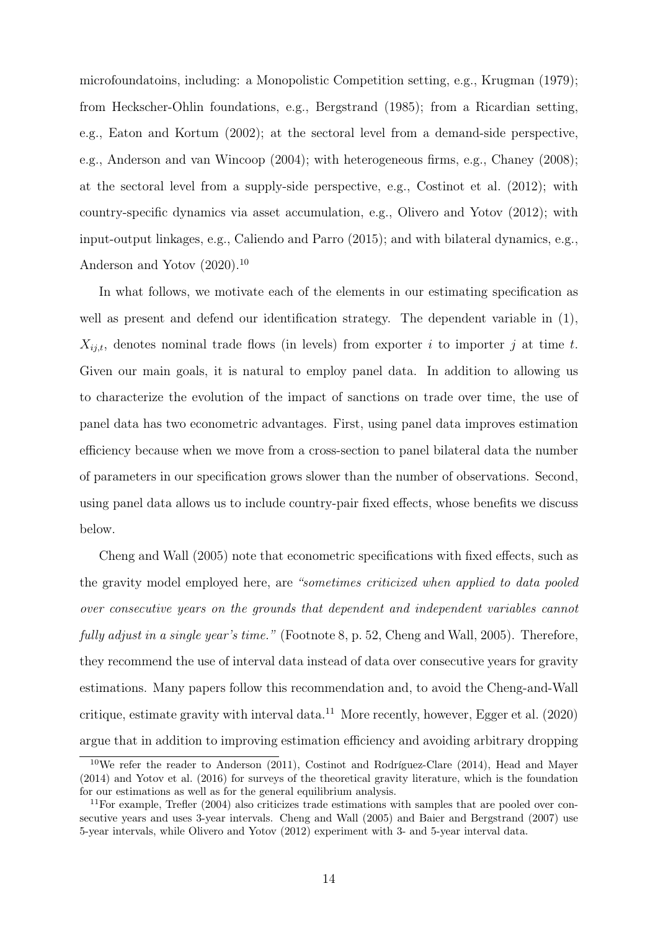microfoundatoins, including: a Monopolistic Competition setting, e.g., [Krugman](#page-37-11) [\(1979\)](#page-37-11); from Heckscher-Ohlin foundations, e.g., [Bergstrand](#page-35-8) [\(1985\)](#page-35-8); from a Ricardian setting, e.g., [Eaton and Kortum](#page-36-9) [\(2002\)](#page-36-9); at the sectoral level from a demand-side perspective, e.g., [Anderson and van Wincoop](#page-35-9) [\(2004\)](#page-35-9); with heterogeneous firms, e.g., [Chaney](#page-36-10) [\(2008\)](#page-36-10); at the sectoral level from a supply-side perspective, e.g., [Costinot et al.](#page-36-11) [\(2012\)](#page-36-11); with country-specific dynamics via asset accumulation, e.g., [Olivero and Yotov](#page-38-12) [\(2012\)](#page-38-12); with input-output linkages, e.g., [Caliendo and Parro](#page-35-10) [\(2015\)](#page-35-10); and with bilateral dynamics, e.g., [Anderson and Yotov](#page-35-11)  $(2020).^{10}$  $(2020).^{10}$  $(2020).^{10}$  $(2020).^{10}$ 

In what follows, we motivate each of the elements in our estimating specification as well as present and defend our identification strategy. The dependent variable in [\(1\)](#page-13-3),  $X_{i,i,t}$ , denotes nominal trade flows (in levels) from exporter i to importer j at time t. Given our main goals, it is natural to employ panel data. In addition to allowing us to characterize the evolution of the impact of sanctions on trade over time, the use of panel data has two econometric advantages. First, using panel data improves estimation efficiency because when we move from a cross-section to panel bilateral data the number of parameters in our specification grows slower than the number of observations. Second, using panel data allows us to include country-pair fixed effects, whose benefits we discuss below.

[Cheng and Wall](#page-36-12) [\(2005\)](#page-36-12) note that econometric specifications with fixed effects, such as the gravity model employed here, are "sometimes criticized when applied to data pooled over consecutive years on the grounds that dependent and independent variables cannot fully adjust in a single year's time." (Footnote 8, p. 52, Cheng and Wall, 2005). Therefore, they recommend the use of interval data instead of data over consecutive years for gravity estimations. Many papers follow this recommendation and, to avoid the Cheng-and-Wall critique, estimate gravity with interval data.<sup>[11](#page-14-1)</sup> More recently, however, [Egger et al.](#page-37-7)  $(2020)$ argue that in addition to improving estimation efficiency and avoiding arbitrary dropping

<span id="page-14-0"></span> $10$ We refer the reader to [Anderson](#page-35-12) [\(2011\)](#page-35-12), [Costinot and Rodríguez-Clare](#page-36-13) [\(2014\)](#page-36-13), [Head and Mayer](#page-37-10) [\(2014\)](#page-37-10) and [Yotov et al.](#page-39-3) [\(2016\)](#page-39-3) for surveys of the theoretical gravity literature, which is the foundation for our estimations as well as for the general equilibrium analysis.

<span id="page-14-1"></span><sup>&</sup>lt;sup>11</sup>For example, [Trefler](#page-39-4) [\(2004\)](#page-39-4) also criticizes trade estimations with samples that are pooled over consecutive years and uses 3-year intervals. [Cheng and Wall](#page-36-12) [\(2005\)](#page-36-12) and [Baier and Bergstrand](#page-35-13) [\(2007\)](#page-35-13) use 5-year intervals, while [Olivero and Yotov](#page-38-12) [\(2012\)](#page-38-12) experiment with 3- and 5-year interval data.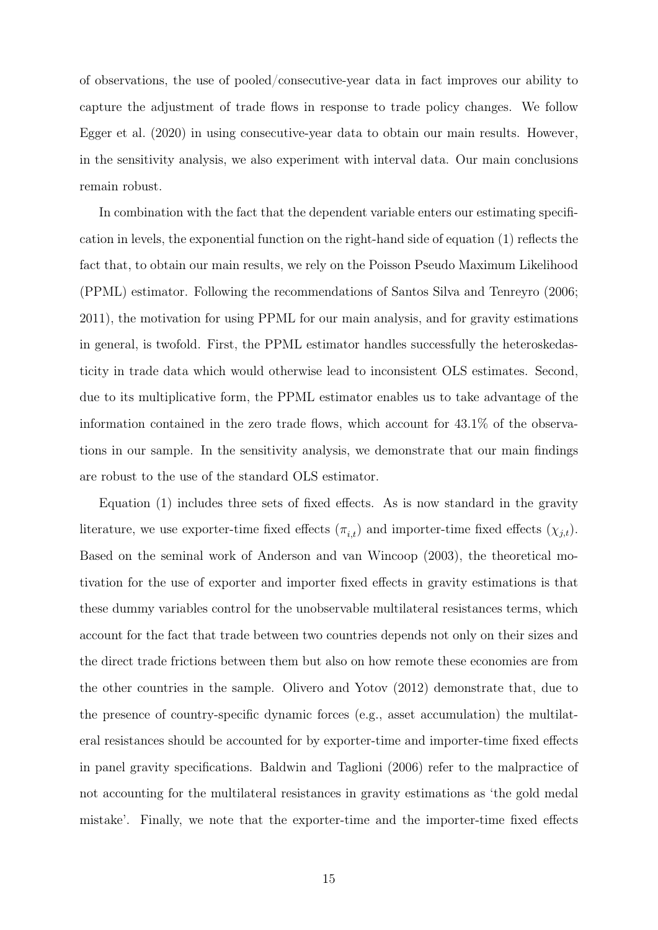of observations, the use of pooled/consecutive-year data in fact improves our ability to capture the adjustment of trade flows in response to trade policy changes. We follow [Egger et al.](#page-37-7) [\(2020\)](#page-37-7) in using consecutive-year data to obtain our main results. However, in the sensitivity analysis, we also experiment with interval data. Our main conclusions remain robust.

In combination with the fact that the dependent variable enters our estimating specification in levels, the exponential function on the right-hand side of equation [\(1\)](#page-13-3) reflects the fact that, to obtain our main results, we rely on the Poisson Pseudo Maximum Likelihood (PPML) estimator. Following the recommendations of [Santos Silva and Tenreyro](#page-38-13) [\(2006;](#page-38-13) [2011\)](#page-38-14), the motivation for using PPML for our main analysis, and for gravity estimations in general, is twofold. First, the PPML estimator handles successfully the heteroskedasticity in trade data which would otherwise lead to inconsistent OLS estimates. Second, due to its multiplicative form, the PPML estimator enables us to take advantage of the information contained in the zero trade flows, which account for 43.1% of the observations in our sample. In the sensitivity analysis, we demonstrate that our main findings are robust to the use of the standard OLS estimator.

Equation [\(1\)](#page-13-3) includes three sets of fixed effects. As is now standard in the gravity literature, we use exporter-time fixed effects  $(\pi_{i,t})$  and importer-time fixed effects  $(\chi_{j,t})$ . Based on the seminal work of [Anderson and van Wincoop](#page-35-14) [\(2003\)](#page-35-14), the theoretical motivation for the use of exporter and importer fixed effects in gravity estimations is that these dummy variables control for the unobservable multilateral resistances terms, which account for the fact that trade between two countries depends not only on their sizes and the direct trade frictions between them but also on how remote these economies are from the other countries in the sample. [Olivero and Yotov](#page-38-12) [\(2012\)](#page-38-12) demonstrate that, due to the presence of country-specific dynamic forces (e.g., asset accumulation) the multilateral resistances should be accounted for by exporter-time and importer-time fixed effects in panel gravity specifications. [Baldwin and Taglioni](#page-35-7) [\(2006\)](#page-35-7) refer to the malpractice of not accounting for the multilateral resistances in gravity estimations as 'the gold medal mistake'. Finally, we note that the exporter-time and the importer-time fixed effects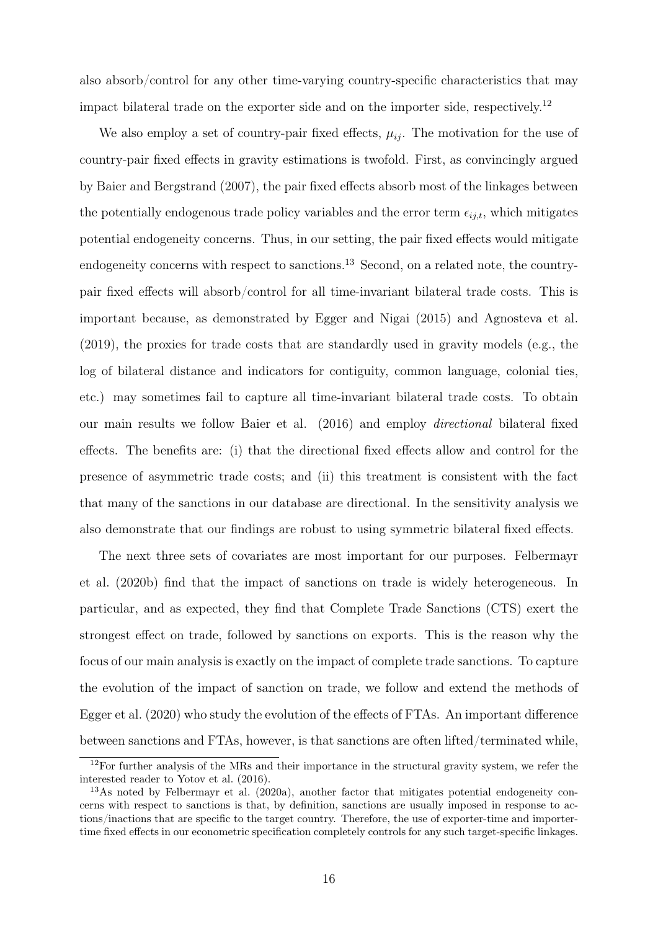also absorb/control for any other time-varying country-specific characteristics that may impact bilateral trade on the exporter side and on the importer side, respectively.[12](#page-16-0)

We also employ a set of country-pair fixed effects,  $\mu_{ij}$ . The motivation for the use of country-pair fixed effects in gravity estimations is twofold. First, as convincingly argued by [Baier and Bergstrand](#page-35-13) [\(2007\)](#page-35-13), the pair fixed effects absorb most of the linkages between the potentially endogenous trade policy variables and the error term  $\epsilon_{ij,t}$ , which mitigates potential endogeneity concerns. Thus, in our setting, the pair fixed effects would mitigate endogeneity concerns with respect to sanctions.<sup>[13](#page-16-1)</sup> Second, on a related note, the countrypair fixed effects will absorb/control for all time-invariant bilateral trade costs. This is important because, as demonstrated by [Egger and Nigai](#page-36-14) [\(2015\)](#page-36-14) and [Agnosteva et al.](#page-35-15) [\(2019\)](#page-35-15), the proxies for trade costs that are standardly used in gravity models (e.g., the log of bilateral distance and indicators for contiguity, common language, colonial ties, etc.) may sometimes fail to capture all time-invariant bilateral trade costs. To obtain our main results we follow Baier et al. (2016) and employ directional bilateral fixed effects. The benefits are: (i) that the directional fixed effects allow and control for the presence of asymmetric trade costs; and (ii) this treatment is consistent with the fact that many of the sanctions in our database are directional. In the sensitivity analysis we also demonstrate that our findings are robust to using symmetric bilateral fixed effects.

The next three sets of covariates are most important for our purposes. [Felbermayr](#page-37-0) [et al.](#page-37-0) [\(2020b\)](#page-37-0) find that the impact of sanctions on trade is widely heterogeneous. In particular, and as expected, they find that Complete Trade Sanctions (CTS) exert the strongest effect on trade, followed by sanctions on exports. This is the reason why the focus of our main analysis is exactly on the impact of complete trade sanctions. To capture the evolution of the impact of sanction on trade, we follow and extend the methods of [Egger et al.](#page-37-7) [\(2020\)](#page-37-7) who study the evolution of the effects of FTAs. An important difference between sanctions and FTAs, however, is that sanctions are often lifted/terminated while,

<span id="page-16-0"></span><sup>&</sup>lt;sup>12</sup>For further analysis of the MRs and their importance in the structural gravity system, we refer the interested reader to [Yotov et al.](#page-39-3) [\(2016\)](#page-39-3).

<span id="page-16-1"></span><sup>&</sup>lt;sup>13</sup>As noted by [Felbermayr et al.](#page-37-5) [\(2020a\)](#page-37-5), another factor that mitigates potential endogeneity concerns with respect to sanctions is that, by definition, sanctions are usually imposed in response to actions/inactions that are specific to the target country. Therefore, the use of exporter-time and importertime fixed effects in our econometric specification completely controls for any such target-specific linkages.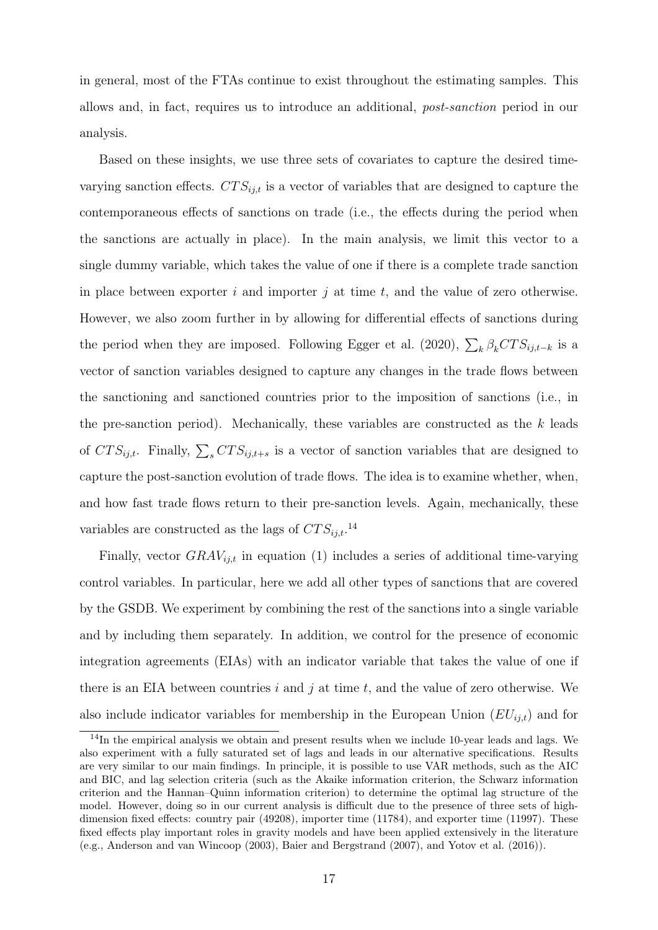in general, most of the FTAs continue to exist throughout the estimating samples. This allows and, in fact, requires us to introduce an additional, post-sanction period in our analysis.

Based on these insights, we use three sets of covariates to capture the desired timevarying sanction effects.  $CTS_{i,t}$  is a vector of variables that are designed to capture the contemporaneous effects of sanctions on trade (i.e., the effects during the period when the sanctions are actually in place). In the main analysis, we limit this vector to a single dummy variable, which takes the value of one if there is a complete trade sanction in place between exporter i and importer j at time t, and the value of zero otherwise. However, we also zoom further in by allowing for differential effects of sanctions during the period when they are imposed. Following [Egger et al.](#page-37-7) [\(2020\)](#page-37-7),  $\sum_{k} \beta_k CTS_{ij,t-k}$  is a vector of sanction variables designed to capture any changes in the trade flows between the sanctioning and sanctioned countries prior to the imposition of sanctions (i.e., in the pre-sanction period). Mechanically, these variables are constructed as the  $k$  leads of  $CTS_{ij,t}$ . Finally,  $\sum_{s} CTS_{ij,t+s}$  is a vector of sanction variables that are designed to capture the post-sanction evolution of trade flows. The idea is to examine whether, when, and how fast trade flows return to their pre-sanction levels. Again, mechanically, these variables are constructed as the lags of  $CTS_{ij,t}$ .<sup>[14](#page-17-0)</sup>

Finally, vector  $GRAV_{i,i,t}$  in equation [\(1\)](#page-13-3) includes a series of additional time-varying control variables. In particular, here we add all other types of sanctions that are covered by the GSDB. We experiment by combining the rest of the sanctions into a single variable and by including them separately. In addition, we control for the presence of economic integration agreements (EIAs) with an indicator variable that takes the value of one if there is an EIA between countries  $i$  and  $j$  at time  $t$ , and the value of zero otherwise. We also include indicator variables for membership in the European Union  $(EU_{ij,t})$  and for

<span id="page-17-0"></span><sup>&</sup>lt;sup>14</sup>In the empirical analysis we obtain and present results when we include 10-year leads and lags. We also experiment with a fully saturated set of lags and leads in our alternative specifications. Results are very similar to our main findings. In principle, it is possible to use VAR methods, such as the AIC and BIC, and lag selection criteria (such as the Akaike information criterion, the Schwarz information criterion and the Hannan–Quinn information criterion) to determine the optimal lag structure of the model. However, doing so in our current analysis is difficult due to the presence of three sets of highdimension fixed effects: country pair (49208), importer time (11784), and exporter time (11997). These fixed effects play important roles in gravity models and have been applied extensively in the literature (e.g., [Anderson and van Wincoop](#page-35-14) [\(2003\)](#page-35-14), [Baier and Bergstrand](#page-35-13) [\(2007\)](#page-35-13), and [Yotov et al.](#page-39-3) [\(2016\)](#page-39-3)).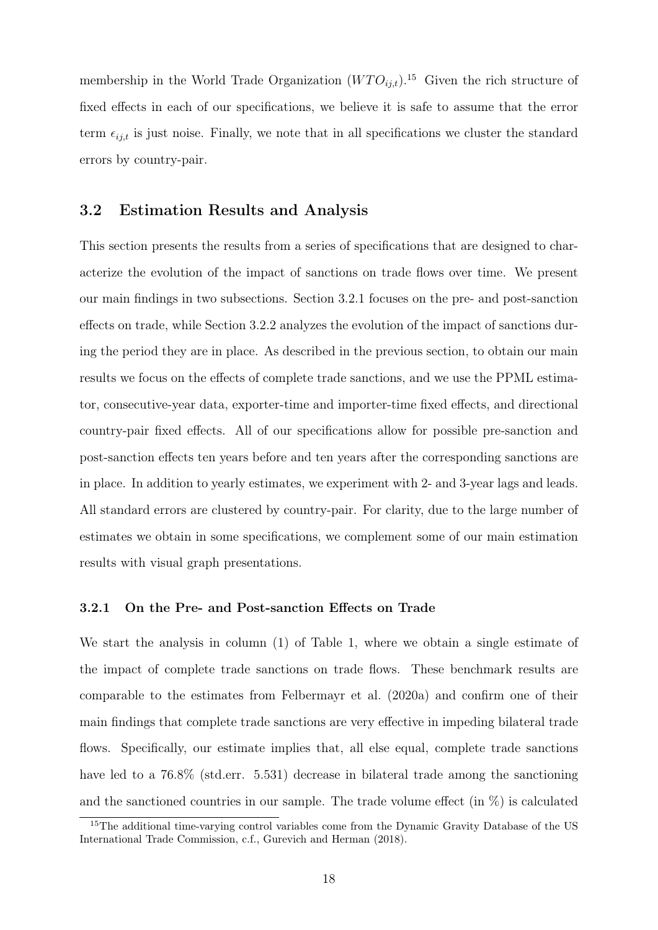membership in the World Trade Organization  $(WTO_{i,t})$ <sup>[15](#page-18-1)</sup> Given the rich structure of fixed effects in each of our specifications, we believe it is safe to assume that the error term  $\epsilon_{ij,t}$  is just noise. Finally, we note that in all specifications we cluster the standard errors by country-pair.

### <span id="page-18-0"></span>3.2 Estimation Results and Analysis

This section presents the results from a series of specifications that are designed to characterize the evolution of the impact of sanctions on trade flows over time. We present our main findings in two subsections. Section [3.2.1](#page-18-2) focuses on the pre- and post-sanction effects on trade, while Section [3.2.2](#page-24-0) analyzes the evolution of the impact of sanctions during the period they are in place. As described in the previous section, to obtain our main results we focus on the effects of complete trade sanctions, and we use the PPML estimator, consecutive-year data, exporter-time and importer-time fixed effects, and directional country-pair fixed effects. All of our specifications allow for possible pre-sanction and post-sanction effects ten years before and ten years after the corresponding sanctions are in place. In addition to yearly estimates, we experiment with 2- and 3-year lags and leads. All standard errors are clustered by country-pair. For clarity, due to the large number of estimates we obtain in some specifications, we complement some of our main estimation results with visual graph presentations.

#### <span id="page-18-2"></span>3.2.1 On the Pre- and Post-sanction Effects on Trade

We start the analysis in column (1) of Table [1,](#page-20-0) where we obtain a single estimate of the impact of complete trade sanctions on trade flows. These benchmark results are comparable to the estimates from [Felbermayr et al.](#page-37-5) [\(2020a\)](#page-37-5) and confirm one of their main findings that complete trade sanctions are very effective in impeding bilateral trade flows. Specifically, our estimate implies that, all else equal, complete trade sanctions have led to a  $76.8\%$  (std.err. 5.531) decrease in bilateral trade among the sanctioning and the sanctioned countries in our sample. The trade volume effect  $(in \%)$  is calculated

<span id="page-18-1"></span><sup>&</sup>lt;sup>15</sup>The additional time-varying control variables come from the Dynamic Gravity Database of the US International Trade Commission, c.f., [Gurevich and Herman](#page-37-12) [\(2018\)](#page-37-12).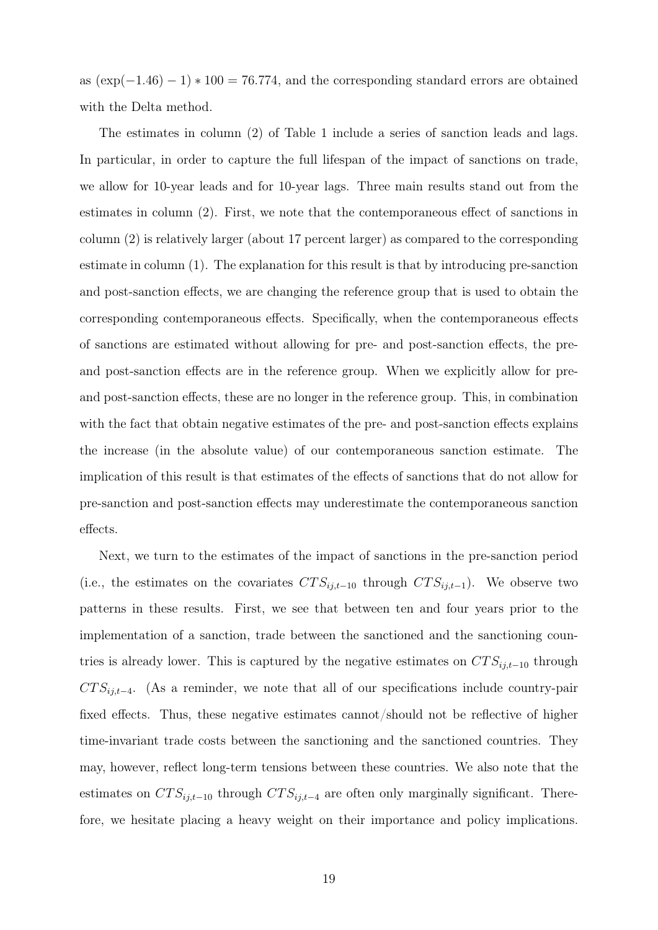as  $(\exp(-1.46) - 1) * 100 = 76.774$ , and the corresponding standard errors are obtained with the Delta method.

The estimates in column (2) of Table [1](#page-20-0) include a series of sanction leads and lags. In particular, in order to capture the full lifespan of the impact of sanctions on trade, we allow for 10-year leads and for 10-year lags. Three main results stand out from the estimates in column (2). First, we note that the contemporaneous effect of sanctions in column (2) is relatively larger (about 17 percent larger) as compared to the corresponding estimate in column (1). The explanation for this result is that by introducing pre-sanction and post-sanction effects, we are changing the reference group that is used to obtain the corresponding contemporaneous effects. Specifically, when the contemporaneous effects of sanctions are estimated without allowing for pre- and post-sanction effects, the preand post-sanction effects are in the reference group. When we explicitly allow for preand post-sanction effects, these are no longer in the reference group. This, in combination with the fact that obtain negative estimates of the pre- and post-sanction effects explains the increase (in the absolute value) of our contemporaneous sanction estimate. The implication of this result is that estimates of the effects of sanctions that do not allow for pre-sanction and post-sanction effects may underestimate the contemporaneous sanction effects.

Next, we turn to the estimates of the impact of sanctions in the pre-sanction period (i.e., the estimates on the covariates  $CTS_{ij,t-10}$  through  $CTS_{ij,t-1}$ ). We observe two patterns in these results. First, we see that between ten and four years prior to the implementation of a sanction, trade between the sanctioned and the sanctioning countries is already lower. This is captured by the negative estimates on  $CTS_{i,i-10}$  through  $CTS_{ij,t-4}$ . (As a reminder, we note that all of our specifications include country-pair fixed effects. Thus, these negative estimates cannot/should not be reflective of higher time-invariant trade costs between the sanctioning and the sanctioned countries. They may, however, reflect long-term tensions between these countries. We also note that the estimates on  $CTS_{ij,t-10}$  through  $CTS_{ij,t-4}$  are often only marginally significant. Therefore, we hesitate placing a heavy weight on their importance and policy implications.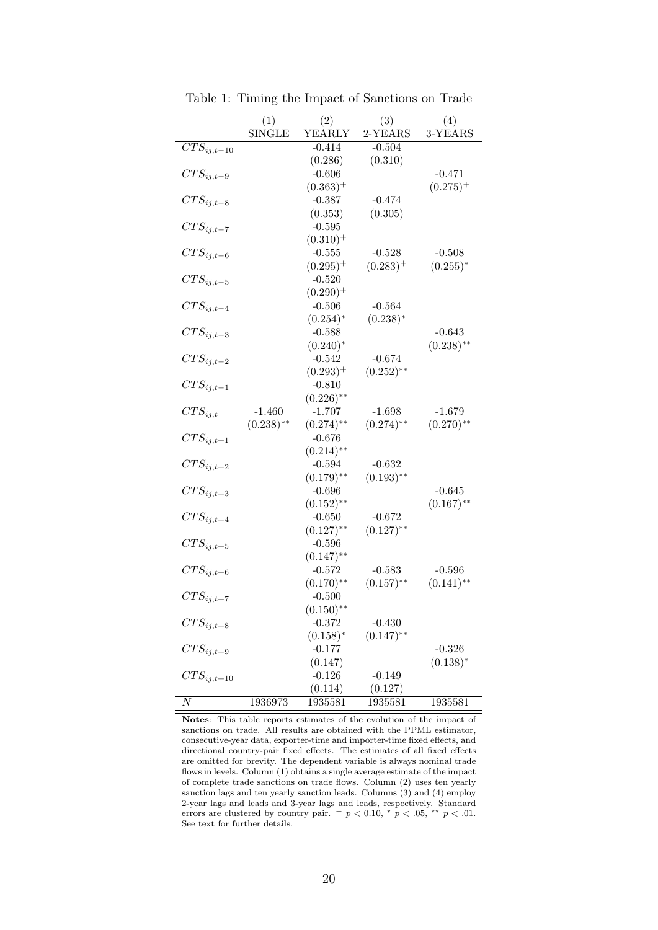<span id="page-20-0"></span>

|                            | $\overline{(1)}$ | $\overline{(2)}$ | $\overline{(3)}$ | $\overline{(4)}$ |
|----------------------------|------------------|------------------|------------------|------------------|
|                            | <b>SINGLE</b>    | YEARLY           | 2-YEARS          | 3-YEARS          |
| $\overline{CTS}_{ij,t-10}$ |                  | $-0.414$         | $-0.504$         |                  |
|                            |                  | (0.286)          | (0.310)          |                  |
| $CTS_{ij,t-9}$             |                  | $-0.606$         |                  | $-0.471$         |
|                            |                  | $(0.363)^+$      |                  | $(0.275)^+$      |
| $CTS_{ij,t-8}$             |                  | $-0.387$         | $-0.474$         |                  |
|                            |                  | (0.353)          | (0.305)          |                  |
| $CTS_{ij,t-7}$             |                  | $-0.595$         |                  |                  |
|                            |                  | $(0.310)^{+}$    |                  |                  |
| $CTS_{ij,t-6}$             |                  | $-0.555$         | $-0.528$         | $-0.508$         |
|                            |                  | $(0.295)^+$      | $(0.283)^+$      | $(0.255)^*$      |
| $CTS_{ij,t-5}$             |                  | $-0.520$         |                  |                  |
|                            |                  | $(0.290)^+$      |                  |                  |
| $CTS_{ij,t-4}$             |                  | $-0.506$         | $-0.564$         |                  |
|                            |                  | $(0.254)^*$      | $(0.238)^*$      |                  |
| $CTS_{ij,t-3}$             |                  | $-0.588$         |                  | $-0.643$         |
|                            |                  | $(0.240)^*$      |                  | $(0.238)$ **     |
| $CTS_{ij,t-2}$             |                  | $-0.542$         | $-0.674$         |                  |
|                            |                  | $(0.293)^+$      | $(0.252)$ **     |                  |
| $CTS_{ij,t-1}$             |                  | $-0.810$         |                  |                  |
|                            |                  | $(0.226)$ **     |                  |                  |
| $CTS_{ij,t}$               | $-1.460$         | $-1.707$         | $-1.698$         | $-1.679$         |
|                            | $(0.238)$ **     | $(0.274)$ **     | $(0.274)$ **     | $(0.270)$ **     |
| $CTS_{ij,t+1}$             |                  | $-0.676$         |                  |                  |
|                            |                  | $(0.214)$ **     |                  |                  |
| $CTS_{ij,t+2}$             |                  | $-0.594$         | $-0.632$         |                  |
|                            |                  | $(0.179)$ **     | $(0.193)$ **     |                  |
|                            |                  | $-0.696$         |                  | $-0.645$         |
| $CTS_{ij,t+3}$             |                  |                  |                  | $(0.167)$ **     |
|                            |                  | $(0.152)$ **     |                  |                  |
| $CTS_{ij,t+4}$             |                  | $-0.650$         | $-0.672$         |                  |
|                            |                  | $(0.127)$ **     | $(0.127)$ **     |                  |
| $CTS_{ij,t+5}$             |                  | $-0.596$         |                  |                  |
|                            |                  | $(0.147)$ **     |                  |                  |
| $CTS_{ij,t+6}$             |                  | $-0.572$         | $-0.583$         | $-0.596$         |
|                            |                  | $(0.170)$ **     | $(0.157)$ **     | $(0.141)$ **     |
| $CTS_{ij,t+7}$             |                  | $-0.500$         |                  |                  |
|                            |                  | $(0.150)$ **     |                  |                  |
| $CTS_{ij,t+8}$             |                  | $-0.372$         | $-0.430$         |                  |
|                            |                  | $(0.158)^*$      | $(0.147)$ **     |                  |
| $CTS_{ij,t+9}$             |                  | $-0.177$         |                  | $-0.326$         |
|                            |                  | (0.147)          |                  | $(0.138)^*$      |
| $CTS_{i,i,t+10}$           |                  | $-0.126$         | $-0.149$         |                  |
|                            |                  | (0.114)          | (0.127)          |                  |
| $\overline{N}$             | 1936973          | 1935581          | 1935581          | 1935581          |

Table 1: Timing the Impact of Sanctions on Trade

Notes: This table reports estimates of the evolution of the impact of sanctions on trade. All results are obtained with the PPML estimator, consecutive-year data, exporter-time and importer-time fixed effects, and directional country-pair fixed effects. The estimates of all fixed effects are omitted for brevity. The dependent variable is always nominal trade flows in levels. Column (1) obtains a single average estimate of the impact of complete trade sanctions on trade flows. Column (2) uses ten yearly sanction lags and ten yearly sanction leads. Columns (3) and (4) employ 2-year lags and leads and 3-year lags and leads, respectively. Standard errors are clustered by country pair.  $+p < 0.10$ ,  $p < 0.05$ ,  $p < 0.01$ . See text for further details.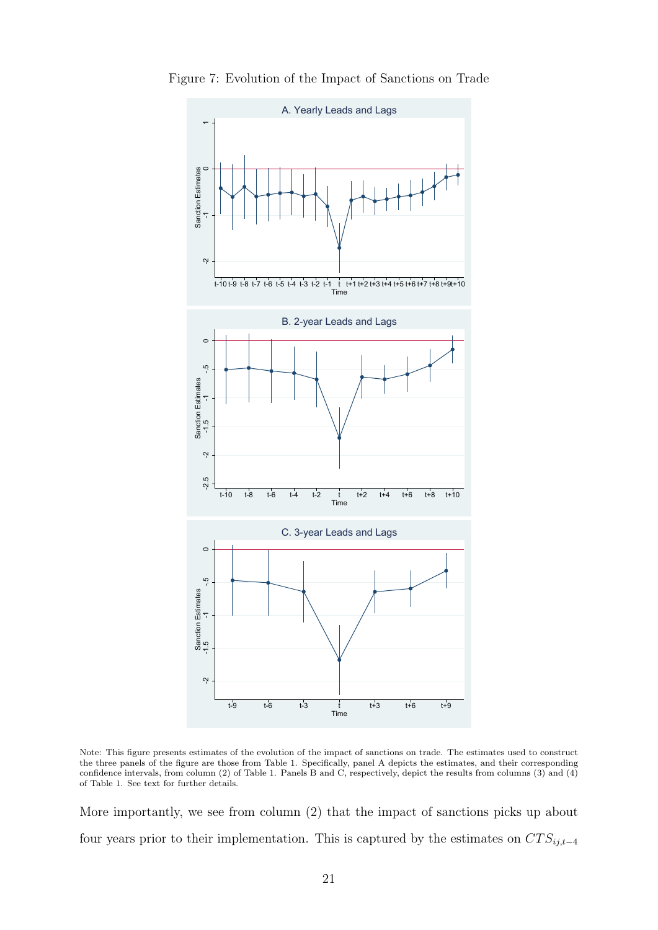

<span id="page-21-0"></span>Figure 7: Evolution of the Impact of Sanctions on Trade

Note: This figure presents estimates of the evolution of the impact of sanctions on trade. The estimates used to construct the three panels of the figure are those from Table [1.](#page-20-0) Specifically, panel A depicts the estimates, and their corresponding confidence intervals, from column (2) of Table [1.](#page-20-0) Panels B and C, respectively, depict the results from columns (3) and (4) of Table [1.](#page-20-0) See text for further details.

More importantly, we see from column (2) that the impact of sanctions picks up about four years prior to their implementation. This is captured by the estimates on  $CTS_{ij,t-4}$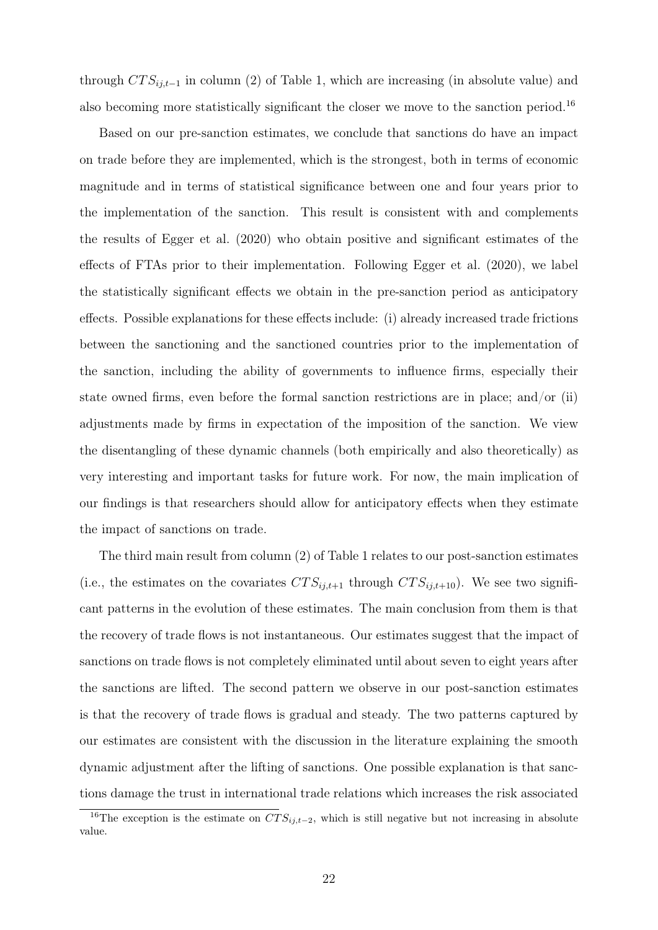through  $CTS_{i,i-1}$  in column (2) of Table [1,](#page-20-0) which are increasing (in absolute value) and also becoming more statistically significant the closer we move to the sanction period.<sup>[16](#page-22-0)</sup>

Based on our pre-sanction estimates, we conclude that sanctions do have an impact on trade before they are implemented, which is the strongest, both in terms of economic magnitude and in terms of statistical significance between one and four years prior to the implementation of the sanction. This result is consistent with and complements the results of [Egger et al.](#page-37-7) [\(2020\)](#page-37-7) who obtain positive and significant estimates of the effects of FTAs prior to their implementation. Following [Egger et al.](#page-37-7) [\(2020\)](#page-37-7), we label the statistically significant effects we obtain in the pre-sanction period as anticipatory effects. Possible explanations for these effects include: (i) already increased trade frictions between the sanctioning and the sanctioned countries prior to the implementation of the sanction, including the ability of governments to influence firms, especially their state owned firms, even before the formal sanction restrictions are in place; and/or (ii) adjustments made by firms in expectation of the imposition of the sanction. We view the disentangling of these dynamic channels (both empirically and also theoretically) as very interesting and important tasks for future work. For now, the main implication of our findings is that researchers should allow for anticipatory effects when they estimate the impact of sanctions on trade.

The third main result from column (2) of Table [1](#page-20-0) relates to our post-sanction estimates (i.e., the estimates on the covariates  $CTS_{ij,t+1}$  through  $CTS_{ij,t+10})$ . We see two significant patterns in the evolution of these estimates. The main conclusion from them is that the recovery of trade flows is not instantaneous. Our estimates suggest that the impact of sanctions on trade flows is not completely eliminated until about seven to eight years after the sanctions are lifted. The second pattern we observe in our post-sanction estimates is that the recovery of trade flows is gradual and steady. The two patterns captured by our estimates are consistent with the discussion in the literature explaining the smooth dynamic adjustment after the lifting of sanctions. One possible explanation is that sanctions damage the trust in international trade relations which increases the risk associated

<span id="page-22-0"></span><sup>&</sup>lt;sup>16</sup>The exception is the estimate on  $\overline{CTS}_{ij,t-2}$ , which is still negative but not increasing in absolute value.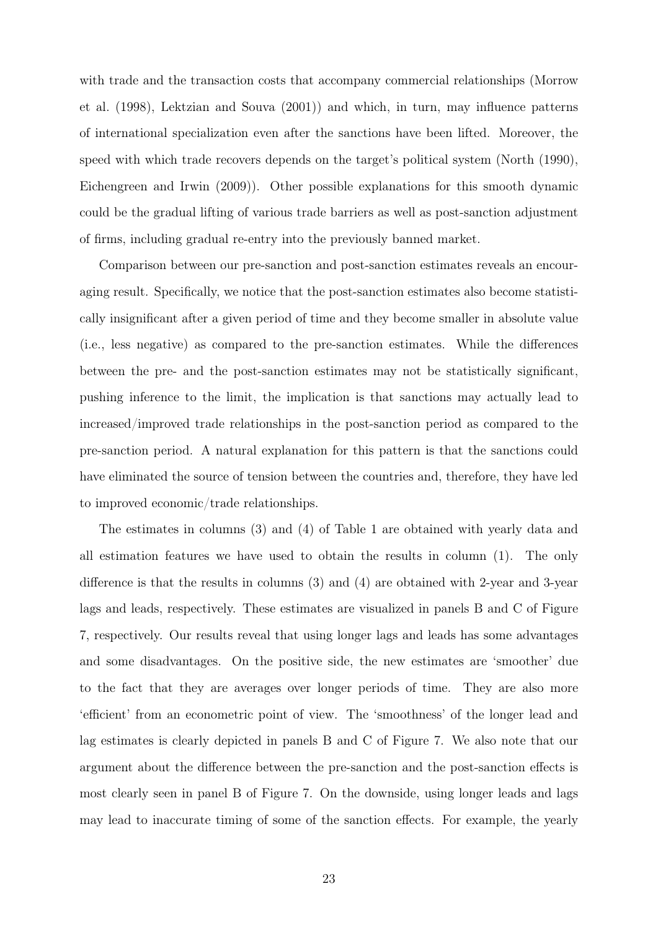with trade and the transaction costs that accompany commercial relationships [\(Morrow](#page-38-6) [et al.](#page-38-6) [\(1998\)](#page-38-6), [Lektzian and Souva](#page-38-7) [\(2001\)](#page-38-7)) and which, in turn, may influence patterns of international specialization even after the sanctions have been lifted. Moreover, the speed with which trade recovers depends on the target's political system [\(North](#page-38-8) [\(1990\)](#page-38-8), [Eichengreen and Irwin](#page-37-9) [\(2009\)](#page-37-9)). Other possible explanations for this smooth dynamic could be the gradual lifting of various trade barriers as well as post-sanction adjustment of firms, including gradual re-entry into the previously banned market.

Comparison between our pre-sanction and post-sanction estimates reveals an encouraging result. Specifically, we notice that the post-sanction estimates also become statistically insignificant after a given period of time and they become smaller in absolute value (i.e., less negative) as compared to the pre-sanction estimates. While the differences between the pre- and the post-sanction estimates may not be statistically significant, pushing inference to the limit, the implication is that sanctions may actually lead to increased/improved trade relationships in the post-sanction period as compared to the pre-sanction period. A natural explanation for this pattern is that the sanctions could have eliminated the source of tension between the countries and, therefore, they have led to improved economic/trade relationships.

The estimates in columns (3) and (4) of Table [1](#page-20-0) are obtained with yearly data and all estimation features we have used to obtain the results in column (1). The only difference is that the results in columns (3) and (4) are obtained with 2-year and 3-year lags and leads, respectively. These estimates are visualized in panels B and C of Figure [7,](#page-21-0) respectively. Our results reveal that using longer lags and leads has some advantages and some disadvantages. On the positive side, the new estimates are 'smoother' due to the fact that they are averages over longer periods of time. They are also more 'efficient' from an econometric point of view. The 'smoothness' of the longer lead and lag estimates is clearly depicted in panels B and C of Figure [7.](#page-21-0) We also note that our argument about the difference between the pre-sanction and the post-sanction effects is most clearly seen in panel B of Figure [7.](#page-21-0) On the downside, using longer leads and lags may lead to inaccurate timing of some of the sanction effects. For example, the yearly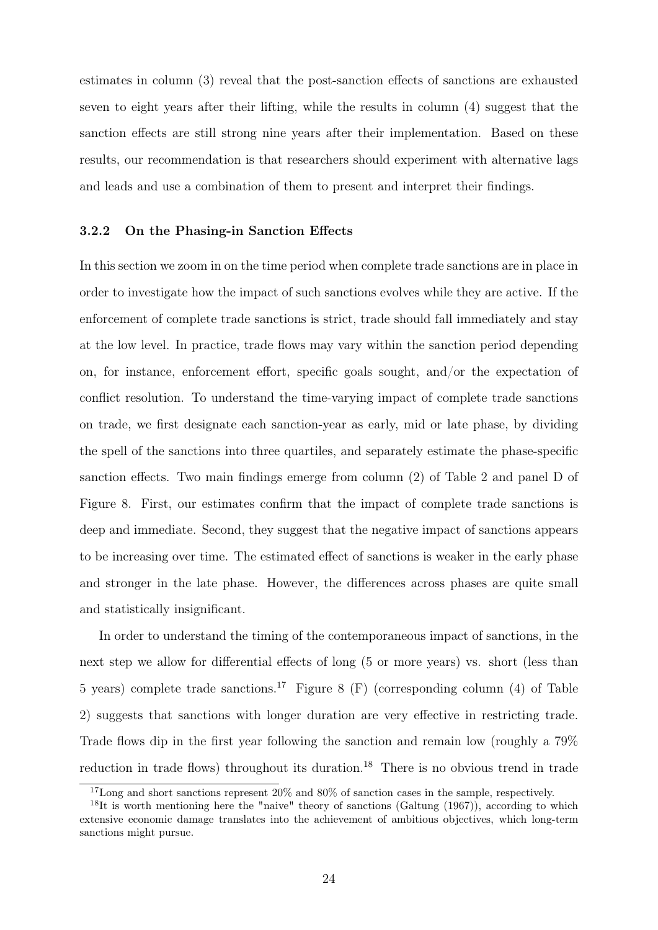estimates in column (3) reveal that the post-sanction effects of sanctions are exhausted seven to eight years after their lifting, while the results in column (4) suggest that the sanction effects are still strong nine years after their implementation. Based on these results, our recommendation is that researchers should experiment with alternative lags and leads and use a combination of them to present and interpret their findings.

#### <span id="page-24-0"></span>3.2.2 On the Phasing-in Sanction Effects

In this section we zoom in on the time period when complete trade sanctions are in place in order to investigate how the impact of such sanctions evolves while they are active. If the enforcement of complete trade sanctions is strict, trade should fall immediately and stay at the low level. In practice, trade flows may vary within the sanction period depending on, for instance, enforcement effort, specific goals sought, and/or the expectation of conflict resolution. To understand the time-varying impact of complete trade sanctions on trade, we first designate each sanction-year as early, mid or late phase, by dividing the spell of the sanctions into three quartiles, and separately estimate the phase-specific sanction effects. Two main findings emerge from column (2) of Table [2](#page-25-0) and panel D of Figure [8.](#page-27-0) First, our estimates confirm that the impact of complete trade sanctions is deep and immediate. Second, they suggest that the negative impact of sanctions appears to be increasing over time. The estimated effect of sanctions is weaker in the early phase and stronger in the late phase. However, the differences across phases are quite small and statistically insignificant.

In order to understand the timing of the contemporaneous impact of sanctions, in the next step we allow for differential effects of long (5 or more years) vs. short (less than 5 years) complete trade sanctions.[17](#page-24-1) Figure [8](#page-27-0) (F) (corresponding column (4) of Table [2\)](#page-25-0) suggests that sanctions with longer duration are very effective in restricting trade. Trade flows dip in the first year following the sanction and remain low (roughly a 79% reduction in trade flows) throughout its duration.<sup>[18](#page-24-2)</sup> There is no obvious trend in trade

<span id="page-24-2"></span><span id="page-24-1"></span><sup>&</sup>lt;sup>17</sup>Long and short sanctions represent 20% and 80% of sanction cases in the sample, respectively.

<sup>&</sup>lt;sup>18</sup>It is worth mentioning here the "naive" theory of sanctions [\(Galtung](#page-37-1) [\(1967\)](#page-37-1)), according to which extensive economic damage translates into the achievement of ambitious objectives, which long-term sanctions might pursue.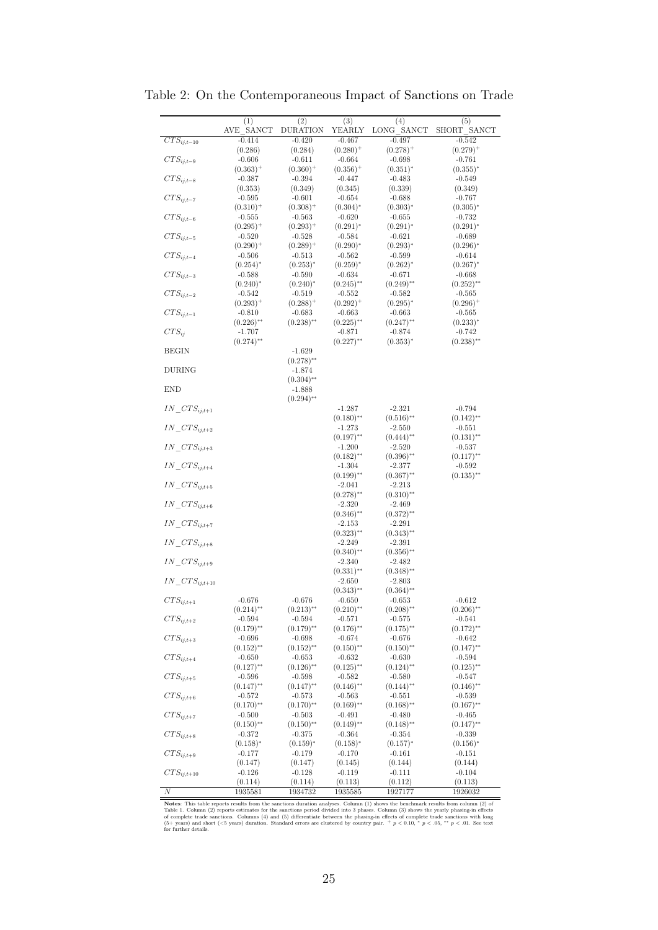|                            | (1)                     | (2)                     | (3)                     | (4)                     | (5)                     |
|----------------------------|-------------------------|-------------------------|-------------------------|-------------------------|-------------------------|
|                            | AVE SANCT               | DURATION                | YEARLY                  | LONG SANCT              | SHORT SANCT             |
| $\overline{CTS_{ij,t-10}}$ | $-0.414$                | $-0.420$                | $-0.467$                | $-0.497$                | $-0.542$                |
|                            |                         |                         |                         |                         |                         |
|                            | (0.286)                 | (0.284)                 | $(0.280)^+$             | $(0.278)^+$             | $(0.279)^+$             |
| $CTS_{ij,t-9}$             | $-0.606$                | $-0.611$                | $-0.664$                | $-0.698$                | $-0.761$                |
|                            | $(0.363)^+$             | $(0.360)^+$             | $(0.356)^+$             | $(0.351)^{*}$           | $(0.355)^{*}$           |
|                            |                         |                         |                         |                         |                         |
| $CTS_{ij,t-8}$             | $-0.387$                | $-0.394$                | $-0.447$                | $-0.483$                | $-0.549$                |
|                            | (0.353)                 | (0.349)                 | (0.345)                 | (0.339)                 | (0.349)                 |
| $CTS_{ij,t-7}$             | $-0.595$                | $-0.601$                | $-0.654$                | $-0.688$                | $-0.767$                |
|                            |                         |                         |                         |                         |                         |
|                            | $(0.310)^{+}$           | $(0.308)^+$             | $(0.304)^{*}$           | $(0.303)^{*}$           | $(0.305)^{*}$           |
| $CTS_{ij,t-6}$             | $-0.555$                | $-0.563$                | $-0.620$                | $-0.655$                | $-0.732$                |
|                            | $(0.295)^+$             | $(0.293)^{+}$           | $(0.291)^{*}$           | $(0.291)^{*}$           | $(0.291)^{*}$           |
| $CTS_{ij,t-5}$             | $-0.520$                | $-0.528$                | $-0.584$                | $-0.621$                | $-0.689$                |
|                            |                         |                         |                         |                         |                         |
|                            | $(0.290)^+$             | $(0.289)^+$             | $(0.290)^{*}$           | $(0.293)^{*}$           | $(0.296)^{*}$           |
| $CTS_{ij,t-4}$             | $-0.506$                | $-0.513$                | $-0.562$                | $-0.599$                | $-0.614$                |
|                            | $(0.254)^{*}$           | $(0.253)^{*}$           | $(0.259)^{*}$           | $(0.262)^{*}$           | $(0.267)^{*}$           |
|                            |                         |                         |                         |                         |                         |
| $CTS_{ij,t-3}$             | $-0.588$                | $-0.590$                | $-0.634$                | $-0.671$                | $-0.668$                |
|                            | $(0.240)^{*}$           | $(0.240)^*$             | $(0.245)$ <sup>**</sup> | $(0.249)$ **            | $(0.252)$ **            |
| $CTS_{ij,t-2}$             | $-0.542$                | $-0.519$                | $-0.552$                | $-0.582$                | $-0.565$                |
|                            |                         |                         |                         |                         |                         |
|                            | $(0.293)^+$             | $(0.288)^+$             | $(0.292)^+$             | $(0.295)^{*}$           | $(0.296)^+$             |
| $CTS_{ij,t-1}$             | $-0.810$                | $-0.683$                | $-0.663$                | $-0.663$                | $-0.565$                |
|                            | $(0.226)$ <sup>**</sup> | $(0.238)$ <sup>**</sup> | $(0.225)$ **            | $(0.247)$ **            | $(0.233)^{*}$           |
| $CTS_{ii}$                 | $-1.707$                |                         | $-0.871$                | $-0.874$                | $-0.742$                |
|                            |                         |                         |                         |                         |                         |
|                            | $(0.274)$ <sup>**</sup> |                         | $(0.227)$ **            | $(0.353)^{*}$           | $(0.238)$ **            |
| <b>BEGIN</b>               |                         | $-1.629$                |                         |                         |                         |
|                            |                         | $(0.278)$ **            |                         |                         |                         |
|                            |                         |                         |                         |                         |                         |
| <b>DURING</b>              |                         | $-1.874$                |                         |                         |                         |
|                            |                         | $(0.304)$ **            |                         |                         |                         |
| <b>END</b>                 |                         | $-1.888$                |                         |                         |                         |
|                            |                         |                         |                         |                         |                         |
|                            |                         | $(0.294)$ **            |                         |                         |                         |
| $IN\_CTS_{i,i,t+1}$        |                         |                         | $-1.287$                | $-2.321$                | $-0.794$                |
|                            |                         |                         | $(0.180)$ <sup>**</sup> | $(0.516)$ <sup>**</sup> | $(0.142)$ **            |
| $IN\_CTS_{ij,t+2}$         |                         |                         | $-1.273$                | $-2.550$                | $-0.551$                |
|                            |                         |                         |                         |                         |                         |
|                            |                         |                         | $(0.197)$ **            | $(0.444)$ **            | $(0.131)$ **            |
| $IN\_CTS_{ij,t+3}$         |                         |                         | $-1.200$                | $-2.520$                | $-0.537$                |
|                            |                         |                         | $(0.182)$ **            | $(0.396)$ **            | $(0.117)$ <sup>**</sup> |
| $IN\_CTS_{ij,t+4}$         |                         |                         |                         |                         |                         |
|                            |                         |                         | -1.304                  | $-2.377$                | $-0.592$                |
|                            |                         |                         | $(0.199)$ **            | $(0.367)$ **            | $(0.135)$ <sup>**</sup> |
| $IN\_CTS_{ij,t+5}$         |                         |                         | $-2.041$                | $-2.213$                |                         |
|                            |                         |                         | $(0.278)$ <sup>**</sup> | $(0.310)$ **            |                         |
|                            |                         |                         |                         |                         |                         |
| $IN\_CTS_{ij,t+6}$         |                         |                         | $-2.320$                | $-2.469$                |                         |
|                            |                         |                         | $(0.346)$ **            | $(0.372)$ **            |                         |
| $IN\_CTS_{ij,t+7}$         |                         |                         | $-2.153$                | $-2.291$                |                         |
|                            |                         |                         |                         |                         |                         |
|                            |                         |                         | $(0.323)$ **            | $(0.343)$ **            |                         |
| $IN\_CTS_{ij,t+8}$         |                         |                         | $-2.249$                | $-2.391$                |                         |
|                            |                         |                         | $(0.340)$ **            | $(0.356)$ **            |                         |
| $IN\_CTS_{ij,t+9}$         |                         |                         | $-2.340$                | $-2.482$                |                         |
|                            |                         |                         |                         |                         |                         |
|                            |                         |                         | $(0.331)$ **            | $(0.348)$ <sup>**</sup> |                         |
| $IN\_CTS_{i,i,t+10}$       |                         |                         | $-2.650$                | $-2.803$                |                         |
|                            |                         |                         | $(0.343)$ **            | $(0.364)$ **            |                         |
| $CTS_{ij,t+1}$             | $-0.676$                | $-0.676$                | $-0.650$                | $-0.653$                | $-0.612$                |
|                            |                         |                         |                         |                         |                         |
|                            | (0.214)                 | $(0.213)$ <sup>*</sup>  | $(0.210)^{*}$           | (0.208)                 | $(0.206)^{*}$           |
| $CTS_{ij,t+2}$             | $-0.594$                | $-0.594$                | $-0.571$                | $-0.575$                | $-0.541$                |
|                            | $(0.179)$ **            | $(0.179)$ <sup>**</sup> | $(0.176)$ **            | $(0.175)$ **            | $(0.172)$ **            |
|                            |                         |                         |                         |                         |                         |
| $CTS_{ij,t+3}$             | $-0.696$                | $-0.698$                | $-0.674$                | $-0.676$                | $-0.642$                |
|                            | $(0.152)$ **            | $(0.152)$ <sup>**</sup> | $(0.150)$ **            | $(0.150)$ **            | $(0.147)$ **            |
| $CTS_{ij,t+4}$             | $-0.650$                | $-0.653$                | $-0.632$                | $-0.630$                | $-0.594$                |
|                            | $(0.127)$ **            | $(0.126)$ <sup>**</sup> | $(0.125)$ **            | $(0.124)$ **            | $(0.125)$ **            |
|                            |                         |                         |                         |                         |                         |
| $CTS_{ij,t+5}$             | $-0.596$                | $-0.598$                | $-0.582$                | $-0.580$                | $-0.547$                |
|                            | $(0.147)$ **            | $(0.147)$ **            | $(0.146)$ **            | $(0.144)$ **            | $(0.146)$ **            |
| $CTS_{ij,t+6}$             | $-0.572$                | $-0.573$                | $-0.563$                | $-0.551$                | $-0.539$                |
|                            |                         |                         |                         |                         |                         |
|                            | $(0.170)$ **            | $(0.170)$ <sup>**</sup> | $(0.169)$ <sup>**</sup> | $(0.168)$ **            | $(0.167)$ <sup>**</sup> |
| $CTS_{ij,t+7}$             | $-0.500$                | $-0.503$                | $-0.491$                | $-0.480$                | $-0.465$                |
|                            | $(0.150)$ **            | $(0.150)$ <sup>**</sup> | $(0.149)$ <sup>**</sup> | $(0.148)$ **            | $(0.147)$ <sup>**</sup> |
| $CTS_{ij,t+8}$             | $-0.372$                | $-0.375$                | $-0.364$                | $-0.354$                | $-0.339$                |
|                            |                         |                         |                         |                         |                         |
|                            | $(0.158)^{*}$           | $(0.159)^*$             | $(0.158)^{*}$           | $(0.157)^{*}$           | $(0.156)^{*}$           |
| $CTS_{ij,t+9}$             | $-0.177$                | $-0.179$                | $-0.170$                | $-0.161$                | $-0.151$                |
|                            | (0.147)                 | (0.147)                 | (0.145)                 | (0.144)                 | (0.144)                 |
| $CTS_{ij,t+10}$            | $-0.126$                | $-0.128$                | $-0.119$                | $-0.111$                | $-0.104$                |
|                            |                         |                         |                         |                         |                         |
|                            | (0.114)                 | (0.114)                 | (0.113)                 | (0.112)                 | (0.113)                 |
| $\overline{N}$             | 1935581                 | 1934732                 | 1935585                 | 1927177                 | 1926032                 |

<span id="page-25-0"></span>Table 2: On the Contemporaneous Impact of Sanctions on Trade

**Notes:** This table reports results from the sanctions duration analyses. Column (1) shows the benchmark results from column (2) of Table [1.](#page-20-0) Column (2) reports estimates for the sanctions period divided into 3 phases. Col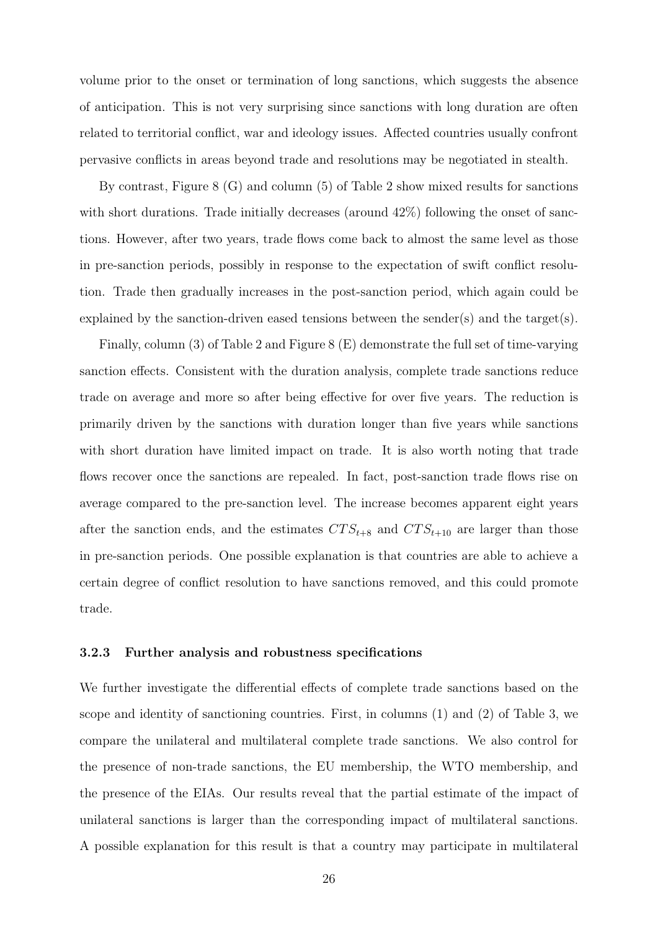volume prior to the onset or termination of long sanctions, which suggests the absence of anticipation. This is not very surprising since sanctions with long duration are often related to territorial conflict, war and ideology issues. Affected countries usually confront pervasive conflicts in areas beyond trade and resolutions may be negotiated in stealth.

By contrast, Figure [8](#page-27-0) (G) and column (5) of Table [2](#page-25-0) show mixed results for sanctions with short durations. Trade initially decreases (around  $42\%$ ) following the onset of sanctions. However, after two years, trade flows come back to almost the same level as those in pre-sanction periods, possibly in response to the expectation of swift conflict resolution. Trade then gradually increases in the post-sanction period, which again could be explained by the sanction-driven eased tensions between the sender(s) and the target(s).

Finally, column (3) of Table [2](#page-25-0) and Figure [8](#page-27-0) (E) demonstrate the full set of time-varying sanction effects. Consistent with the duration analysis, complete trade sanctions reduce trade on average and more so after being effective for over five years. The reduction is primarily driven by the sanctions with duration longer than five years while sanctions with short duration have limited impact on trade. It is also worth noting that trade flows recover once the sanctions are repealed. In fact, post-sanction trade flows rise on average compared to the pre-sanction level. The increase becomes apparent eight years after the sanction ends, and the estimates  $CTS_{t+8}$  and  $CTS_{t+10}$  are larger than those in pre-sanction periods. One possible explanation is that countries are able to achieve a certain degree of conflict resolution to have sanctions removed, and this could promote trade.

#### 3.2.3 Further analysis and robustness specifications

We further investigate the differential effects of complete trade sanctions based on the scope and identity of sanctioning countries. First, in columns (1) and (2) of Table [3,](#page-30-0) we compare the unilateral and multilateral complete trade sanctions. We also control for the presence of non-trade sanctions, the EU membership, the WTO membership, and the presence of the EIAs. Our results reveal that the partial estimate of the impact of unilateral sanctions is larger than the corresponding impact of multilateral sanctions. A possible explanation for this result is that a country may participate in multilateral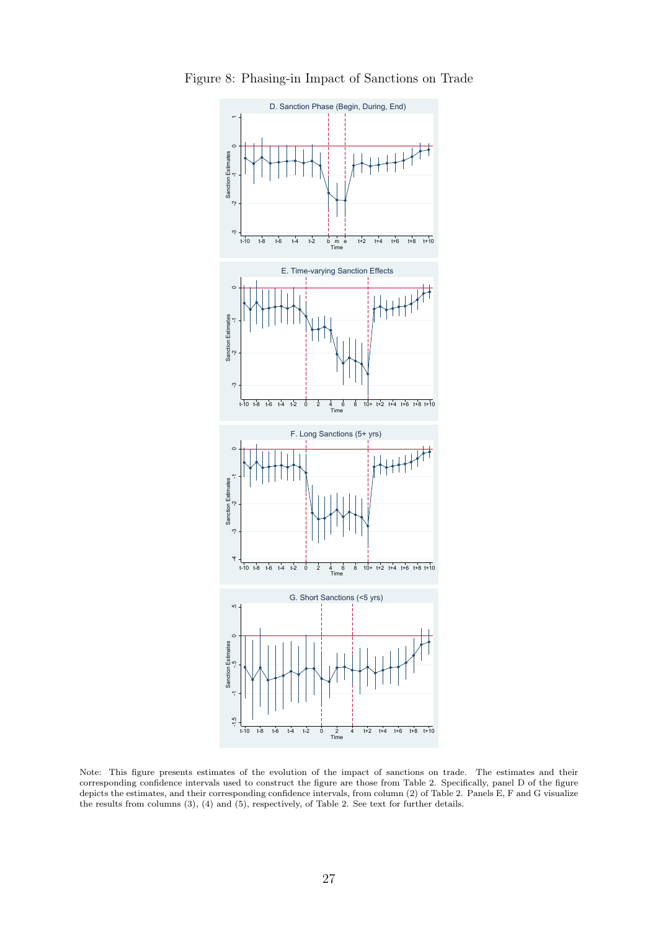

<span id="page-27-0"></span>Figure 8: Phasing-in Impact of Sanctions on Trade

Note: This figure presents estimates of the evolution of the impact of sanctions on trade. The estimates and their corresponding confidence intervals used to construct the figure are those from Table [2.](#page-25-0) Specifically, panel D of the figure depicts the estimates, and their corresponding confidence intervals, from column (2) of Table [2.](#page-25-0) Panels E, F and G visualize the results from columns (3), (4) and (5), respectively, of Table [2.](#page-25-0) See text for further details.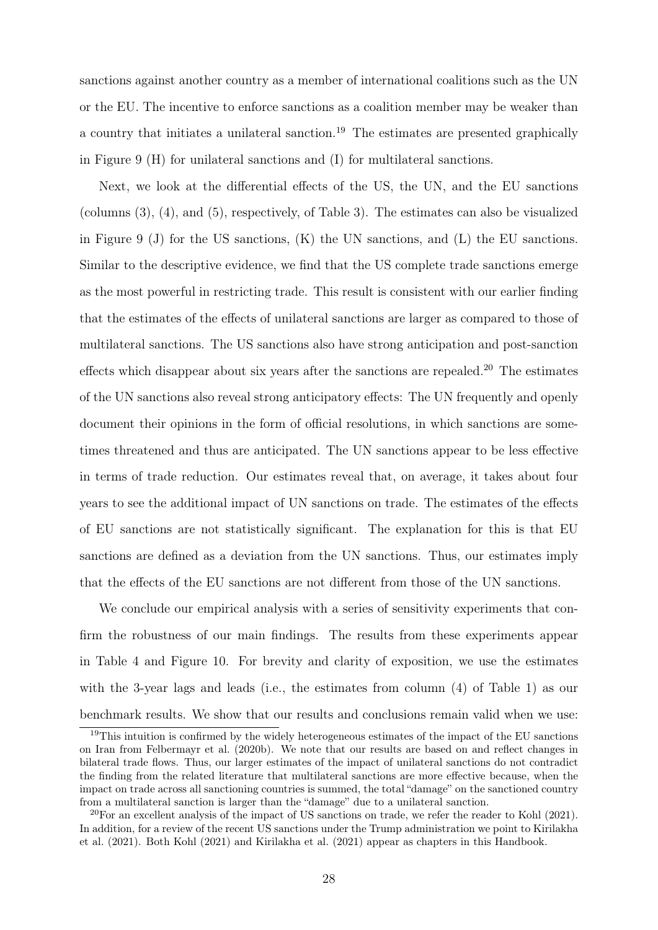sanctions against another country as a member of international coalitions such as the UN or the EU. The incentive to enforce sanctions as a coalition member may be weaker than a country that initiates a unilateral sanction.<sup>[19](#page-28-0)</sup> The estimates are presented graphically in Figure [9](#page-29-0) (H) for unilateral sanctions and (I) for multilateral sanctions.

Next, we look at the differential effects of the US, the UN, and the EU sanctions (columns (3), (4), and (5), respectively, of Table [3\)](#page-30-0). The estimates can also be visualized in Figure [9](#page-29-0) (J) for the US sanctions, (K) the UN sanctions, and (L) the EU sanctions. Similar to the descriptive evidence, we find that the US complete trade sanctions emerge as the most powerful in restricting trade. This result is consistent with our earlier finding that the estimates of the effects of unilateral sanctions are larger as compared to those of multilateral sanctions. The US sanctions also have strong anticipation and post-sanction effects which disappear about six years after the sanctions are repealed.<sup>[20](#page-28-1)</sup> The estimates of the UN sanctions also reveal strong anticipatory effects: The UN frequently and openly document their opinions in the form of official resolutions, in which sanctions are sometimes threatened and thus are anticipated. The UN sanctions appear to be less effective in terms of trade reduction. Our estimates reveal that, on average, it takes about four years to see the additional impact of UN sanctions on trade. The estimates of the effects of EU sanctions are not statistically significant. The explanation for this is that EU sanctions are defined as a deviation from the UN sanctions. Thus, our estimates imply that the effects of the EU sanctions are not different from those of the UN sanctions.

We conclude our empirical analysis with a series of sensitivity experiments that confirm the robustness of our main findings. The results from these experiments appear in Table [4](#page-31-0) and Figure [10.](#page-33-0) For brevity and clarity of exposition, we use the estimates with the 3-year lags and leads (i.e., the estimates from column (4) of Table [1\)](#page-20-0) as our benchmark results. We show that our results and conclusions remain valid when we use:

<span id="page-28-0"></span> $19$ This intuition is confirmed by the widely heterogeneous estimates of the impact of the EU sanctions on Iran from [Felbermayr et al.](#page-37-0) [\(2020b\)](#page-37-0). We note that our results are based on and reflect changes in bilateral trade flows. Thus, our larger estimates of the impact of unilateral sanctions do not contradict the finding from the related literature that multilateral sanctions are more effective because, when the impact on trade across all sanctioning countries is summed, the total "damage" on the sanctioned country from a multilateral sanction is larger than the "damage" due to a unilateral sanction.

<span id="page-28-1"></span> $^{20}$ For an excellent analysis of the impact of US sanctions on trade, we refer the reader to [Kohl](#page-37-13) [\(2021\)](#page-37-13). In addition, for a review of the recent US sanctions under the Trump administration we point to [Kirilakha](#page-37-6) [et al.](#page-37-6) [\(2021\)](#page-37-6). Both [Kohl](#page-37-13) [\(2021\)](#page-37-13) and [Kirilakha et al.](#page-37-6) [\(2021\)](#page-37-6) appear as chapters in this Handbook.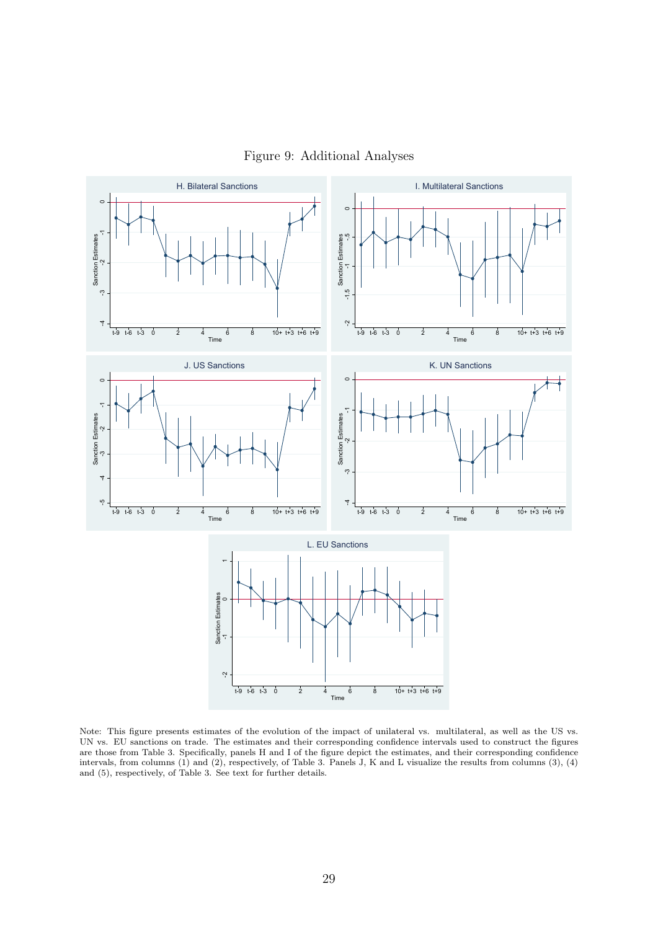

<span id="page-29-0"></span>

Note: This figure presents estimates of the evolution of the impact of unilateral vs. multilateral, as well as the US vs. UN vs. EU sanctions on trade. The estimates and their corresponding confidence intervals used to construct the figures are those from Table [3.](#page-30-0) Specifically, panels H and I of the figure depict the estimates, and their corresponding confidence intervals, from columns (1) and (2), respectively, of Table [3.](#page-30-0) Panels J, K and L visualize the results from columns (3), (4) and (5), respectively, of Table [3.](#page-30-0) See text for further details.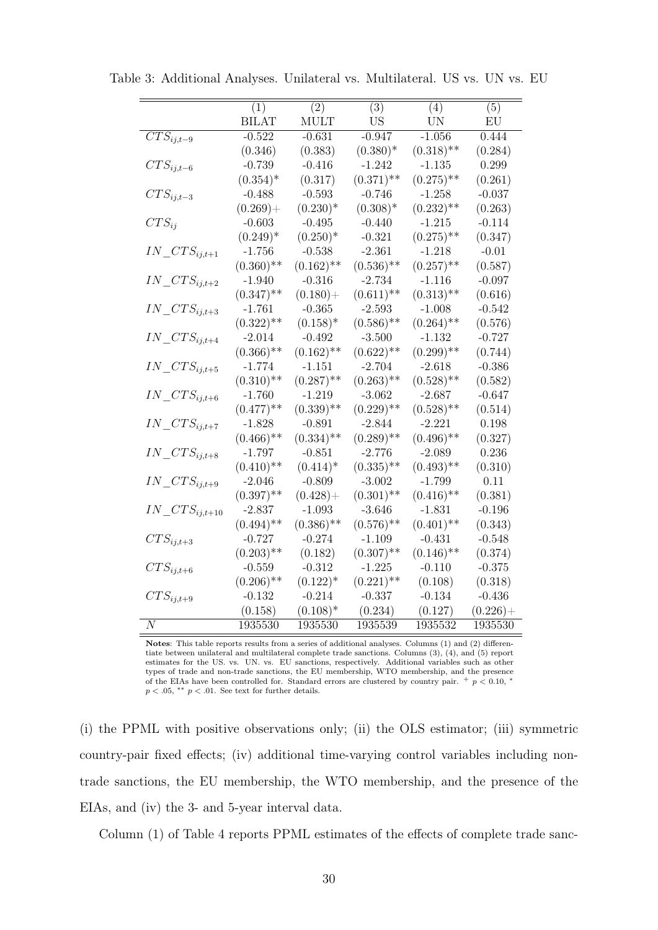|                           | (1)          | $\overline{(2)}$ | (3)          | (4)          | (5)         |
|---------------------------|--------------|------------------|--------------|--------------|-------------|
|                           | <b>BILAT</b> | MULT             | <b>US</b>    | <b>UN</b>    | EU          |
| $\overline{CTS_{ij,t-9}}$ | $-0.522$     | $-0.631$         | $-0.947$     | $-1.056$     | 0.444       |
|                           | (0.346)      | (0.383)          | $(0.380)*$   | $(0.318)$ ** | (0.284)     |
| $CTS_{ij,t-6}$            | $-0.739$     | $-0.416$         | $-1.242$     | $-1.135$     | 0.299       |
|                           | $(0.354)^*$  | (0.317)          | $(0.371)$ ** | $(0.275)$ ** | (0.261)     |
| $CTS_{ij,t-3}$            | $-0.488$     | $-0.593$         | $-0.746$     | $-1.258$     | $-0.037$    |
|                           | $(0.269) +$  | $(0.230)^*$      | $(0.308)^*$  | $(0.232)$ ** | (0.263)     |
| $CTS_{ij}$                | $-0.603$     | $-0.495$         | $-0.440$     | $-1.215$     | $-0.114$    |
|                           | $(0.249)^*$  | $(0.250)^*$      | $-0.321$     | $(0.275)$ ** | (0.347)     |
| $IN\_CTS_{ij,t+1}$        | $-1.756$     | $-0.538$         | $-2.361$     | $-1.218$     | $-0.01$     |
|                           | $(0.360)$ ** | $(0.162)$ **     | $(0.536)$ ** | $(0.257)$ ** | (0.587)     |
| $IN\_CTS_{ij,t+2}$        | $-1.940$     | $-0.316$         | $-2.734$     | $-1.116$     | $-0.097$    |
|                           | $(0.347)$ ** | $(0.180) +$      | $(0.611)$ ** | $(0.313)$ ** | (0.616)     |
| $IN\_CTS_{ij,t+3}$        | $-1.761$     | $-0.365$         | $-2.593$     | $-1.008$     | $-0.542$    |
|                           | $(0.322)$ ** | $(0.158)^*$      | $(0.586)$ ** | $(0.264)$ ** | (0.576)     |
| $IN\_CTS_{ij,t+4}$        | $-2.014$     | $-0.492$         | $-3.500$     | $-1.132$     | $-0.727$    |
|                           | $(0.366)$ ** | $(0.162)$ **     | $(0.622)$ ** | $(0.299)$ ** | (0.744)     |
| $IN\_CTS_{ij,t+5}$        | $-1.774$     | $-1.151$         | $-2.704$     | $-2.618$     | $-0.386$    |
|                           | $(0.310)$ ** | $(0.287)$ **     | $(0.263)$ ** | $(0.528)$ ** | (0.582)     |
| $IN\_CTS_{ij,t+6}$        | $-1.760$     | $-1.219$         | $-3.062$     | $-2.687$     | $-0.647$    |
|                           | $(0.477)$ ** | $(0.339)$ **     | $(0.229)$ ** | $(0.528)$ ** | (0.514)     |
| $IN\_CTS_{ij,t+7}$        | $-1.828$     | $-0.891$         | $-2.844$     | $-2.221$     | 0.198       |
|                           | $(0.466)$ ** | $(0.334)$ **     | $(0.289)$ ** | $(0.496)$ ** | (0.327)     |
| $IN\_CTS_{ij,t+8}$        | $-1.797$     | $-0.851$         | $-2.776$     | $-2.089$     | 0.236       |
|                           | $(0.410)$ ** | $(0.414)^*$      | $(0.335)$ ** | $(0.493)$ ** | (0.310)     |
| $IN\_CTS_{ij,t+9}$        | $-2.046$     | $-0.809$         | $-3.002$     | $-1.799$     | 0.11        |
|                           | $(0.397)$ ** | $(0.428) +$      | $(0.301)$ ** | $(0.416)$ ** | (0.381)     |
| $IN\_CTS_{ij,t+10}$       | $-2.837$     | $-1.093$         | $-3.646$     | $-1.831$     | $-0.196$    |
|                           | $(0.494)$ ** | $(0.386)$ **     | $(0.576)$ ** | $(0.401)$ ** | (0.343)     |
| $CTS_{ij,t+3}$            | $-0.727$     | $-0.274$         | $-1.109$     | $-0.431$     | $-0.548$    |
|                           | $(0.203)$ ** | (0.182)          | $(0.307)$ ** | $(0.146)$ ** | (0.374)     |
| $CTS_{ij,t+6}$            | $-0.559$     | $-0.312$         | $-1.225$     | $-0.110$     | $-0.375$    |
|                           | $(0.206)$ ** | $(0.122)^*$      | $(0.221)$ ** | (0.108)      | (0.318)     |
| $CTS_{ij,t+9}$            | $-0.132$     | $-0.214$         | $-0.337$     | $-0.134$     | $-0.436$    |
|                           | (0.158)      | $(0.108)^*$      | (0.234)      | (0.127)      | $(0.226) +$ |
| $\boldsymbol{N}$          | 1935530      | 1935530          | 1935539      | 1935532      | 1935530     |

<span id="page-30-0"></span>Table 3: Additional Analyses. Unilateral vs. Multilateral. US vs. UN vs. EU

Notes: This table reports results from a series of additional analyses. Columns (1) and (2) differentiate between unilateral and multilateral complete trade sanctions. Columns (3), (4), and (5) report estimates for the US. vs. UN. vs. EU sanctions, respectively. Additional variables such as other types of trade and non-trade sanctions, the EU membership, WTO membership, and the presence of the EIAs have been controlled for. Standard errors are clustered by country pair.  $+ p < 0.10, *$  $p < .05$ , \*\*  $p < .01$ . See text for further details.

(i) the PPML with positive observations only; (ii) the OLS estimator; (iii) symmetric country-pair fixed effects; (iv) additional time-varying control variables including nontrade sanctions, the EU membership, the WTO membership, and the presence of the EIAs, and (iv) the 3- and 5-year interval data.

Column (1) of Table [4](#page-31-0) reports PPML estimates of the effects of complete trade sanc-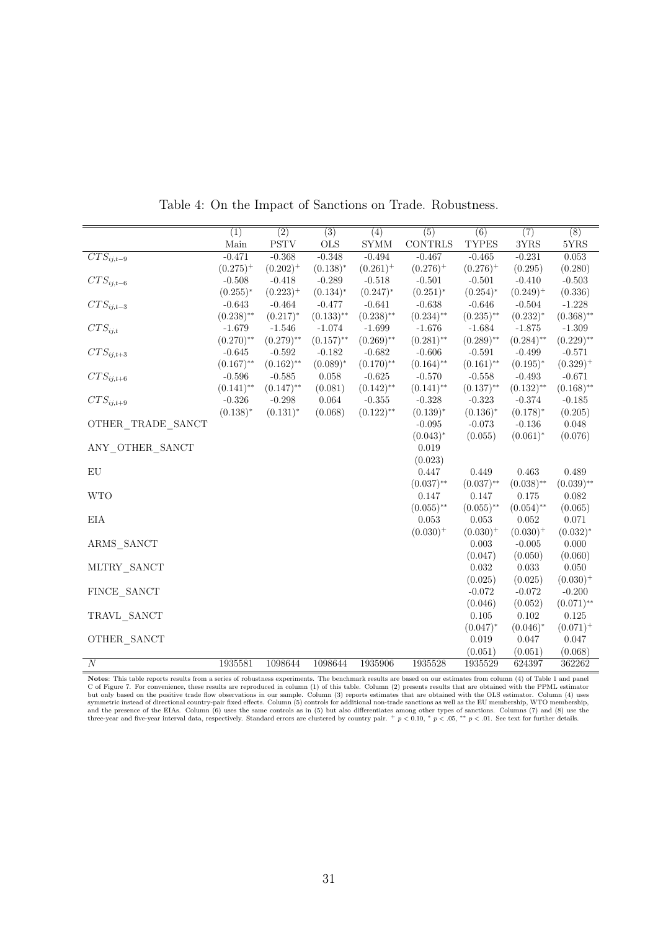<span id="page-31-0"></span>

| $\overline{(2)}$<br>$\overline{(5)}$<br>$\overline{(7)}$<br>$\overline{(8)}$<br>$\overline{(1)}$<br>$\overline{(3)}$<br>$\overline{(6)}$<br>(4)<br>Main<br><b>PSTV</b><br><b>OLS</b><br><b>SYMM</b><br>CONTRLS<br><b>TYPES</b><br>$3{\rm YRS}$<br>$5{\rm YRS}$<br>$\overline{CTS_{ij,t-9}}$<br>$-0.471$<br>$-0.368$<br>$-0.348$<br>$-0.494$<br>$-0.467$<br>$-0.465$<br>$-0.231$<br>0.053<br>$(0.275)^{+}$<br>$(0.202)^{+}$<br>$(0.138)^{*}$<br>$(0.261)^+$<br>$(0.276)^+$<br>$(0.276)^+$<br>(0.295)<br>(0.280)<br>$CTS_{ij,t-6}$<br>$-0.508$<br>$-0.418$<br>$-0.289$<br>$-0.518$<br>$-0.501$<br>$-0.501$<br>$-0.410$<br>$-0.503$<br>$(0.223)^{+}$<br>$(0.251)^*$<br>$(0.249)^+$<br>$(0.255)*$<br>$(0.134)^*$<br>$(0.247)^*$<br>$(0.254)^*$<br>(0.336)<br>$CTS_{ij,t-3}$<br>$-0.643$<br>$-0.464$<br>$-0.477$<br>$-0.641$<br>$-0.638$<br>$-0.646$<br>$-0.504$<br>$-1.228$<br>$(0.238)$ **<br>$(0.217)^{*}$<br>$(0.133)$ **<br>$(0.238)$ **<br>$(0.234)$ **<br>$(0.235)$ **<br>$(0.232)^{*}$<br>$(0.368)$ **<br>$CTS_{ij,t}$<br>$-1.679$<br>$-1.546$<br>$-1.074$<br>$-1.699$<br>$-1.676$<br>$-1.684$<br>$-1.875$<br>$-1.309$<br>$(0.270)$ **<br>$(0.279)$ **<br>$(0.157)$ **<br>$(0.269)$ **<br>$(0.281)$ **<br>$(0.289)$ **<br>$(0.284)$ **<br>$(0.229)$ **<br>$CTS_{ij,t+3}$<br>$-0.645$<br>$-0.592$<br>$-0.182$<br>$-0.682$<br>$-0.606$<br>$-0.591$<br>$-0.499$<br>$-0.571$<br>$(0.167)$ **<br>$(0.162)$ **<br>$(0.164)$ **<br>$(0.089)^*$<br>$(0.170)$ **<br>$(0.161)$ **<br>$(0.195)^{*}$<br>$(0.329)^+$<br>$CTS_{ij,t+6}$<br>$-0.596$<br>$-0.625$<br>$-0.570$<br>$-0.493$<br>$-0.585$<br>0.058<br>$-0.558$<br>$-0.671$<br>$(0.141)$ **<br>$(0.147)$ **<br>(0.081)<br>$(0.142)$ **<br>$(0.141)$ **<br>$(0.137)$ **<br>$(0.132)$ **<br>$(0.168)$ **<br>$CTS_{ij,t+9}$<br>$-0.326$<br>$-0.298$<br>$0.064\,$<br>$-0.355$<br>$-0.328$<br>$-0.323$<br>$-0.374$<br>$-0.185$<br>$(0.138)*$<br>$(0.131)^{*}$<br>$(0.122)$ **<br>$(0.139)*$<br>(0.068)<br>$(0.136)^*$<br>$(0.178)$ *<br>(0.205)<br>OTHER TRADE SANCT<br>$-0.095$<br>$-0.073$<br>$-0.136$<br>0.048<br>$(0.061)^*$<br>$(0.043)^*$<br>(0.055)<br>(0.076)<br>ANY OTHER SANCT<br>0.019<br>(0.023)<br>${\rm EU}$<br>0.447<br>0.449<br>0.463<br>0.489<br>$(0.037)$ **<br>$(0.037)$ **<br>$(0.038)$ **<br>$(0.039)$ **<br><b>WTO</b><br>0.147<br>0.147<br>0.175<br>0.082<br>$(0.055)$ **<br>$(0.055)$ **<br>$(0.054)$ **<br>(0.065)<br>EIA<br>0.053<br>0.053<br>0.052<br>0.071<br>$(0.030)^+$<br>$(0.030)^+$<br>$(0.030)^+$<br>$(0.032)^*$<br>ARMS SANCT<br>0.003<br>$-0.005$<br>0.000<br>(0.050)<br>(0.060)<br>(0.047)<br>MLTRY SANCT<br>0.032<br>0.033<br>0.050<br>(0.025)<br>(0.025)<br>$(0.030)^+$<br>FINCE SANCT<br>$-0.072$<br>$-0.072$<br>$-0.200$<br>(0.046)<br>(0.052)<br>$(0.071)$ **<br>TRAVL SANCT<br>0.105<br>0.102<br>0.125<br>$(0.047)^*$<br>$(0.046)^*$<br>$(0.071)^{+}$<br>OTHER SANCT<br>0.019<br>0.047<br>0.047<br>(0.051)<br>(0.051)<br>(0.068)<br>$\boldsymbol{N}$<br>1935528<br>362262 |         |         |         |         |         |        |  |
|---------------------------------------------------------------------------------------------------------------------------------------------------------------------------------------------------------------------------------------------------------------------------------------------------------------------------------------------------------------------------------------------------------------------------------------------------------------------------------------------------------------------------------------------------------------------------------------------------------------------------------------------------------------------------------------------------------------------------------------------------------------------------------------------------------------------------------------------------------------------------------------------------------------------------------------------------------------------------------------------------------------------------------------------------------------------------------------------------------------------------------------------------------------------------------------------------------------------------------------------------------------------------------------------------------------------------------------------------------------------------------------------------------------------------------------------------------------------------------------------------------------------------------------------------------------------------------------------------------------------------------------------------------------------------------------------------------------------------------------------------------------------------------------------------------------------------------------------------------------------------------------------------------------------------------------------------------------------------------------------------------------------------------------------------------------------------------------------------------------------------------------------------------------------------------------------------------------------------------------------------------------------------------------------------------------------------------------------------------------------------------------------------------------------------------------------------------------------------------------------------------------------------------------------------------------------------------------------------------------------------------------------------------------------------------------------------------------------------------------------------------------------------------------------------------------------------------------------------------------------------------------------------------------------------------------------------------------|---------|---------|---------|---------|---------|--------|--|
|                                                                                                                                                                                                                                                                                                                                                                                                                                                                                                                                                                                                                                                                                                                                                                                                                                                                                                                                                                                                                                                                                                                                                                                                                                                                                                                                                                                                                                                                                                                                                                                                                                                                                                                                                                                                                                                                                                                                                                                                                                                                                                                                                                                                                                                                                                                                                                                                                                                                                                                                                                                                                                                                                                                                                                                                                                                                                                                                                               |         |         |         |         |         |        |  |
|                                                                                                                                                                                                                                                                                                                                                                                                                                                                                                                                                                                                                                                                                                                                                                                                                                                                                                                                                                                                                                                                                                                                                                                                                                                                                                                                                                                                                                                                                                                                                                                                                                                                                                                                                                                                                                                                                                                                                                                                                                                                                                                                                                                                                                                                                                                                                                                                                                                                                                                                                                                                                                                                                                                                                                                                                                                                                                                                                               |         |         |         |         |         |        |  |
|                                                                                                                                                                                                                                                                                                                                                                                                                                                                                                                                                                                                                                                                                                                                                                                                                                                                                                                                                                                                                                                                                                                                                                                                                                                                                                                                                                                                                                                                                                                                                                                                                                                                                                                                                                                                                                                                                                                                                                                                                                                                                                                                                                                                                                                                                                                                                                                                                                                                                                                                                                                                                                                                                                                                                                                                                                                                                                                                                               |         |         |         |         |         |        |  |
|                                                                                                                                                                                                                                                                                                                                                                                                                                                                                                                                                                                                                                                                                                                                                                                                                                                                                                                                                                                                                                                                                                                                                                                                                                                                                                                                                                                                                                                                                                                                                                                                                                                                                                                                                                                                                                                                                                                                                                                                                                                                                                                                                                                                                                                                                                                                                                                                                                                                                                                                                                                                                                                                                                                                                                                                                                                                                                                                                               |         |         |         |         |         |        |  |
|                                                                                                                                                                                                                                                                                                                                                                                                                                                                                                                                                                                                                                                                                                                                                                                                                                                                                                                                                                                                                                                                                                                                                                                                                                                                                                                                                                                                                                                                                                                                                                                                                                                                                                                                                                                                                                                                                                                                                                                                                                                                                                                                                                                                                                                                                                                                                                                                                                                                                                                                                                                                                                                                                                                                                                                                                                                                                                                                                               |         |         |         |         |         |        |  |
|                                                                                                                                                                                                                                                                                                                                                                                                                                                                                                                                                                                                                                                                                                                                                                                                                                                                                                                                                                                                                                                                                                                                                                                                                                                                                                                                                                                                                                                                                                                                                                                                                                                                                                                                                                                                                                                                                                                                                                                                                                                                                                                                                                                                                                                                                                                                                                                                                                                                                                                                                                                                                                                                                                                                                                                                                                                                                                                                                               |         |         |         |         |         |        |  |
|                                                                                                                                                                                                                                                                                                                                                                                                                                                                                                                                                                                                                                                                                                                                                                                                                                                                                                                                                                                                                                                                                                                                                                                                                                                                                                                                                                                                                                                                                                                                                                                                                                                                                                                                                                                                                                                                                                                                                                                                                                                                                                                                                                                                                                                                                                                                                                                                                                                                                                                                                                                                                                                                                                                                                                                                                                                                                                                                                               |         |         |         |         |         |        |  |
|                                                                                                                                                                                                                                                                                                                                                                                                                                                                                                                                                                                                                                                                                                                                                                                                                                                                                                                                                                                                                                                                                                                                                                                                                                                                                                                                                                                                                                                                                                                                                                                                                                                                                                                                                                                                                                                                                                                                                                                                                                                                                                                                                                                                                                                                                                                                                                                                                                                                                                                                                                                                                                                                                                                                                                                                                                                                                                                                                               |         |         |         |         |         |        |  |
|                                                                                                                                                                                                                                                                                                                                                                                                                                                                                                                                                                                                                                                                                                                                                                                                                                                                                                                                                                                                                                                                                                                                                                                                                                                                                                                                                                                                                                                                                                                                                                                                                                                                                                                                                                                                                                                                                                                                                                                                                                                                                                                                                                                                                                                                                                                                                                                                                                                                                                                                                                                                                                                                                                                                                                                                                                                                                                                                                               |         |         |         |         |         |        |  |
|                                                                                                                                                                                                                                                                                                                                                                                                                                                                                                                                                                                                                                                                                                                                                                                                                                                                                                                                                                                                                                                                                                                                                                                                                                                                                                                                                                                                                                                                                                                                                                                                                                                                                                                                                                                                                                                                                                                                                                                                                                                                                                                                                                                                                                                                                                                                                                                                                                                                                                                                                                                                                                                                                                                                                                                                                                                                                                                                                               |         |         |         |         |         |        |  |
|                                                                                                                                                                                                                                                                                                                                                                                                                                                                                                                                                                                                                                                                                                                                                                                                                                                                                                                                                                                                                                                                                                                                                                                                                                                                                                                                                                                                                                                                                                                                                                                                                                                                                                                                                                                                                                                                                                                                                                                                                                                                                                                                                                                                                                                                                                                                                                                                                                                                                                                                                                                                                                                                                                                                                                                                                                                                                                                                                               |         |         |         |         |         |        |  |
|                                                                                                                                                                                                                                                                                                                                                                                                                                                                                                                                                                                                                                                                                                                                                                                                                                                                                                                                                                                                                                                                                                                                                                                                                                                                                                                                                                                                                                                                                                                                                                                                                                                                                                                                                                                                                                                                                                                                                                                                                                                                                                                                                                                                                                                                                                                                                                                                                                                                                                                                                                                                                                                                                                                                                                                                                                                                                                                                                               |         |         |         |         |         |        |  |
|                                                                                                                                                                                                                                                                                                                                                                                                                                                                                                                                                                                                                                                                                                                                                                                                                                                                                                                                                                                                                                                                                                                                                                                                                                                                                                                                                                                                                                                                                                                                                                                                                                                                                                                                                                                                                                                                                                                                                                                                                                                                                                                                                                                                                                                                                                                                                                                                                                                                                                                                                                                                                                                                                                                                                                                                                                                                                                                                                               |         |         |         |         |         |        |  |
|                                                                                                                                                                                                                                                                                                                                                                                                                                                                                                                                                                                                                                                                                                                                                                                                                                                                                                                                                                                                                                                                                                                                                                                                                                                                                                                                                                                                                                                                                                                                                                                                                                                                                                                                                                                                                                                                                                                                                                                                                                                                                                                                                                                                                                                                                                                                                                                                                                                                                                                                                                                                                                                                                                                                                                                                                                                                                                                                                               |         |         |         |         |         |        |  |
|                                                                                                                                                                                                                                                                                                                                                                                                                                                                                                                                                                                                                                                                                                                                                                                                                                                                                                                                                                                                                                                                                                                                                                                                                                                                                                                                                                                                                                                                                                                                                                                                                                                                                                                                                                                                                                                                                                                                                                                                                                                                                                                                                                                                                                                                                                                                                                                                                                                                                                                                                                                                                                                                                                                                                                                                                                                                                                                                                               |         |         |         |         |         |        |  |
|                                                                                                                                                                                                                                                                                                                                                                                                                                                                                                                                                                                                                                                                                                                                                                                                                                                                                                                                                                                                                                                                                                                                                                                                                                                                                                                                                                                                                                                                                                                                                                                                                                                                                                                                                                                                                                                                                                                                                                                                                                                                                                                                                                                                                                                                                                                                                                                                                                                                                                                                                                                                                                                                                                                                                                                                                                                                                                                                                               |         |         |         |         |         |        |  |
|                                                                                                                                                                                                                                                                                                                                                                                                                                                                                                                                                                                                                                                                                                                                                                                                                                                                                                                                                                                                                                                                                                                                                                                                                                                                                                                                                                                                                                                                                                                                                                                                                                                                                                                                                                                                                                                                                                                                                                                                                                                                                                                                                                                                                                                                                                                                                                                                                                                                                                                                                                                                                                                                                                                                                                                                                                                                                                                                                               |         |         |         |         |         |        |  |
|                                                                                                                                                                                                                                                                                                                                                                                                                                                                                                                                                                                                                                                                                                                                                                                                                                                                                                                                                                                                                                                                                                                                                                                                                                                                                                                                                                                                                                                                                                                                                                                                                                                                                                                                                                                                                                                                                                                                                                                                                                                                                                                                                                                                                                                                                                                                                                                                                                                                                                                                                                                                                                                                                                                                                                                                                                                                                                                                                               |         |         |         |         |         |        |  |
|                                                                                                                                                                                                                                                                                                                                                                                                                                                                                                                                                                                                                                                                                                                                                                                                                                                                                                                                                                                                                                                                                                                                                                                                                                                                                                                                                                                                                                                                                                                                                                                                                                                                                                                                                                                                                                                                                                                                                                                                                                                                                                                                                                                                                                                                                                                                                                                                                                                                                                                                                                                                                                                                                                                                                                                                                                                                                                                                                               |         |         |         |         |         |        |  |
|                                                                                                                                                                                                                                                                                                                                                                                                                                                                                                                                                                                                                                                                                                                                                                                                                                                                                                                                                                                                                                                                                                                                                                                                                                                                                                                                                                                                                                                                                                                                                                                                                                                                                                                                                                                                                                                                                                                                                                                                                                                                                                                                                                                                                                                                                                                                                                                                                                                                                                                                                                                                                                                                                                                                                                                                                                                                                                                                                               |         |         |         |         |         |        |  |
|                                                                                                                                                                                                                                                                                                                                                                                                                                                                                                                                                                                                                                                                                                                                                                                                                                                                                                                                                                                                                                                                                                                                                                                                                                                                                                                                                                                                                                                                                                                                                                                                                                                                                                                                                                                                                                                                                                                                                                                                                                                                                                                                                                                                                                                                                                                                                                                                                                                                                                                                                                                                                                                                                                                                                                                                                                                                                                                                                               |         |         |         |         |         |        |  |
|                                                                                                                                                                                                                                                                                                                                                                                                                                                                                                                                                                                                                                                                                                                                                                                                                                                                                                                                                                                                                                                                                                                                                                                                                                                                                                                                                                                                                                                                                                                                                                                                                                                                                                                                                                                                                                                                                                                                                                                                                                                                                                                                                                                                                                                                                                                                                                                                                                                                                                                                                                                                                                                                                                                                                                                                                                                                                                                                                               |         |         |         |         |         |        |  |
|                                                                                                                                                                                                                                                                                                                                                                                                                                                                                                                                                                                                                                                                                                                                                                                                                                                                                                                                                                                                                                                                                                                                                                                                                                                                                                                                                                                                                                                                                                                                                                                                                                                                                                                                                                                                                                                                                                                                                                                                                                                                                                                                                                                                                                                                                                                                                                                                                                                                                                                                                                                                                                                                                                                                                                                                                                                                                                                                                               |         |         |         |         |         |        |  |
|                                                                                                                                                                                                                                                                                                                                                                                                                                                                                                                                                                                                                                                                                                                                                                                                                                                                                                                                                                                                                                                                                                                                                                                                                                                                                                                                                                                                                                                                                                                                                                                                                                                                                                                                                                                                                                                                                                                                                                                                                                                                                                                                                                                                                                                                                                                                                                                                                                                                                                                                                                                                                                                                                                                                                                                                                                                                                                                                                               |         |         |         |         |         |        |  |
|                                                                                                                                                                                                                                                                                                                                                                                                                                                                                                                                                                                                                                                                                                                                                                                                                                                                                                                                                                                                                                                                                                                                                                                                                                                                                                                                                                                                                                                                                                                                                                                                                                                                                                                                                                                                                                                                                                                                                                                                                                                                                                                                                                                                                                                                                                                                                                                                                                                                                                                                                                                                                                                                                                                                                                                                                                                                                                                                                               |         |         |         |         |         |        |  |
|                                                                                                                                                                                                                                                                                                                                                                                                                                                                                                                                                                                                                                                                                                                                                                                                                                                                                                                                                                                                                                                                                                                                                                                                                                                                                                                                                                                                                                                                                                                                                                                                                                                                                                                                                                                                                                                                                                                                                                                                                                                                                                                                                                                                                                                                                                                                                                                                                                                                                                                                                                                                                                                                                                                                                                                                                                                                                                                                                               |         |         |         |         |         |        |  |
|                                                                                                                                                                                                                                                                                                                                                                                                                                                                                                                                                                                                                                                                                                                                                                                                                                                                                                                                                                                                                                                                                                                                                                                                                                                                                                                                                                                                                                                                                                                                                                                                                                                                                                                                                                                                                                                                                                                                                                                                                                                                                                                                                                                                                                                                                                                                                                                                                                                                                                                                                                                                                                                                                                                                                                                                                                                                                                                                                               |         |         |         |         |         |        |  |
|                                                                                                                                                                                                                                                                                                                                                                                                                                                                                                                                                                                                                                                                                                                                                                                                                                                                                                                                                                                                                                                                                                                                                                                                                                                                                                                                                                                                                                                                                                                                                                                                                                                                                                                                                                                                                                                                                                                                                                                                                                                                                                                                                                                                                                                                                                                                                                                                                                                                                                                                                                                                                                                                                                                                                                                                                                                                                                                                                               |         |         |         |         |         |        |  |
|                                                                                                                                                                                                                                                                                                                                                                                                                                                                                                                                                                                                                                                                                                                                                                                                                                                                                                                                                                                                                                                                                                                                                                                                                                                                                                                                                                                                                                                                                                                                                                                                                                                                                                                                                                                                                                                                                                                                                                                                                                                                                                                                                                                                                                                                                                                                                                                                                                                                                                                                                                                                                                                                                                                                                                                                                                                                                                                                                               |         |         |         |         |         |        |  |
|                                                                                                                                                                                                                                                                                                                                                                                                                                                                                                                                                                                                                                                                                                                                                                                                                                                                                                                                                                                                                                                                                                                                                                                                                                                                                                                                                                                                                                                                                                                                                                                                                                                                                                                                                                                                                                                                                                                                                                                                                                                                                                                                                                                                                                                                                                                                                                                                                                                                                                                                                                                                                                                                                                                                                                                                                                                                                                                                                               |         |         |         |         |         |        |  |
|                                                                                                                                                                                                                                                                                                                                                                                                                                                                                                                                                                                                                                                                                                                                                                                                                                                                                                                                                                                                                                                                                                                                                                                                                                                                                                                                                                                                                                                                                                                                                                                                                                                                                                                                                                                                                                                                                                                                                                                                                                                                                                                                                                                                                                                                                                                                                                                                                                                                                                                                                                                                                                                                                                                                                                                                                                                                                                                                                               |         |         |         |         |         |        |  |
|                                                                                                                                                                                                                                                                                                                                                                                                                                                                                                                                                                                                                                                                                                                                                                                                                                                                                                                                                                                                                                                                                                                                                                                                                                                                                                                                                                                                                                                                                                                                                                                                                                                                                                                                                                                                                                                                                                                                                                                                                                                                                                                                                                                                                                                                                                                                                                                                                                                                                                                                                                                                                                                                                                                                                                                                                                                                                                                                                               |         |         |         |         |         |        |  |
|                                                                                                                                                                                                                                                                                                                                                                                                                                                                                                                                                                                                                                                                                                                                                                                                                                                                                                                                                                                                                                                                                                                                                                                                                                                                                                                                                                                                                                                                                                                                                                                                                                                                                                                                                                                                                                                                                                                                                                                                                                                                                                                                                                                                                                                                                                                                                                                                                                                                                                                                                                                                                                                                                                                                                                                                                                                                                                                                                               |         |         |         |         |         |        |  |
|                                                                                                                                                                                                                                                                                                                                                                                                                                                                                                                                                                                                                                                                                                                                                                                                                                                                                                                                                                                                                                                                                                                                                                                                                                                                                                                                                                                                                                                                                                                                                                                                                                                                                                                                                                                                                                                                                                                                                                                                                                                                                                                                                                                                                                                                                                                                                                                                                                                                                                                                                                                                                                                                                                                                                                                                                                                                                                                                                               |         |         |         |         |         |        |  |
|                                                                                                                                                                                                                                                                                                                                                                                                                                                                                                                                                                                                                                                                                                                                                                                                                                                                                                                                                                                                                                                                                                                                                                                                                                                                                                                                                                                                                                                                                                                                                                                                                                                                                                                                                                                                                                                                                                                                                                                                                                                                                                                                                                                                                                                                                                                                                                                                                                                                                                                                                                                                                                                                                                                                                                                                                                                                                                                                                               |         |         |         |         |         |        |  |
|                                                                                                                                                                                                                                                                                                                                                                                                                                                                                                                                                                                                                                                                                                                                                                                                                                                                                                                                                                                                                                                                                                                                                                                                                                                                                                                                                                                                                                                                                                                                                                                                                                                                                                                                                                                                                                                                                                                                                                                                                                                                                                                                                                                                                                                                                                                                                                                                                                                                                                                                                                                                                                                                                                                                                                                                                                                                                                                                                               |         |         |         |         |         |        |  |
|                                                                                                                                                                                                                                                                                                                                                                                                                                                                                                                                                                                                                                                                                                                                                                                                                                                                                                                                                                                                                                                                                                                                                                                                                                                                                                                                                                                                                                                                                                                                                                                                                                                                                                                                                                                                                                                                                                                                                                                                                                                                                                                                                                                                                                                                                                                                                                                                                                                                                                                                                                                                                                                                                                                                                                                                                                                                                                                                                               | 1935581 | 1098644 | 1098644 | 1935906 | 1935529 | 624397 |  |

Table 4: On the Impact of Sanctions on Trade. Robustness.

**Notes:** This table reports results from a series of robustness experiments. The benchmark results are based on our estimates from column (4) of Table [1 a](#page-20-0)nd panel C of Figure [7.](#page-21-0) For convenience, these results are reproduc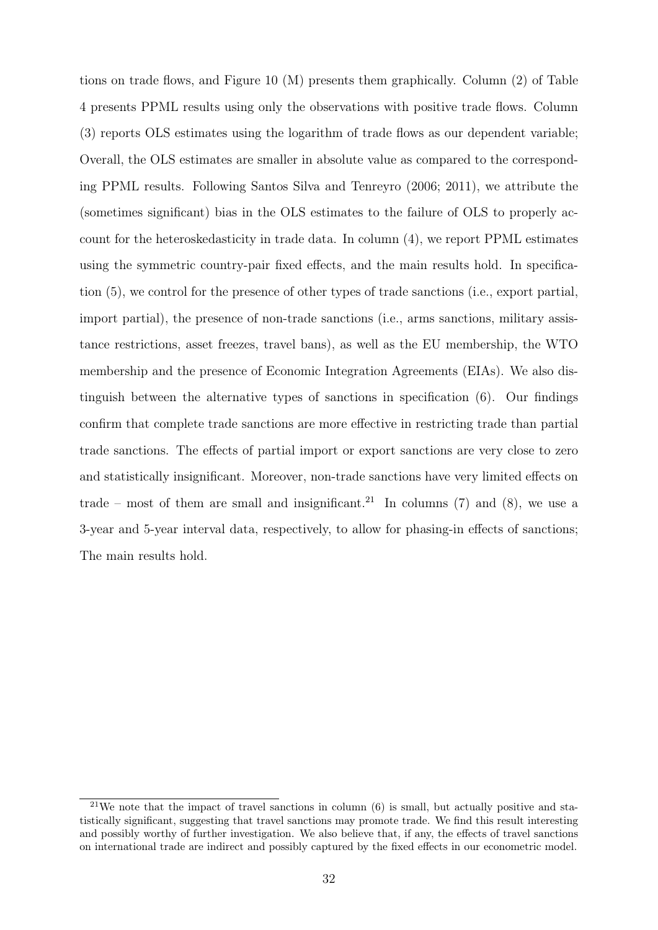tions on trade flows, and Figure [10](#page-33-0) (M) presents them graphically. Column (2) of Table [4](#page-31-0) presents PPML results using only the observations with positive trade flows. Column (3) reports OLS estimates using the logarithm of trade flows as our dependent variable; Overall, the OLS estimates are smaller in absolute value as compared to the corresponding PPML results. Following [Santos Silva and Tenreyro](#page-38-13) [\(2006;](#page-38-13) [2011\)](#page-38-14), we attribute the (sometimes significant) bias in the OLS estimates to the failure of OLS to properly account for the heteroskedasticity in trade data. In column (4), we report PPML estimates using the symmetric country-pair fixed effects, and the main results hold. In specification (5), we control for the presence of other types of trade sanctions (i.e., export partial, import partial), the presence of non-trade sanctions (i.e., arms sanctions, military assistance restrictions, asset freezes, travel bans), as well as the EU membership, the WTO membership and the presence of Economic Integration Agreements (EIAs). We also distinguish between the alternative types of sanctions in specification (6). Our findings confirm that complete trade sanctions are more effective in restricting trade than partial trade sanctions. The effects of partial import or export sanctions are very close to zero and statistically insignificant. Moreover, non-trade sanctions have very limited effects on trade – most of them are small and insignificant.<sup>[21](#page-32-0)</sup> In columns (7) and (8), we use a 3-year and 5-year interval data, respectively, to allow for phasing-in effects of sanctions; The main results hold.

<span id="page-32-0"></span><sup>&</sup>lt;sup>21</sup>We note that the impact of travel sanctions in column  $(6)$  is small, but actually positive and statistically significant, suggesting that travel sanctions may promote trade. We find this result interesting and possibly worthy of further investigation. We also believe that, if any, the effects of travel sanctions on international trade are indirect and possibly captured by the fixed effects in our econometric model.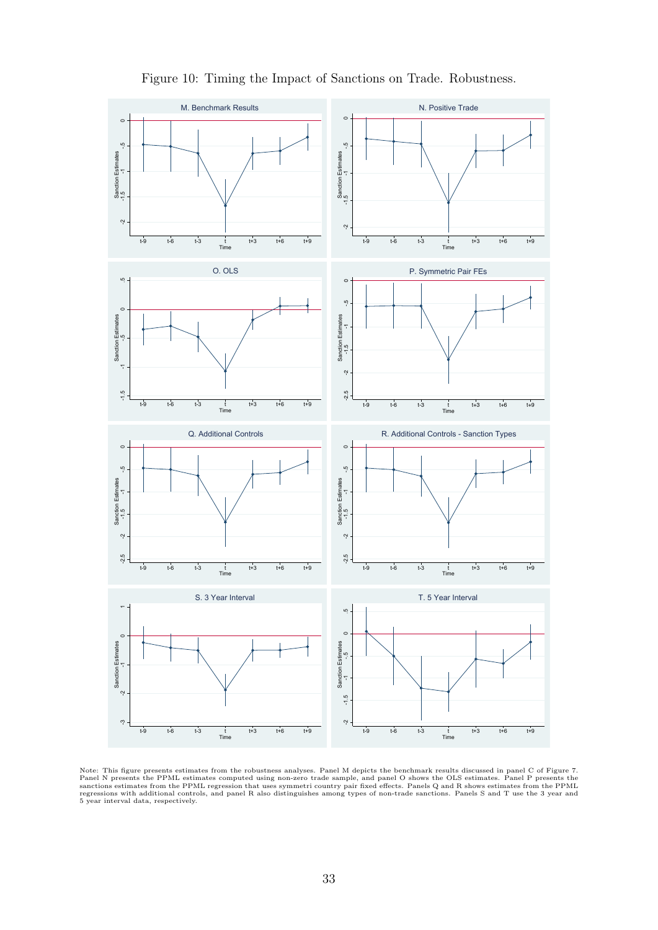<span id="page-33-0"></span>

### Figure 10: Timing the Impact of Sanctions on Trade. Robustness.

Note: This figure presents estimates from the robustness analyses. Panel M depicts the benchmark results discussed in panel C of Figure [7.](#page-21-0)<br>Panel N presents the PPML estimates computed using non-zero trade sample, and panel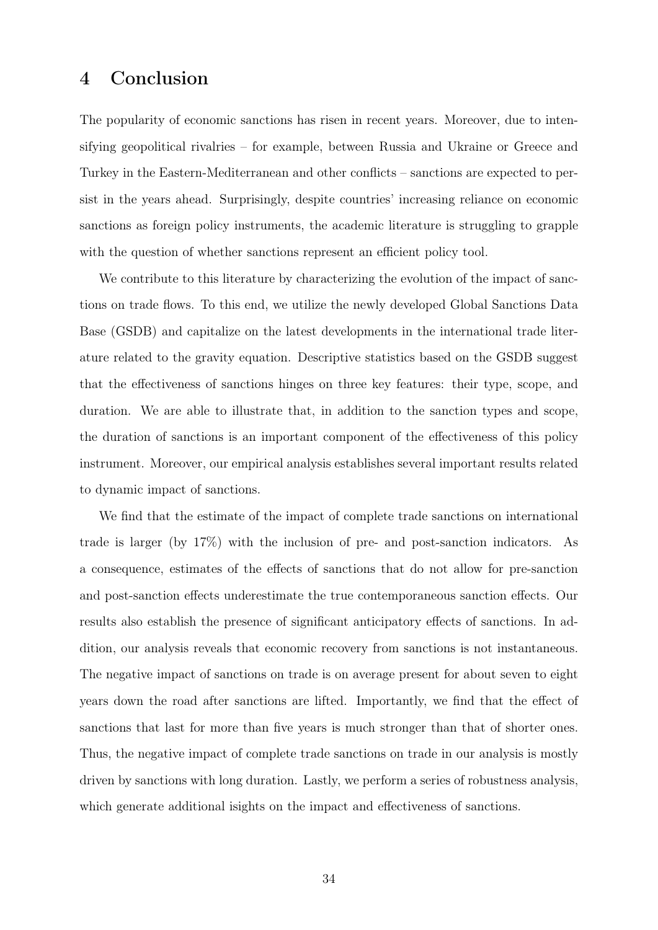## <span id="page-34-0"></span>4 Conclusion

The popularity of economic sanctions has risen in recent years. Moreover, due to intensifying geopolitical rivalries – for example, between Russia and Ukraine or Greece and Turkey in the Eastern-Mediterranean and other conflicts – sanctions are expected to persist in the years ahead. Surprisingly, despite countries' increasing reliance on economic sanctions as foreign policy instruments, the academic literature is struggling to grapple with the question of whether sanctions represent an efficient policy tool.

We contribute to this literature by characterizing the evolution of the impact of sanctions on trade flows. To this end, we utilize the newly developed Global Sanctions Data Base (GSDB) and capitalize on the latest developments in the international trade literature related to the gravity equation. Descriptive statistics based on the GSDB suggest that the effectiveness of sanctions hinges on three key features: their type, scope, and duration. We are able to illustrate that, in addition to the sanction types and scope, the duration of sanctions is an important component of the effectiveness of this policy instrument. Moreover, our empirical analysis establishes several important results related to dynamic impact of sanctions.

We find that the estimate of the impact of complete trade sanctions on international trade is larger (by 17%) with the inclusion of pre- and post-sanction indicators. As a consequence, estimates of the effects of sanctions that do not allow for pre-sanction and post-sanction effects underestimate the true contemporaneous sanction effects. Our results also establish the presence of significant anticipatory effects of sanctions. In addition, our analysis reveals that economic recovery from sanctions is not instantaneous. The negative impact of sanctions on trade is on average present for about seven to eight years down the road after sanctions are lifted. Importantly, we find that the effect of sanctions that last for more than five years is much stronger than that of shorter ones. Thus, the negative impact of complete trade sanctions on trade in our analysis is mostly driven by sanctions with long duration. Lastly, we perform a series of robustness analysis, which generate additional isights on the impact and effectiveness of sanctions.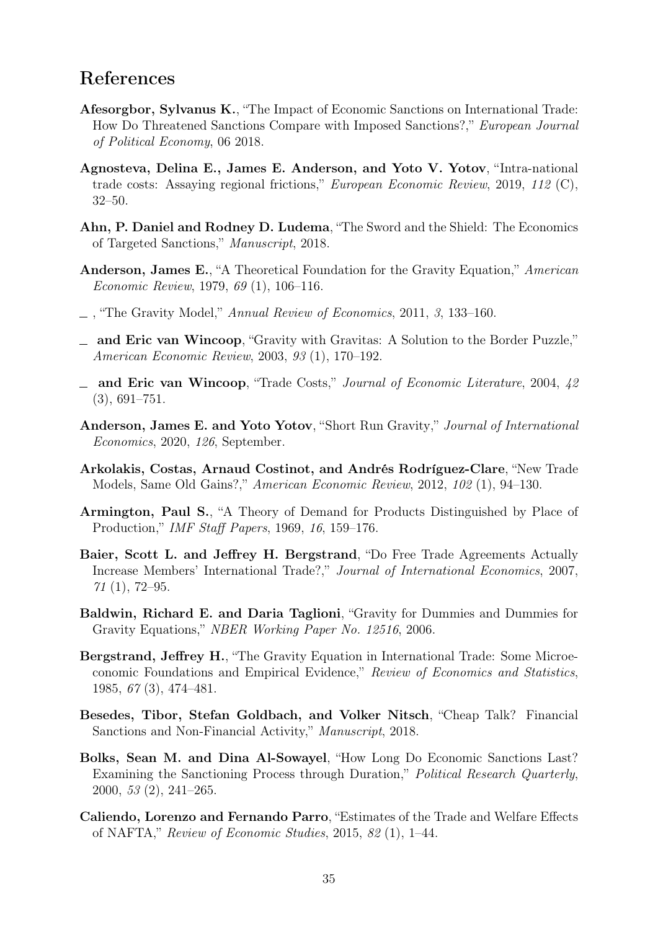# References

- <span id="page-35-2"></span>Afesorgbor, Sylvanus K., "The Impact of Economic Sanctions on International Trade: How Do Threatened Sanctions Compare with Imposed Sanctions?," European Journal of Political Economy, 06 2018.
- <span id="page-35-15"></span>Agnosteva, Delina E., James E. Anderson, and Yoto V. Yotov, "Intra-national trade costs: Assaying regional frictions," European Economic Review, 2019, 112 (C), 32–50.
- <span id="page-35-0"></span>Ahn, P. Daniel and Rodney D. Ludema, "The Sword and the Shield: The Economics of Targeted Sanctions," Manuscript, 2018.
- <span id="page-35-5"></span>Anderson, James E., "A Theoretical Foundation for the Gravity Equation," American Economic Review, 1979, 69 (1), 106–116.
- <span id="page-35-12"></span> $\Box$ , "The Gravity Model," Annual Review of Economics, 2011, 3, 133–160.
- <span id="page-35-14"></span>and Eric van Wincoop, "Gravity with Gravitas: A Solution to the Border Puzzle," American Economic Review, 2003, 93 (1), 170–192.
- <span id="page-35-9"></span>- and Eric van Wincoop, "Trade Costs," Journal of Economic Literature, 2004, 42 (3), 691–751.
- <span id="page-35-11"></span>Anderson, James E. and Yoto Yotov, "Short Run Gravity," Journal of International Economics, 2020, 126, September.
- <span id="page-35-4"></span>Arkolakis, Costas, Arnaud Costinot, and Andrés Rodríguez-Clare, "New Trade Models, Same Old Gains?," American Economic Review, 2012, 102 (1), 94–130.
- <span id="page-35-6"></span>Armington, Paul S., "A Theory of Demand for Products Distinguished by Place of Production," IMF Staff Papers, 1969, 16, 159–176.
- <span id="page-35-13"></span>Baier, Scott L. and Jeffrey H. Bergstrand, "Do Free Trade Agreements Actually Increase Members' International Trade?," Journal of International Economics, 2007,  $71(1), 72-95.$
- <span id="page-35-7"></span>Baldwin, Richard E. and Daria Taglioni, "Gravity for Dummies and Dummies for Gravity Equations," NBER Working Paper No. 12516, 2006.
- <span id="page-35-8"></span>Bergstrand, Jeffrey H., "The Gravity Equation in International Trade: Some Microeconomic Foundations and Empirical Evidence," Review of Economics and Statistics, 1985, 67 (3), 474–481.
- <span id="page-35-1"></span>Besedes, Tibor, Stefan Goldbach, and Volker Nitsch, "Cheap Talk? Financial Sanctions and Non-Financial Activity," Manuscript, 2018.
- <span id="page-35-3"></span>Bolks, Sean M. and Dina Al-Sowayel, "How Long Do Economic Sanctions Last? Examining the Sanctioning Process through Duration," Political Research Quarterly, 2000, 53 (2), 241–265.
- <span id="page-35-10"></span>Caliendo, Lorenzo and Fernando Parro, "Estimates of the Trade and Welfare Effects of NAFTA," Review of Economic Studies, 2015, 82 (1), 1–44.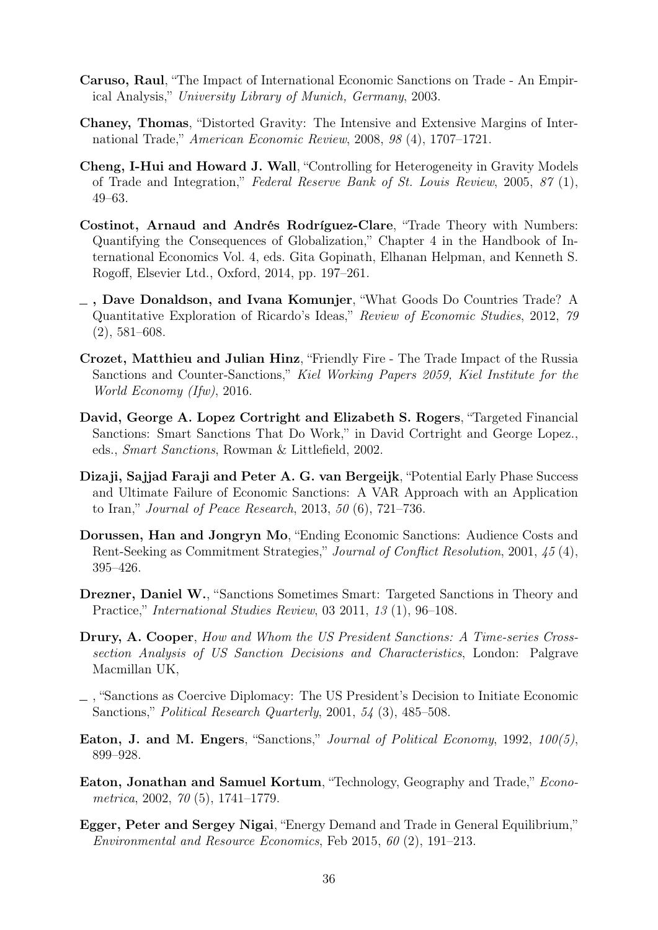- <span id="page-36-6"></span>Caruso, Raul, "The Impact of International Economic Sanctions on Trade - An Empirical Analysis," University Library of Munich, Germany, 2003.
- <span id="page-36-10"></span>Chaney, Thomas, "Distorted Gravity: The Intensive and Extensive Margins of International Trade," American Economic Review, 2008, 98 (4), 1707–1721.
- <span id="page-36-12"></span>Cheng, I-Hui and Howard J. Wall, "Controlling for Heterogeneity in Gravity Models of Trade and Integration," Federal Reserve Bank of St. Louis Review, 2005, 87 (1), 49–63.
- <span id="page-36-13"></span>Costinot, Arnaud and Andrés Rodríguez-Clare, "Trade Theory with Numbers: Quantifying the Consequences of Globalization," Chapter 4 in the Handbook of International Economics Vol. 4, eds. Gita Gopinath, Elhanan Helpman, and Kenneth S. Rogoff, Elsevier Ltd., Oxford, 2014, pp. 197–261.
- <span id="page-36-11"></span>, Dave Donaldson, and Ivana Komunjer, "What Goods Do Countries Trade? A Quantitative Exploration of Ricardo's Ideas," Review of Economic Studies, 2012, 79 (2), 581–608.
- <span id="page-36-5"></span>Crozet, Matthieu and Julian Hinz, "Friendly Fire - The Trade Impact of the Russia Sanctions and Counter-Sanctions," Kiel Working Papers 2059, Kiel Institute for the World Economy (Ifw), 2016.
- <span id="page-36-4"></span>David, George A. Lopez Cortright and Elizabeth S. Rogers, "Targeted Financial Sanctions: Smart Sanctions That Do Work," in David Cortright and George Lopez., eds., Smart Sanctions, Rowman & Littlefield, 2002.
- <span id="page-36-8"></span>Dizaji, Sajjad Faraji and Peter A. G. van Bergeijk, "Potential Early Phase Success and Ultimate Failure of Economic Sanctions: A VAR Approach with an Application to Iran," Journal of Peace Research, 2013, 50 (6), 721–736.
- <span id="page-36-7"></span>Dorussen, Han and Jongryn Mo, "Ending Economic Sanctions: Audience Costs and Rent-Seeking as Commitment Strategies," Journal of Conflict Resolution, 2001, 45 (4), 395–426.
- <span id="page-36-1"></span>Drezner, Daniel W., "Sanctions Sometimes Smart: Targeted Sanctions in Theory and Practice," International Studies Review, 03 2011, 13 (1), 96–108.
- <span id="page-36-3"></span>Drury, A. Cooper, How and Whom the US President Sanctions: A Time-series Crosssection Analysis of US Sanction Decisions and Characteristics, London: Palgrave Macmillan UK,
- <span id="page-36-0"></span>, "Sanctions as Coercive Diplomacy: The US President's Decision to Initiate Economic Sanctions," Political Research Quarterly, 2001, 54 (3), 485–508.
- <span id="page-36-2"></span>Eaton, J. and M. Engers, "Sanctions," Journal of Political Economy, 1992, 100(5), 899–928.
- <span id="page-36-9"></span>Eaton, Jonathan and Samuel Kortum, "Technology, Geography and Trade," Econometrica, 2002, 70 (5), 1741–1779.
- <span id="page-36-14"></span>Egger, Peter and Sergey Nigai, "Energy Demand and Trade in General Equilibrium," Environmental and Resource Economics, Feb 2015, 60 (2), 191–213.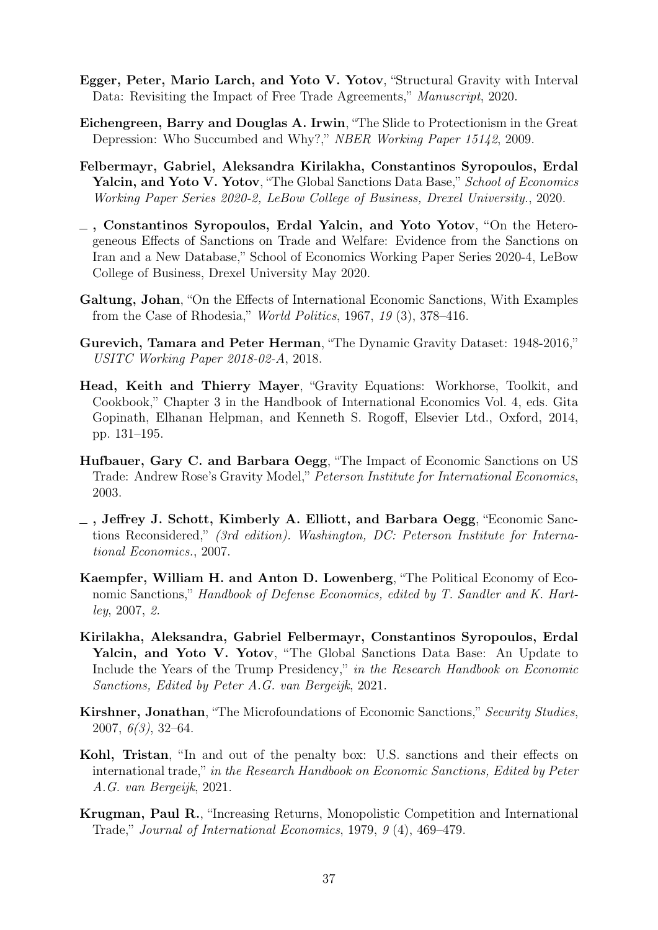- <span id="page-37-7"></span>Egger, Peter, Mario Larch, and Yoto V. Yotov, "Structural Gravity with Interval Data: Revisiting the Impact of Free Trade Agreements," Manuscript, 2020.
- <span id="page-37-9"></span>Eichengreen, Barry and Douglas A. Irwin, "The Slide to Protectionism in the Great Depression: Who Succumbed and Why?," NBER Working Paper 15142, 2009.
- <span id="page-37-5"></span>Felbermayr, Gabriel, Aleksandra Kirilakha, Constantinos Syropoulos, Erdal Yalcin, and Yoto V. Yotov, "The Global Sanctions Data Base," School of Economics Working Paper Series 2020-2, LeBow College of Business, Drexel University., 2020.
- <span id="page-37-0"></span>, Constantinos Syropoulos, Erdal Yalcin, and Yoto Yotov, "On the Heterogeneous Effects of Sanctions on Trade and Welfare: Evidence from the Sanctions on Iran and a New Database," School of Economics Working Paper Series 2020-4, LeBow College of Business, Drexel University May 2020.
- <span id="page-37-1"></span>Galtung, Johan, "On the Effects of International Economic Sanctions, With Examples from the Case of Rhodesia," World Politics, 1967, 19 (3), 378–416.
- <span id="page-37-12"></span>Gurevich, Tamara and Peter Herman, "The Dynamic Gravity Dataset: 1948-2016," USITC Working Paper 2018-02-A, 2018.
- <span id="page-37-10"></span>Head, Keith and Thierry Mayer, "Gravity Equations: Workhorse, Toolkit, and Cookbook," Chapter 3 in the Handbook of International Economics Vol. 4, eds. Gita Gopinath, Elhanan Helpman, and Kenneth S. Rogoff, Elsevier Ltd., Oxford, 2014, pp. 131–195.
- <span id="page-37-8"></span>Hufbauer, Gary C. and Barbara Oegg, "The Impact of Economic Sanctions on US Trade: Andrew Rose's Gravity Model," Peterson Institute for International Economics, 2003.
- <span id="page-37-2"></span>, Jeffrey J. Schott, Kimberly A. Elliott, and Barbara Oegg, "Economic Sanctions Reconsidered," (3rd edition). Washington, DC: Peterson Institute for International Economics., 2007.
- <span id="page-37-3"></span>Kaempfer, William H. and Anton D. Lowenberg, "The Political Economy of Economic Sanctions," Handbook of Defense Economics, edited by T. Sandler and K. Hartley, 2007, 2.
- <span id="page-37-6"></span>Kirilakha, Aleksandra, Gabriel Felbermayr, Constantinos Syropoulos, Erdal Yalcin, and Yoto V. Yotov, "The Global Sanctions Data Base: An Update to Include the Years of the Trump Presidency," in the Research Handbook on Economic Sanctions, Edited by Peter A.G. van Bergeijk, 2021.
- <span id="page-37-4"></span>Kirshner, Jonathan, "The Microfoundations of Economic Sanctions," Security Studies,  $2007, 6(3), 32-64.$
- <span id="page-37-13"></span>Kohl, Tristan, "In and out of the penalty box: U.S. sanctions and their effects on international trade," in the Research Handbook on Economic Sanctions, Edited by Peter A.G. van Bergeijk, 2021.
- <span id="page-37-11"></span>Krugman, Paul R., "Increasing Returns, Monopolistic Competition and International Trade," Journal of International Economics, 1979, 9 (4), 469–479.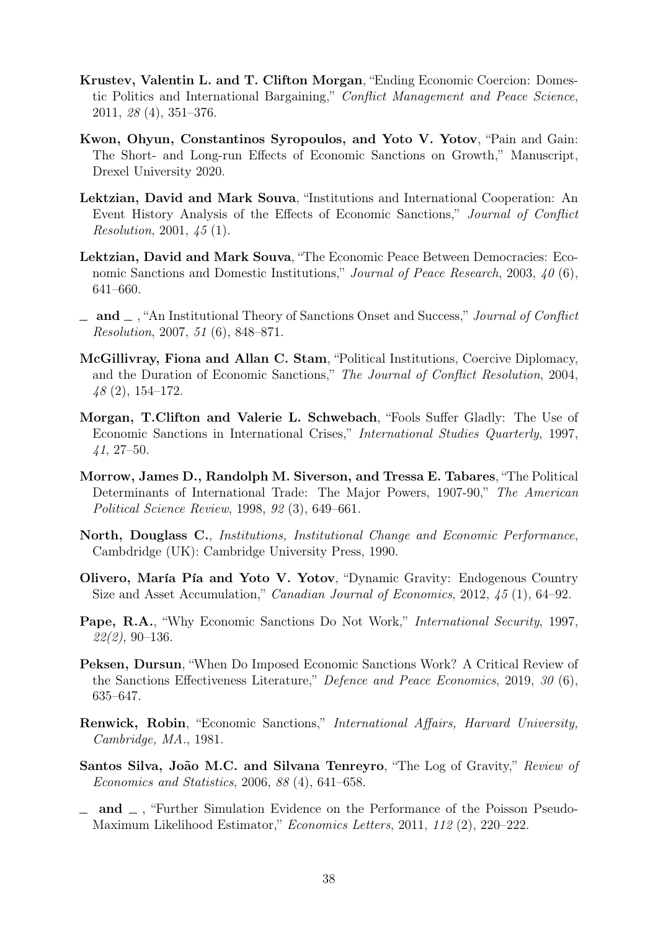- <span id="page-38-1"></span>Krustev, Valentin L. and T. Clifton Morgan, "Ending Economic Coercion: Domestic Politics and International Bargaining," Conflict Management and Peace Science, 2011, 28 (4), 351–376.
- <span id="page-38-10"></span>Kwon, Ohyun, Constantinos Syropoulos, and Yoto V. Yotov, "Pain and Gain: The Short- and Long-run Effects of Economic Sanctions on Growth," Manuscript, Drexel University 2020.
- <span id="page-38-7"></span>Lektzian, David and Mark Souva, "Institutions and International Cooperation: An Event History Analysis of the Effects of Economic Sanctions," Journal of Conflict Resolution, 2001, 45 (1).
- <span id="page-38-2"></span>Lektzian, David and Mark Souva, "The Economic Peace Between Democracies: Economic Sanctions and Domestic Institutions," Journal of Peace Research, 2003, 40 (6), 641–660.
- <span id="page-38-3"></span> $\Box$  and  $\Box$ , "An Institutional Theory of Sanctions Onset and Success," Journal of Conflict Resolution, 2007, 51 (6), 848–871.
- <span id="page-38-9"></span>McGillivray, Fiona and Allan C. Stam, "Political Institutions, Coercive Diplomacy, and the Duration of Economic Sanctions," The Journal of Conflict Resolution, 2004, 48 (2), 154–172.
- <span id="page-38-4"></span>Morgan, T.Clifton and Valerie L. Schwebach, "Fools Suffer Gladly: The Use of Economic Sanctions in International Crises," International Studies Quarterly, 1997, 41, 27–50.
- <span id="page-38-6"></span>Morrow, James D., Randolph M. Siverson, and Tressa E. Tabares, "The Political Determinants of International Trade: The Major Powers, 1907-90," The American Political Science Review, 1998, 92 (3), 649–661.
- <span id="page-38-8"></span>North, Douglass C., Institutions, Institutional Change and Economic Performance, Cambdridge (UK): Cambridge University Press, 1990.
- <span id="page-38-12"></span>Olivero, María Pía and Yoto V. Yotov, "Dynamic Gravity: Endogenous Country Size and Asset Accumulation," Canadian Journal of Economics, 2012, 45 (1), 64–92.
- <span id="page-38-5"></span>Pape, R.A., "Why Economic Sanctions Do Not Work," *International Security*, 1997, 22(2), 90–136.
- <span id="page-38-11"></span>Peksen, Dursun, "When Do Imposed Economic Sanctions Work? A Critical Review of the Sanctions Effectiveness Literature," Defence and Peace Economics, 2019, 30 (6), 635–647.
- <span id="page-38-0"></span>Renwick, Robin, "Economic Sanctions," International Affairs, Harvard University, Cambridge, MA., 1981.
- <span id="page-38-13"></span>Santos Silva, João M.C. and Silvana Tenreyro, "The Log of Gravity," Review of Economics and Statistics, 2006, 88 (4), 641–658.
- <span id="page-38-14"></span> $\Box$  and  $\Box$ , "Further Simulation Evidence on the Performance of the Poisson Pseudo-Maximum Likelihood Estimator," Economics Letters, 2011, 112 (2), 220–222.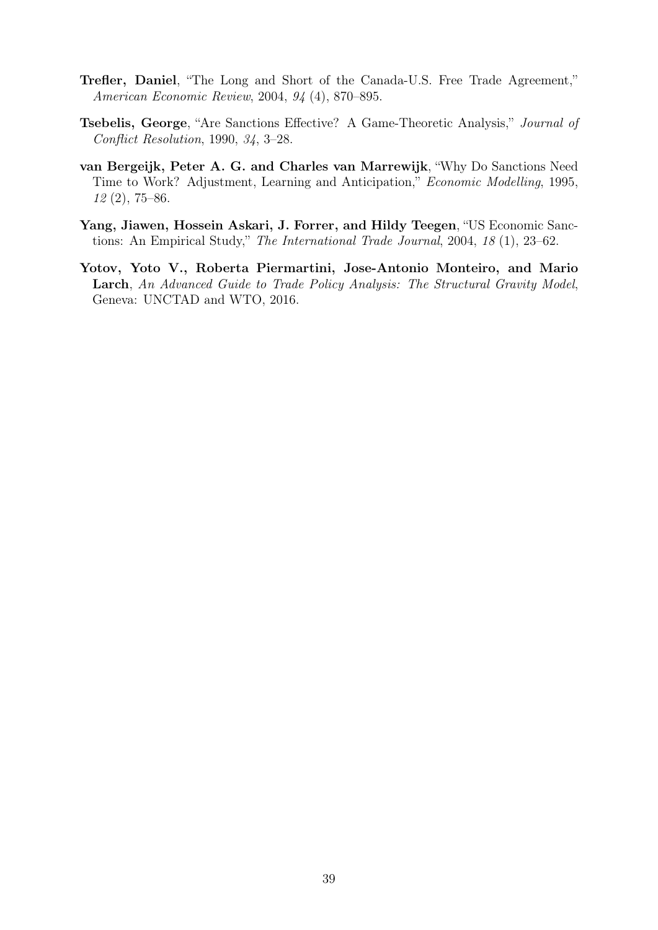- <span id="page-39-4"></span>Trefler, Daniel, "The Long and Short of the Canada-U.S. Free Trade Agreement," American Economic Review, 2004, 94 (4), 870–895.
- <span id="page-39-0"></span>Tsebelis, George, "Are Sanctions Effective? A Game-Theoretic Analysis," Journal of Conflict Resolution, 1990, 34, 3–28.
- <span id="page-39-2"></span>van Bergeijk, Peter A. G. and Charles van Marrewijk, "Why Do Sanctions Need Time to Work? Adjustment, Learning and Anticipation," Economic Modelling, 1995, 12 (2), 75–86.
- <span id="page-39-1"></span>Yang, Jiawen, Hossein Askari, J. Forrer, and Hildy Teegen, "US Economic Sanctions: An Empirical Study," The International Trade Journal, 2004, 18 (1), 23–62.
- <span id="page-39-3"></span>Yotov, Yoto V., Roberta Piermartini, Jose-Antonio Monteiro, and Mario Larch, An Advanced Guide to Trade Policy Analysis: The Structural Gravity Model, Geneva: UNCTAD and WTO, 2016.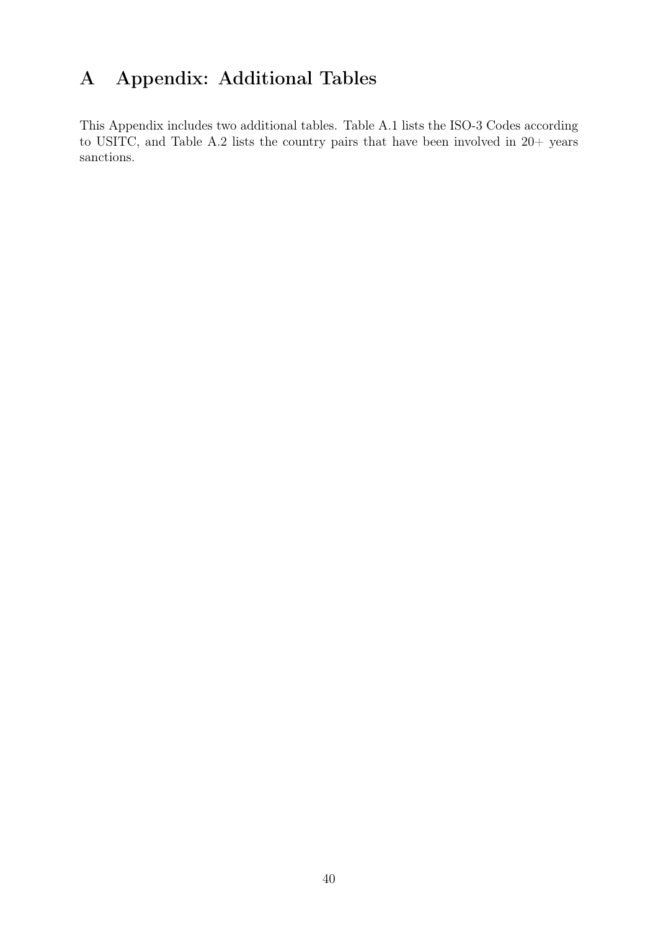# A Appendix: Additional Tables

This Appendix includes two additional tables. Table [A.1](#page-41-0) lists the ISO-3 Codes according to USITC, and Table [A.2](#page-47-0) lists the country pairs that have been involved in 20+ years sanctions.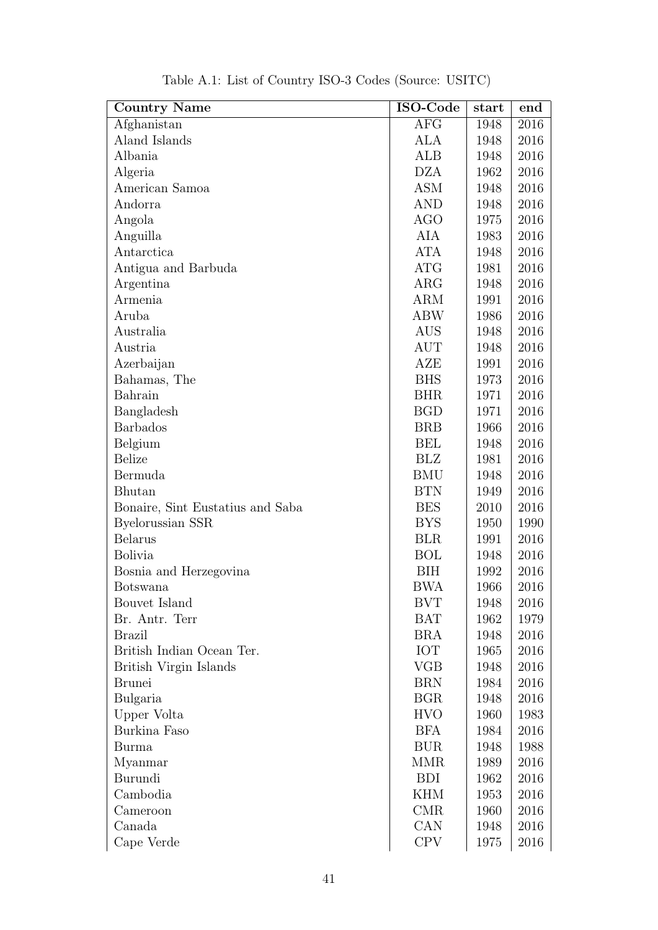<span id="page-41-0"></span>

| <b>Country Name</b>              | ISO-Code   | start | end  |
|----------------------------------|------------|-------|------|
| Afghanistan                      | <b>AFG</b> | 1948  | 2016 |
| Aland Islands                    | ALA        | 1948  | 2016 |
| Albania                          | ALB        | 1948  | 2016 |
| Algeria                          | <b>DZA</b> | 1962  | 2016 |
| American Samoa                   | <b>ASM</b> | 1948  | 2016 |
| Andorra                          | <b>AND</b> | 1948  | 2016 |
| Angola                           | <b>AGO</b> | 1975  | 2016 |
| Anguilla                         | AIA        | 1983  | 2016 |
| Antarctica                       | <b>ATA</b> | 1948  | 2016 |
| Antigua and Barbuda              | <b>ATG</b> | 1981  | 2016 |
| Argentina                        | ARG        | 1948  | 2016 |
| Armenia                          | ARM        | 1991  | 2016 |
| Aruba                            | <b>ABW</b> | 1986  | 2016 |
| Australia                        | <b>AUS</b> | 1948  | 2016 |
| Austria                          | <b>AUT</b> | 1948  | 2016 |
| Azerbaijan                       | AZE        | 1991  | 2016 |
| Bahamas, The                     | <b>BHS</b> | 1973  | 2016 |
| Bahrain                          | <b>BHR</b> | 1971  | 2016 |
| Bangladesh                       | <b>BGD</b> | 1971  | 2016 |
| <b>Barbados</b>                  | <b>BRB</b> | 1966  | 2016 |
| Belgium                          | <b>BEL</b> | 1948  | 2016 |
| <b>Belize</b>                    | <b>BLZ</b> | 1981  | 2016 |
| Bermuda                          | <b>BMU</b> | 1948  | 2016 |
| <b>Bhutan</b>                    | <b>BTN</b> | 1949  | 2016 |
| Bonaire, Sint Eustatius and Saba | <b>BES</b> | 2010  | 2016 |
| Byelorussian SSR                 | <b>BYS</b> | 1950  | 1990 |
| <b>Belarus</b>                   | <b>BLR</b> | 1991  | 2016 |
| <b>Bolivia</b>                   | <b>BOL</b> | 1948  | 2016 |
| Bosnia and Herzegovina           | BIH        | 1992  | 2016 |
| <b>Botswana</b>                  | <b>BWA</b> | 1966  | 2016 |
| Bouvet Island                    | <b>BVT</b> | 1948  | 2016 |
| Br. Antr. Terr                   | <b>BAT</b> | 1962  | 1979 |
| <b>Brazil</b>                    | BRA        | 1948  | 2016 |
| British Indian Ocean Ter.        | <b>IOT</b> | 1965  | 2016 |
| British Virgin Islands           | <b>VGB</b> | 1948  | 2016 |
| <b>Brunei</b>                    | <b>BRN</b> | 1984  | 2016 |
| Bulgaria                         | <b>BGR</b> | 1948  | 2016 |
| Upper Volta                      | <b>HVO</b> | 1960  | 1983 |
| Burkina Faso                     | <b>BFA</b> | 1984  | 2016 |
| Burma                            | <b>BUR</b> | 1948  | 1988 |
| Myanmar                          | <b>MMR</b> | 1989  | 2016 |
| Burundi                          | <b>BDI</b> | 1962  | 2016 |
| Cambodia                         | <b>KHM</b> | 1953  | 2016 |
| Cameroon                         | <b>CMR</b> | 1960  | 2016 |
| Canada                           | CAN        | 1948  | 2016 |
| Cape Verde                       | <b>CPV</b> | 1975  | 2016 |

Table A.1: List of Country ISO-3 Codes (Source: USITC)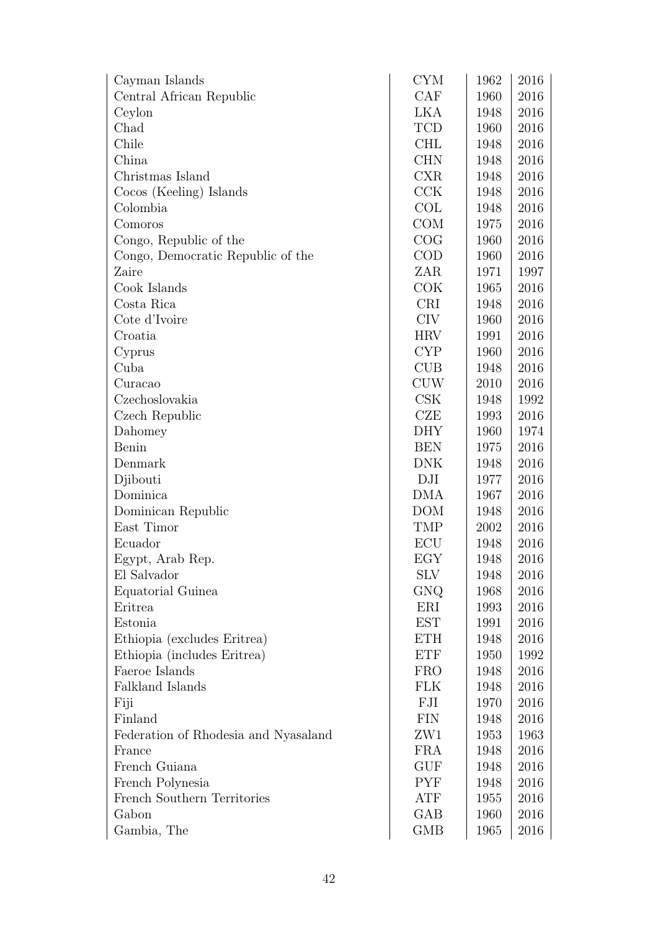| Cayman Islands                       | <b>CYM</b> | 1962 | 2016     |
|--------------------------------------|------------|------|----------|
| Central African Republic             | CAF        | 1960 | 2016     |
| Ceylon                               | LKA        | 1948 | 2016     |
| Chad                                 | <b>TCD</b> | 1960 | 2016     |
| Chile                                | <b>CHL</b> | 1948 | 2016     |
| China                                | <b>CHN</b> | 1948 | 2016     |
| Christmas Island                     | <b>CXR</b> | 1948 | 2016     |
| Cocos (Keeling) Islands              | CCK        | 1948 | 2016     |
| Colombia                             | COL        | 1948 | 2016     |
| Comoros                              | <b>COM</b> | 1975 | 2016     |
| Congo, Republic of the               | COG        | 1960 | 2016     |
| Congo, Democratic Republic of the    | COD        | 1960 | 2016     |
| Zaire                                | ZAR        | 1971 | 1997     |
| Cook Islands                         | COK        | 1965 | 2016     |
| Costa Rica                           | <b>CRI</b> | 1948 | 2016     |
| Cote d'Ivoire                        | <b>CIV</b> | 1960 | 2016     |
| Croatia                              | <b>HRV</b> | 1991 | 2016     |
| Cyprus                               | <b>CYP</b> | 1960 | 2016     |
| Cuba                                 | <b>CUB</b> | 1948 | 2016     |
| Curacao                              | <b>CUW</b> | 2010 | 2016     |
| Czechoslovakia                       | CSK        | 1948 | 1992     |
| Czech Republic                       | CZE        | 1993 | 2016     |
| Dahomey                              | <b>DHY</b> | 1960 | 1974     |
| Benin                                | <b>BEN</b> | 1975 | 2016     |
| Denmark                              | DNK        | 1948 | 2016     |
| Djibouti                             | DJI        | 1977 | 2016     |
| Dominica                             | <b>DMA</b> | 1967 | 2016     |
| Dominican Republic                   | <b>DOM</b> | 1948 | 2016     |
| East Timor                           | TMP        | 2002 | 2016     |
| Ecuador                              | ECU        | 1948 | 2016     |
| Egypt, Arab Rep.                     | EGY        | 1948 | 2016     |
| El Salvador                          | <b>SLV</b> | 1948 | 2016     |
| Equatorial Guinea                    | GNQ        | 1968 | 2016     |
| Eritrea                              | ERI        | 1993 | 2016     |
| Estonia                              | <b>EST</b> | 1991 | 2016     |
| Ethiopia (excludes Eritrea)          | <b>ETH</b> | 1948 | 2016     |
| Ethiopia (includes Eritrea)          | <b>ETF</b> | 1950 | 1992     |
| Faeroe Islands                       | <b>FRO</b> | 1948 | 2016     |
| Falkland Islands                     | <b>FLK</b> | 1948 | 2016     |
| Fiji                                 | FJI        | 1970 | 2016     |
| Finland                              | <b>FIN</b> | 1948 | 2016     |
| Federation of Rhodesia and Nyasaland | ZW1        | 1953 | 1963     |
| France                               | FRA        | 1948 | 2016     |
| French Guiana                        | <b>GUF</b> | 1948 | 2016     |
| French Polynesia                     | <b>PYF</b> | 1948 | 2016     |
| French Southern Territories          | ATF        | 1955 | 2016     |
| Gabon                                | GAB        | 1960 | 2016     |
| Gambia, The                          | <b>GMB</b> | 1965 | $2016\,$ |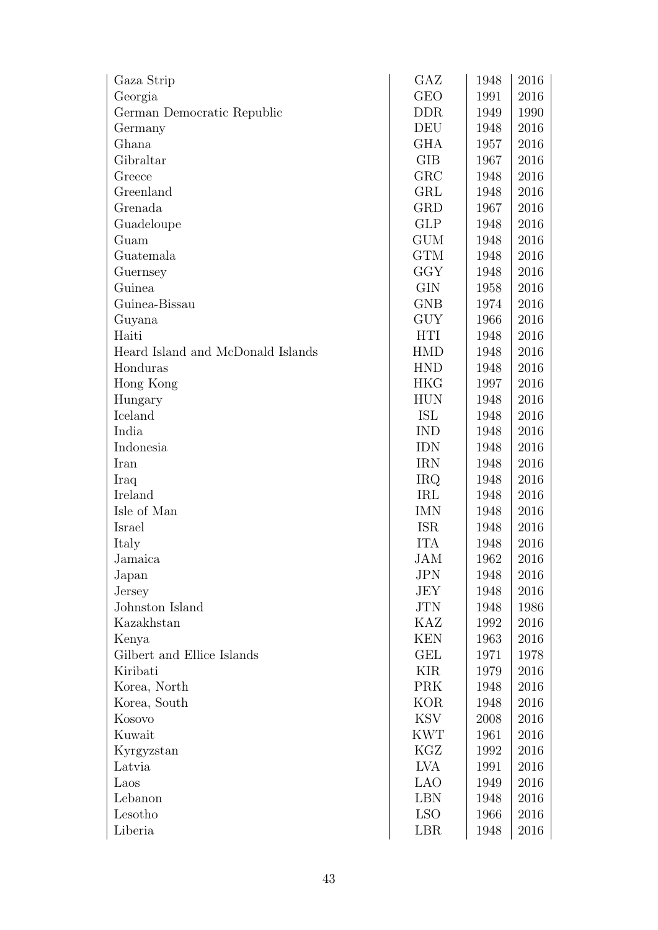| Gaza Strip                        | GAZ        | 1948 | 2016 |
|-----------------------------------|------------|------|------|
| Georgia                           | <b>GEO</b> | 1991 | 2016 |
| German Democratic Republic        | <b>DDR</b> | 1949 | 1990 |
| Germany                           | DEU        | 1948 | 2016 |
| Ghana                             | GHA        | 1957 | 2016 |
| Gibraltar                         | <b>GIB</b> | 1967 | 2016 |
| Greece                            | GRC        | 1948 | 2016 |
| Greenland                         | GRL        | 1948 | 2016 |
| Grenada                           | GRD        | 1967 | 2016 |
| Guadeloupe                        | <b>GLP</b> | 1948 | 2016 |
| Guam                              | <b>GUM</b> | 1948 | 2016 |
| Guatemala                         | <b>GTM</b> | 1948 | 2016 |
| Guernsey                          | GGY        | 1948 | 2016 |
| Guinea                            | <b>GIN</b> | 1958 | 2016 |
| Guinea-Bissau                     | <b>GNB</b> | 1974 | 2016 |
| Guyana                            | <b>GUY</b> | 1966 | 2016 |
| Haiti                             | <b>HTI</b> | 1948 | 2016 |
| Heard Island and McDonald Islands | <b>HMD</b> | 1948 | 2016 |
| Honduras                          | <b>HND</b> | 1948 | 2016 |
| Hong Kong                         | <b>HKG</b> | 1997 | 2016 |
| Hungary                           | <b>HUN</b> | 1948 | 2016 |
| Iceland                           | ISL        | 1948 | 2016 |
| India                             | <b>IND</b> | 1948 | 2016 |
| Indonesia                         | <b>IDN</b> | 1948 | 2016 |
| Iran                              | <b>IRN</b> | 1948 | 2016 |
| Iraq                              | <b>IRQ</b> | 1948 | 2016 |
| Ireland                           | IRL        | 1948 | 2016 |
| Isle of Man                       | IMN        | 1948 | 2016 |
| Israel                            | <b>ISR</b> | 1948 | 2016 |
| Italy                             | <b>ITA</b> | 1948 | 2016 |
| Jamaica                           | JAM        | 1962 | 2016 |
| Japan                             | <b>JPN</b> | 1948 | 2016 |
| Jersey                            | JEY        | 1948 | 2016 |
| Johnston Island                   | <b>JTN</b> | 1948 | 1986 |
| Kazakhstan                        | KAZ        | 1992 | 2016 |
| Kenya                             | <b>KEN</b> | 1963 | 2016 |
| Gilbert and Ellice Islands        | <b>GEL</b> | 1971 | 1978 |
| Kiribati                          | KIR        | 1979 | 2016 |
| Korea, North                      | <b>PRK</b> | 1948 | 2016 |
| Korea, South                      | <b>KOR</b> | 1948 | 2016 |
| Kosovo                            | <b>KSV</b> | 2008 | 2016 |
| Kuwait                            | <b>KWT</b> | 1961 | 2016 |
| Kyrgyzstan                        | KGZ        | 1992 | 2016 |
| Latvia                            | LVA        | 1991 | 2016 |
| Laos                              | <b>LAO</b> | 1949 | 2016 |
| Lebanon                           | <b>LBN</b> | 1948 | 2016 |
| Lesotho                           | <b>LSO</b> | 1966 | 2016 |
| Liberia                           | LBR        | 1948 | 2016 |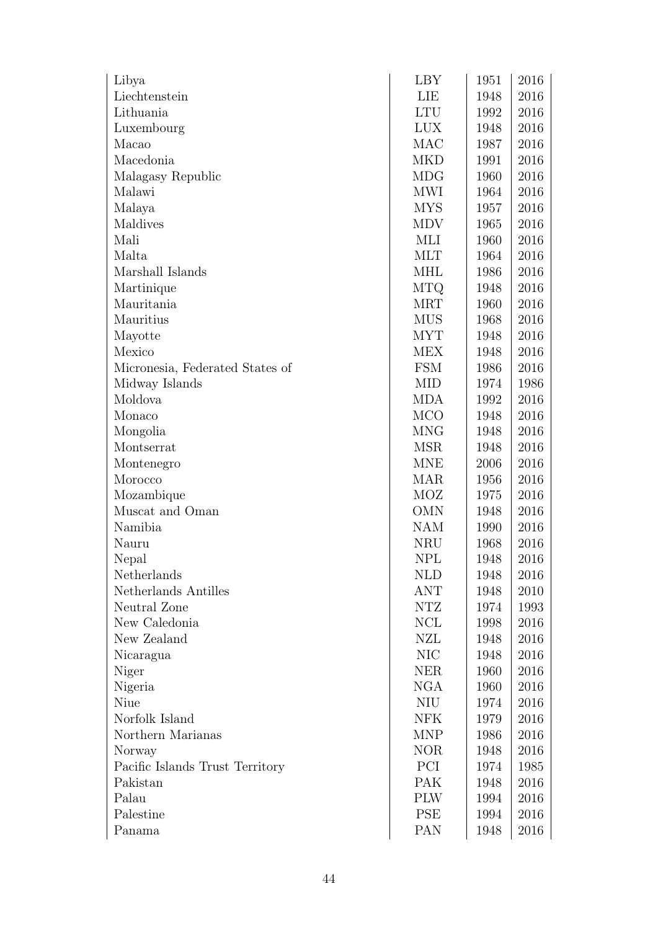| Libya                           | <b>LBY</b> | 1951 | 2016     |
|---------------------------------|------------|------|----------|
| Liechtenstein                   | LIE        | 1948 | 2016     |
| Lithuania                       | <b>LTU</b> | 1992 | 2016     |
| Luxembourg                      | <b>LUX</b> | 1948 | 2016     |
| Macao                           | MAC        | 1987 | 2016     |
| Macedonia                       | <b>MKD</b> | 1991 | 2016     |
| Malagasy Republic               | MDG        | 1960 | 2016     |
| Malawi                          | <b>MWI</b> | 1964 | 2016     |
| Malaya                          | <b>MYS</b> | 1957 | 2016     |
| Maldives                        | <b>MDV</b> | 1965 | 2016     |
| Mali                            | MLI        | 1960 | 2016     |
| Malta                           | <b>MLT</b> | 1964 | 2016     |
| Marshall Islands                | <b>MHL</b> | 1986 | 2016     |
| Martinique                      | <b>MTQ</b> | 1948 | 2016     |
| Mauritania                      | <b>MRT</b> | 1960 | 2016     |
| Mauritius                       | <b>MUS</b> | 1968 | 2016     |
| Mayotte                         | <b>MYT</b> | 1948 | 2016     |
| Mexico                          | <b>MEX</b> | 1948 | 2016     |
| Micronesia, Federated States of | <b>FSM</b> | 1986 | 2016     |
| Midway Islands                  | <b>MID</b> | 1974 | 1986     |
| Moldova                         | <b>MDA</b> | 1992 | 2016     |
| Monaco                          | <b>MCO</b> | 1948 | 2016     |
| Mongolia                        | <b>MNG</b> | 1948 | 2016     |
| Montserrat                      | <b>MSR</b> | 1948 | 2016     |
| Montenegro                      | <b>MNE</b> | 2006 | 2016     |
| Morocco                         | MAR        | 1956 | 2016     |
| Mozambique                      | MOZ        | 1975 | 2016     |
| Muscat and Oman                 | <b>OMN</b> | 1948 | 2016     |
| Namibia                         | NAM        | 1990 | 2016     |
| Nauru                           | <b>NRU</b> | 1968 | 2016     |
| Nepal                           | <b>NPL</b> | 1948 | 2016     |
| Netherlands                     | <b>NLD</b> | 1948 | 2016     |
| Netherlands Antilles            | ANT        | 1948 | 2010     |
| Neutral Zone                    | NTZ        | 1974 | 1993     |
| New Caledonia                   | NCL        | 1998 | 2016     |
| New Zealand                     | NZL        | 1948 | $2016\,$ |
| Nicaragua                       | NIC        | 1948 | 2016     |
| Niger                           | <b>NER</b> | 1960 | 2016     |
| Nigeria                         | <b>NGA</b> | 1960 | $2016\,$ |
| Niue                            | NIU        | 1974 | 2016     |
| Norfolk Island                  | <b>NFK</b> | 1979 | $2016\,$ |
| Northern Marianas               | <b>MNP</b> | 1986 | 2016     |
| Norway                          | <b>NOR</b> | 1948 | 2016     |
| Pacific Islands Trust Territory | PCI        | 1974 | 1985     |
| Pakistan                        | PAK        | 1948 | 2016     |
| Palau                           | <b>PLW</b> | 1994 | $2016\,$ |
| Palestine                       | <b>PSE</b> | 1994 | 2016     |
| Panama                          | <b>PAN</b> | 1948 | 2016     |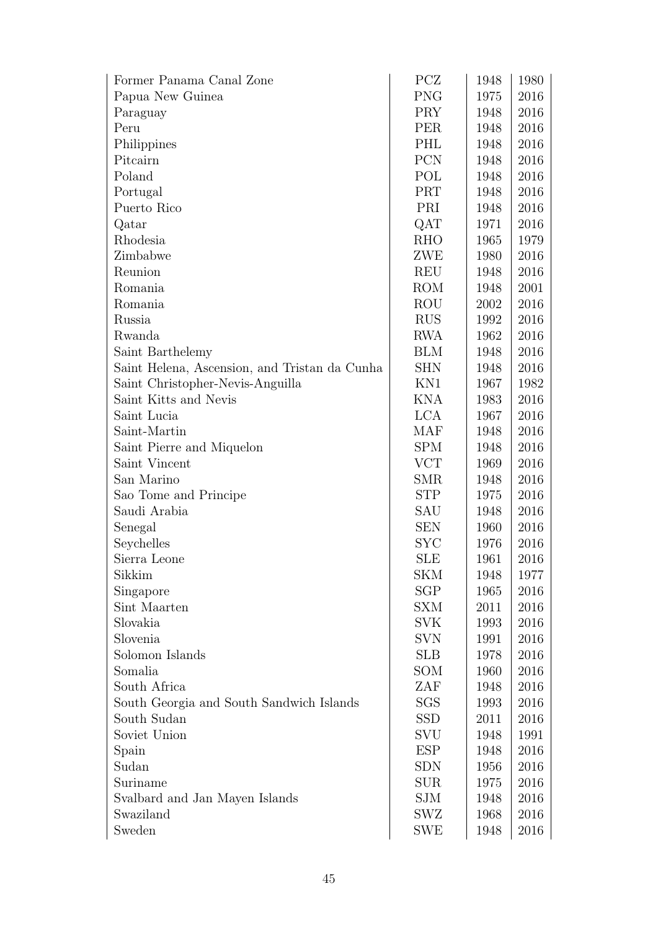| Former Panama Canal Zone                      | PCZ        | 1948 | 1980 |
|-----------------------------------------------|------------|------|------|
| Papua New Guinea                              | <b>PNG</b> | 1975 | 2016 |
| Paraguay                                      | <b>PRY</b> | 1948 | 2016 |
| Peru                                          | <b>PER</b> | 1948 | 2016 |
| Philippines                                   | PHL        | 1948 | 2016 |
| Pitcairn                                      | <b>PCN</b> | 1948 | 2016 |
| Poland                                        | POL        | 1948 | 2016 |
| Portugal                                      | PRT        | 1948 | 2016 |
| Puerto Rico                                   | PRI        | 1948 | 2016 |
| Qatar                                         | QAT        | 1971 | 2016 |
| Rhodesia                                      | <b>RHO</b> | 1965 | 1979 |
| Zimbabwe                                      | ZWE        | 1980 | 2016 |
| Reunion                                       | REU        | 1948 | 2016 |
| Romania                                       | <b>ROM</b> | 1948 | 2001 |
| Romania                                       | ROU        | 2002 | 2016 |
| Russia                                        | <b>RUS</b> | 1992 | 2016 |
| Rwanda                                        | <b>RWA</b> | 1962 | 2016 |
| Saint Barthelemy                              | <b>BLM</b> | 1948 | 2016 |
| Saint Helena, Ascension, and Tristan da Cunha | <b>SHN</b> | 1948 | 2016 |
| Saint Christopher-Nevis-Anguilla              | KN1        | 1967 | 1982 |
| Saint Kitts and Nevis                         | <b>KNA</b> | 1983 | 2016 |
| Saint Lucia                                   | <b>LCA</b> | 1967 | 2016 |
| Saint-Martin                                  | <b>MAF</b> | 1948 | 2016 |
| Saint Pierre and Miquelon                     | <b>SPM</b> | 1948 | 2016 |
| Saint Vincent                                 | <b>VCT</b> | 1969 | 2016 |
| San Marino                                    | <b>SMR</b> | 1948 | 2016 |
| Sao Tome and Principe                         | <b>STP</b> | 1975 | 2016 |
| Saudi Arabia                                  | SAU        | 1948 | 2016 |
| Senegal                                       | <b>SEN</b> | 1960 | 2016 |
| Seychelles                                    | <b>SYC</b> | 1976 | 2016 |
| Sierra Leone                                  | <b>SLE</b> | 1961 | 2016 |
| Sikkim                                        | SKM        | 1948 | 1977 |
| Singapore                                     | <b>SGP</b> | 1965 | 2016 |
| Sint Maarten                                  | SXM        | 2011 | 2016 |
| Slovakia                                      | <b>SVK</b> | 1993 | 2016 |
| Slovenia                                      | <b>SVN</b> | 1991 | 2016 |
| Solomon Islands                               | <b>SLB</b> | 1978 | 2016 |
| Somalia                                       | SOM        | 1960 | 2016 |
| South Africa                                  | ZAF        | 1948 | 2016 |
| South Georgia and South Sandwich Islands      | <b>SGS</b> | 1993 | 2016 |
| South Sudan                                   | <b>SSD</b> | 2011 | 2016 |
| Soviet Union                                  | SVU        | 1948 | 1991 |
| Spain                                         | ESP        | 1948 | 2016 |
| Sudan                                         | <b>SDN</b> | 1956 | 2016 |
| Suriname                                      | <b>SUR</b> | 1975 | 2016 |
| Svalbard and Jan Mayen Islands                | SJM        | 1948 | 2016 |
| Swaziland                                     | SWZ        | 1968 | 2016 |
| Sweden                                        | SWE        | 1948 | 2016 |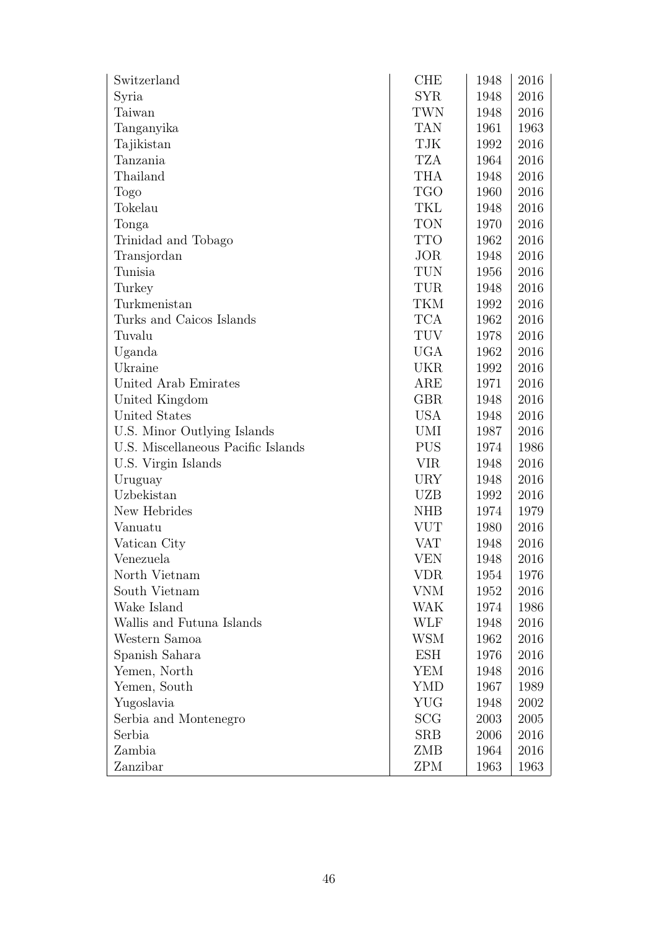| Switzerland                        | <b>CHE</b> | 1948 | 2016 |
|------------------------------------|------------|------|------|
| Syria                              | <b>SYR</b> | 1948 | 2016 |
| Taiwan                             | TWN        | 1948 | 2016 |
| Tanganyika                         | <b>TAN</b> | 1961 | 1963 |
| Tajikistan                         | TJK        | 1992 | 2016 |
| Tanzania                           | <b>TZA</b> | 1964 | 2016 |
| Thailand                           | <b>THA</b> | 1948 | 2016 |
| Togo                               | <b>TGO</b> | 1960 | 2016 |
| Tokelau                            | TKL        | 1948 | 2016 |
| Tonga                              | <b>TON</b> | 1970 | 2016 |
| Trinidad and Tobago                | <b>TTO</b> | 1962 | 2016 |
| Transjordan                        | JOR        | 1948 | 2016 |
| Tunisia                            | <b>TUN</b> | 1956 | 2016 |
| Turkey                             | TUR        | 1948 | 2016 |
| Turkmenistan                       | TKM        | 1992 | 2016 |
| Turks and Caicos Islands           | <b>TCA</b> | 1962 | 2016 |
| Tuvalu                             | <b>TUV</b> | 1978 | 2016 |
| Uganda                             | <b>UGA</b> | 1962 | 2016 |
| Ukraine                            | <b>UKR</b> | 1992 | 2016 |
| United Arab Emirates               | ARE        | 1971 | 2016 |
| United Kingdom                     | <b>GBR</b> | 1948 | 2016 |
| United States                      | <b>USA</b> | 1948 | 2016 |
| U.S. Minor Outlying Islands        | <b>UMI</b> | 1987 | 2016 |
| U.S. Miscellaneous Pacific Islands | <b>PUS</b> | 1974 | 1986 |
| U.S. Virgin Islands                | <b>VIR</b> | 1948 | 2016 |
| Uruguay                            | <b>URY</b> | 1948 | 2016 |
| Uzbekistan                         | UZB        | 1992 | 2016 |
| New Hebrides                       | <b>NHB</b> | 1974 | 1979 |
| Vanuatu                            | <b>VUT</b> | 1980 | 2016 |
| Vatican City                       | <b>VAT</b> | 1948 | 2016 |
| Venezuela                          | <b>VEN</b> | 1948 | 2016 |
| North Vietnam                      | VDR        | 1954 | 1976 |
| South Vietnam                      | VNM        | 1952 | 2016 |
| Wake Island                        | WAK        | 1974 | 1986 |
| Wallis and Futuna Islands          | WLF        | 1948 | 2016 |
| Western Samoa                      | WSM        | 1962 | 2016 |
| Spanish Sahara                     | <b>ESH</b> | 1976 | 2016 |
| Yemen, North                       | YEM        | 1948 | 2016 |
| Yemen, South                       | YMD        | 1967 | 1989 |
| Yugoslavia                         | YUG        | 1948 | 2002 |
| Serbia and Montenegro              | <b>SCG</b> | 2003 | 2005 |
| Serbia                             | <b>SRB</b> | 2006 | 2016 |
| Zambia                             | ZMB        | 1964 | 2016 |
| Zanzibar                           | <b>ZPM</b> | 1963 | 1963 |